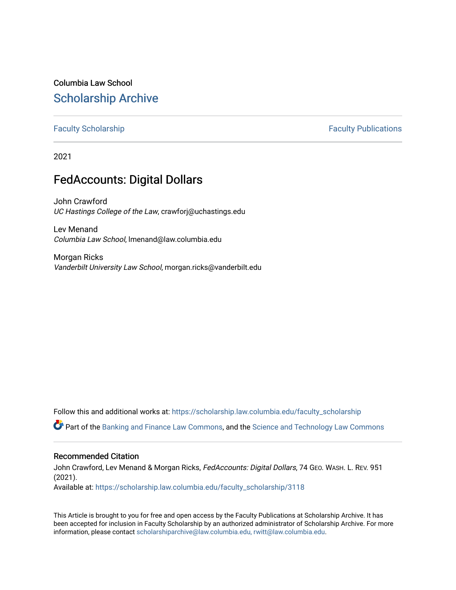## Columbia Law School [Scholarship Archive](https://scholarship.law.columbia.edu/)

### [Faculty Scholarship](https://scholarship.law.columbia.edu/faculty_scholarship) **Faculty Scholarship Faculty Publications**

2021

## FedAccounts: Digital Dollars

John Crawford UC Hastings College of the Law, crawforj@uchastings.edu

Lev Menand Columbia Law School, lmenand@law.columbia.edu

Morgan Ricks Vanderbilt University Law School, morgan.ricks@vanderbilt.edu

Follow this and additional works at: [https://scholarship.law.columbia.edu/faculty\\_scholarship](https://scholarship.law.columbia.edu/faculty_scholarship?utm_source=scholarship.law.columbia.edu%2Ffaculty_scholarship%2F3118&utm_medium=PDF&utm_campaign=PDFCoverPages)

Part of the [Banking and Finance Law Commons,](http://network.bepress.com/hgg/discipline/833?utm_source=scholarship.law.columbia.edu%2Ffaculty_scholarship%2F3118&utm_medium=PDF&utm_campaign=PDFCoverPages) and the [Science and Technology Law Commons](http://network.bepress.com/hgg/discipline/875?utm_source=scholarship.law.columbia.edu%2Ffaculty_scholarship%2F3118&utm_medium=PDF&utm_campaign=PDFCoverPages)

### Recommended Citation

John Crawford, Lev Menand & Morgan Ricks, FedAccounts: Digital Dollars, 74 GEO. WASH. L. REV. 951 (2021).

Available at: [https://scholarship.law.columbia.edu/faculty\\_scholarship/3118](https://scholarship.law.columbia.edu/faculty_scholarship/3118?utm_source=scholarship.law.columbia.edu%2Ffaculty_scholarship%2F3118&utm_medium=PDF&utm_campaign=PDFCoverPages)

This Article is brought to you for free and open access by the Faculty Publications at Scholarship Archive. It has been accepted for inclusion in Faculty Scholarship by an authorized administrator of Scholarship Archive. For more information, please contact [scholarshiparchive@law.columbia.edu, rwitt@law.columbia.edu](mailto:scholarshiparchive@law.columbia.edu,%20rwitt@law.columbia.edu).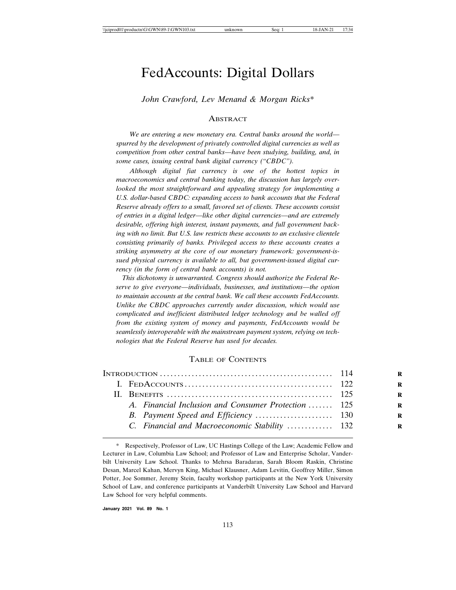# FedAccounts: Digital Dollars

*John Crawford, Lev Menand & Morgan Ricks\**

### ABSTRACT

*We are entering a new monetary era. Central banks around the world spurred by the development of privately controlled digital currencies as well as competition from other central banks—have been studying, building, and, in some cases, issuing central bank digital currency ("CBDC").*

*Although digital fiat currency is one of the hottest topics in macroeconomics and central banking today, the discussion has largely overlooked the most straightforward and appealing strategy for implementing a U.S. dollar-based CBDC: expanding access to bank accounts that the Federal Reserve already offers to a small, favored set of clients. These accounts consist of entries in a digital ledger—like other digital currencies—and are extremely desirable, offering high interest, instant payments, and full government backing with no limit. But U.S. law restricts these accounts to an exclusive clientele consisting primarily of banks. Privileged access to these accounts creates a striking asymmetry at the core of our monetary framework: government-issued physical currency is available to all, but government-issued digital currency (in the form of central bank accounts) is not.*

 *This dichotomy is unwarranted. Congress should authorize the Federal Reserve to give everyone—individuals, businesses, and institutions—the option to maintain accounts at the central bank. We call these accounts FedAccounts. Unlike the CBDC approaches currently under discussion, which would use complicated and inefficient distributed ledger technology and be walled off from the existing system of money and payments, FedAccounts would be seamlessly interoperable with the mainstream payment system, relying on technologies that the Federal Reserve has used for decades.*

### TABLE OF CONTENTS

|  | A. Financial Inclusion and Consumer Protection  125 |  |
|--|-----------------------------------------------------|--|
|  |                                                     |  |
|  | C. Financial and Macroeconomic Stability  132       |  |
|  |                                                     |  |

**January 2021 Vol. 89 No. 1**

<sup>\*</sup> Respectively, Professor of Law, UC Hastings College of the Law; Academic Fellow and Lecturer in Law, Columbia Law School; and Professor of Law and Enterprise Scholar, Vanderbilt University Law School. Thanks to Mehrsa Baradaran, Sarah Bloom Raskin, Christine Desan, Marcel Kahan, Mervyn King, Michael Klausner, Adam Levitin, Geoffrey Miller, Simon Potter, Joe Sommer, Jeremy Stein, faculty workshop participants at the New York University School of Law, and conference participants at Vanderbilt University Law School and Harvard Law School for very helpful comments.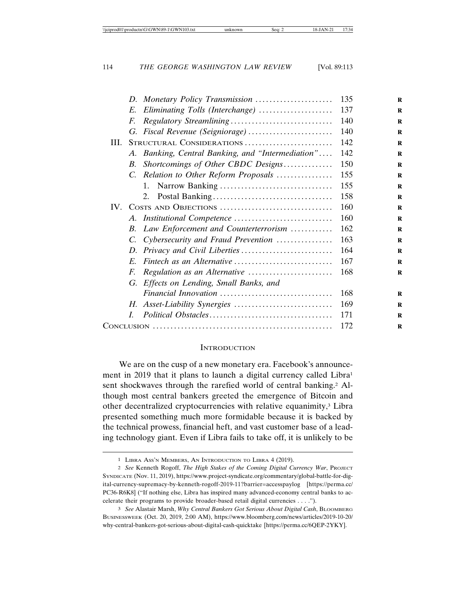| D. Monetary Policy Transmission                       | 135 |
|-------------------------------------------------------|-----|
| Eliminating Tolls (Interchange)<br>E.                 | 137 |
| F.                                                    | 140 |
|                                                       | 140 |
| STRUCTURAL CONSIDERATIONS<br>III.                     | 142 |
| A. Banking, Central Banking, and "Intermediation"     | 142 |
| Shortcomings of Other CBDC Designs<br>В.              | 150 |
| C. Relation to Other Reform Proposals                 | 155 |
| $1_{-}$                                               | 155 |
| 2.                                                    | 158 |
| COSTS AND OBJECTIONS<br>IV.                           | 160 |
|                                                       | 160 |
| Law Enforcement and Counterterrorism<br>В.            | 162 |
| Cybersecurity and Fraud Prevention<br>$\mathcal{C}$ . | 163 |
| D.                                                    | 164 |
| $E_{\cdot}$                                           | 167 |
| Regulation as an Alternative<br>F.                    | 168 |
| G. Effects on Lending, Small Banks, and               |     |
| Financial Innovation                                  | 168 |
|                                                       | 169 |
| L                                                     | 171 |
|                                                       | 172 |

### **INTRODUCTION**

We are on the cusp of a new monetary era. Facebook's announcement in 2019 that it plans to launch a digital currency called Libra<sup>1</sup> sent shockwaves through the rarefied world of central banking.<sup>2</sup> Although most central bankers greeted the emergence of Bitcoin and other decentralized cryptocurrencies with relative equanimity,<sup>3</sup> Libra presented something much more formidable because it is backed by the technical prowess, financial heft, and vast customer base of a leading technology giant. Even if Libra fails to take off, it is unlikely to be

<sup>1</sup> LIBRA ASS'N MEMBERS, AN INTRODUCTION TO LIBRA 4 (2019).

<sup>2</sup> *See* Kenneth Rogoff, *The High Stakes of the Coming Digital Currency War*, PROJECT SYNDICATE (Nov. 11, 2019), https://www.project-syndicate.org/commentary/global-battle-for-digital-currency-supremacy-by-kenneth-rogoff-2019-11?barrier=accesspaylog [https://perma.cc/ PC36-R6K8] ("If nothing else, Libra has inspired many advanced-economy central banks to accelerate their programs to provide broader-based retail digital currencies . . . .").

<sup>3</sup> *See* Alastair Marsh, *Why Central Bankers Got Serious About Digital Cash*, BLOOMBERG BUSINESSWEEK (Oct. 20, 2019, 2:00 AM), https://www.bloomberg.com/news/articles/2019-10-20/ why-central-bankers-got-serious-about-digital-cash-quicktake [https://perma.cc/6QEP-2YKY].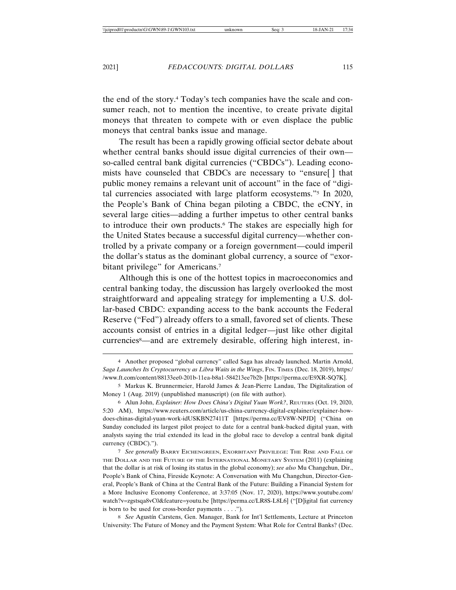the end of the story.4 Today's tech companies have the scale and consumer reach, not to mention the incentive, to create private digital moneys that threaten to compete with or even displace the public moneys that central banks issue and manage.

The result has been a rapidly growing official sector debate about whether central banks should issue digital currencies of their own so-called central bank digital currencies ("CBDCs"). Leading economists have counseled that CBDCs are necessary to "ensure[ ] that public money remains a relevant unit of account" in the face of "digital currencies associated with large platform ecosystems."5 In 2020, the People's Bank of China began piloting a CBDC, the eCNY, in several large cities—adding a further impetus to other central banks to introduce their own products.6 The stakes are especially high for the United States because a successful digital currency—whether controlled by a private company or a foreign government—could imperil the dollar's status as the dominant global currency, a source of "exorbitant privilege" for Americans.<sup>7</sup>

Although this is one of the hottest topics in macroeconomics and central banking today, the discussion has largely overlooked the most straightforward and appealing strategy for implementing a U.S. dollar-based CBDC: expanding access to the bank accounts the Federal Reserve ("Fed") already offers to a small, favored set of clients. These accounts consist of entries in a digital ledger—just like other digital currencies8—and are extremely desirable, offering high interest, in-

8 *See* Agustín Carstens, Gen. Manager, Bank for Int'l Settlements, Lecture at Princeton University: The Future of Money and the Payment System: What Role for Central Banks? (Dec.

<sup>4</sup> Another proposed "global currency" called Saga has already launched. Martin Arnold, *Saga Launches Its Cryptocurrency as Libra Waits in the Wings*, FIN. TIMES (Dec. 18, 2019), https:/ /www.ft.com/content/88133ee0-201b-11ea-b8a1-584213ee7b2b [https://perma.cc/E9XR-SQ7K].

<sup>5</sup> Markus K. Brunnermeier, Harold James & Jean-Pierre Landau, The Digitalization of Money 1 (Aug. 2019) (unpublished manuscript) (on file with author).

<sup>6</sup> Alun John, *Explainer: How Does China's Digital Yuan Work?*, REUTERS (Oct. 19, 2020, 5:20 AM), https://www.reuters.com/article/us-china-currency-digital-explainer/explainer-howdoes-chinas-digital-yuan-work-idUSKBN27411T [https://perma.cc/EV8W-NPJD] ("China on Sunday concluded its largest pilot project to date for a central bank-backed digital yuan, with analysts saying the trial extended its lead in the global race to develop a central bank digital currency (CBDC).").

<sup>7</sup> *See generally* BARRY EICHENGREEN, EXORBITANT PRIVILEGE: THE RISE AND FALL OF THE DOLLAR AND THE FUTURE OF THE INTERNATIONAL MONETARY SYSTEM (2011) (explaining that the dollar is at risk of losing its status in the global economy); *see also* Mu Changchun, Dir., People's Bank of China, Fireside Keynote: A Conversation with Mu Changchun, Director-General, People's Bank of China at the Central Bank of the Future: Building a Financial System for a More Inclusive Economy Conference, at 3:37:05 (Nov. 17, 2020), https://www.youtube.com/ watch?v=zgstsqa8vC0&feature=youtu.be [https://perma.cc/LR8S-L8L6] ("[D]igital fiat currency is born to be used for cross-border payments . . . .").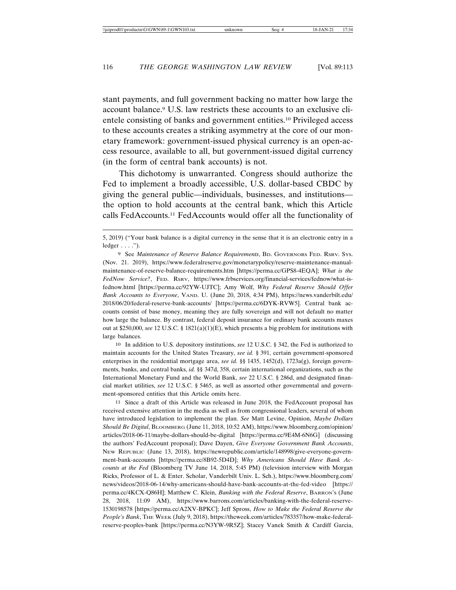stant payments, and full government backing no matter how large the account balance.9 U.S. law restricts these accounts to an exclusive clientele consisting of banks and government entities.10 Privileged access to these accounts creates a striking asymmetry at the core of our monetary framework: government-issued physical currency is an open-access resource, available to all, but government-issued digital currency (in the form of central bank accounts) is not.

This dichotomy is unwarranted. Congress should authorize the Fed to implement a broadly accessible, U.S. dollar-based CBDC by giving the general public—individuals, businesses, and institutions the option to hold accounts at the central bank, which this Article calls FedAccounts.11 FedAccounts would offer all the functionality of

10 In addition to U.S. depository institutions, *see* 12 U.S.C. § 342, the Fed is authorized to maintain accounts for the United States Treasury, *see id.* § 391, certain government-sponsored enterprises in the residential mortgage area, *see id.* §§ 1435, 1452(d), 1723a(g), foreign governments, banks, and central banks, *id.* §§ 347d, 358, certain international organizations, such as the International Monetary Fund and the World Bank, *see* 22 U.S.C. § 286d, and designated financial market utilities, *see* 12 U.S.C. § 5465, as well as assorted other governmental and government-sponsored entities that this Article omits here.

11 Since a draft of this Article was released in June 2018, the FedAccount proposal has received extensive attention in the media as well as from congressional leaders, several of whom have introduced legislation to implement the plan. *See* Matt Levine, Opinion, *Maybe Dollars Should Be Digital*, BLOOMBERG (June 11, 2018, 10:52 AM), https://www.bloomberg.com/opinion/ articles/2018-06-11/maybe-dollars-should-be-digital [https://perma.cc/9E4M-6N6G] (discussing the authors' FedAccount proposal); Dave Dayen, *Give Everyone Government Bank Accounts*, NEW REPUBLIC (June 13, 2018), https://newrepublic.com/article/148998/give-everyone-government-bank-accounts [https://perma.cc/8B92-5D4D]; *Why Americans Should Have Bank Accounts at the Fed* (Bloomberg TV June 14, 2018, 5:45 PM) (television interview with Morgan Ricks, Professor of L. & Enter. Scholar, Vanderbilt Univ. L. Sch.), https://www.bloomberg.com/ news/videos/2018-06-14/why-americans-should-have-bank-accounts-at-the-fed-video [https:// perma.cc/4KCX-Q86H]; Matthew C. Klein, *Banking with the Federal Reserve*, BARRON'S (June 28, 2018, 11:09 AM), https://www.barrons.com/articles/banking-with-the-federal-reserve-1530198578 [https://perma.cc/A2XV-BPKC]; Jeff Spross, *How to Make the Federal Reserve the People's Bank*, THE WEEK (July 9, 2018), https://theweek.com/articles/783357/how-make-federalreserve-peoples-bank [https://perma.cc/N3YW-9R5Z]; Stacey Vanek Smith & Cardiff Garcia,

<sup>5, 2019) (&</sup>quot;Your bank balance is a digital currency in the sense that it is an electronic entry in a  $ledge: . . . .".$ 

<sup>9</sup> See *Maintenance of Reserve Balance Requirements*, BD. GOVERNORS FED. RSRV. SYS. (Nov. 21. 2019), https://www.federalreserve.gov/monetarypolicy/reserve-maintenance-manualmaintenance-of-reserve-balance-requirements.htm [https://perma.cc/GPS8-4EQA]; *What is the FedNow Service?*, FED. RSRV, https://www.frbservices.org/financial-services/fednow/what-isfednow.html [https://perma.cc/92YW-UJTC]; Amy Wolf, *Why Federal Reserve Should Offer Bank Accounts to Everyone*, VAND. U. (June 20, 2018, 4:34 PM), https://news.vanderbilt.edu/ 2018/06/20/federal-reserve-bank-accounts/ [https://perma.cc/6DYK-RVW5]. Central bank accounts consist of base money, meaning they are fully sovereign and will not default no matter how large the balance. By contrast, federal deposit insurance for ordinary bank accounts maxes out at \$250,000, *see* 12 U.S.C. § 1821(a)(1)(E), which presents a big problem for institutions with large balances.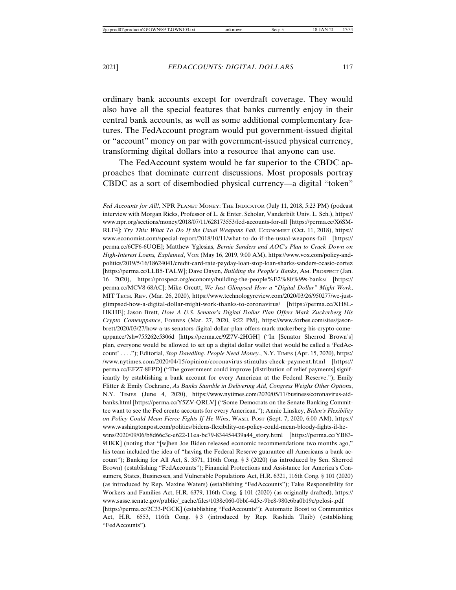ordinary bank accounts except for overdraft coverage. They would also have all the special features that banks currently enjoy in their central bank accounts, as well as some additional complementary features. The FedAccount program would put government-issued digital or "account" money on par with government-issued physical currency, transforming digital dollars into a resource that anyone can use.

The FedAccount system would be far superior to the CBDC approaches that dominate current discussions. Most proposals portray CBDC as a sort of disembodied physical currency—a digital "token"

*Fed Accounts for All!*, NPR PLANET MONEY: THE INDICATOR (July 11, 2018, 5:23 PM) (podcast interview with Morgan Ricks, Professor of L. & Enter. Scholar, Vanderbilt Univ. L. Sch.), https:// www.npr.org/sections/money/2018/07/11/628173553/fed-accounts-for-all [https://perma.cc/X6SM-RLF4]; *Try This: What To Do If the Usual Weapons Fail*, ECONOMIST (Oct. 11, 2018), https:// www.economist.com/special-report/2018/10/11/what-to-do-if-the-usual-weapons-fail [https:// perma.cc/6CF6-6UQE]; Matthew Yglesias, *Bernie Sanders and AOC's Plan to Crack Down on High-Interest Loans, Explained*, VOX (May 16, 2019, 9:00 AM), https://www.vox.com/policy-andpolitics/2019/5/16/18624041/credit-card-rate-payday-loan-stop-loan-sharks-sanders-ocasio-cortez [https://perma.cc/LLB5-TALW]; Dave Dayen, *Building the People's Banks*, AM. PROSPECT (Jan. 16 2020), https://prospect.org/economy/building-the-people%E2%80%99s-banks/ [https:// perma.cc/MCV8-68AC]; Mike Orcutt, *We Just Glimpsed How a "Digital Dollar" Might Work*, MIT TECH. REV. (Mar. 26, 2020), https://www.technologyreview.com/2020/03/26/950277/we-justglimpsed-how-a-digital-dollar-might-work-thanks-to-coronavirus/ [https://perma.cc/XH8L-HKHE]; Jason Brett, *How A U.S. Senator's Digital Dollar Plan Offers Mark Zuckerberg His Crypto Comeuppance*, FORBES (Mar. 27, 2020, 9:22 PM), https://www.forbes.com/sites/jasonbrett/2020/03/27/how-a-us-senators-digital-dollar-plan-offers-mark-zuckerberg-his-crypto-comeuppance/?sh=755262e5306d [https://perma.cc/9Z7V-2HGH] ("In [Senator Sherrod Brown's] plan, everyone would be allowed to set up a digital dollar wallet that would be called a 'FedAccount' . . . ."); Editorial, *Stop Dawdling. People Need Money.*, N.Y. TIMES (Apr. 15, 2020), https:/ /www.nytimes.com/2020/04/15/opinion/coronavirus-stimulus-check-payment.html [https:// perma.cc/EFZ7-8FPD] ("The government could improve [distribution of relief payments] significantly by establishing a bank account for every American at the Federal Reserve."); Emily Flitter & Emily Cochrane, *As Banks Stumble in Delivering Aid, Congress Weighs Other Options*, N.Y. TIMES (June 4, 2020), https://www.nytimes.com/2020/05/11/business/coronavirus-aidbanks.html [https://perma.cc/Y5ZV-QRLV] ("Some Democrats on the Senate Banking Committee want to see the Fed create accounts for every American."); Annie Linskey, *Biden's Flexibility on Policy Could Mean Fierce Fights If He Wins*, WASH. POST (Sept. 7, 2020, 6:00 AM), https:// www.washingtonpost.com/politics/bidens-flexibility-on-policy-could-mean-bloody-fights-if-hewins/2020/09/06/b8d66c3c-e622-11ea-bc79-834454439a44\_story.html [https://perma.cc/YB83- 9HKK] (noting that "[w]hen Joe Biden released economic recommendations two months ago," his team included the idea of "having the Federal Reserve guarantee all Americans a bank account"); Banking for All Act, S. 3571, 116th Cong. § 3 (2020) (as introduced by Sen. Sherrod Brown) (establishing "FedAccounts"); Financial Protections and Assistance for America's Consumers, States, Businesses, and Vulnerable Populations Act, H.R. 6321, 116th Cong. § 101 (2020) (as introduced by Rep. Maxine Waters) (establishing "FedAccounts"); Take Responsibility for Workers and Families Act, H.R. 6379, 116th Cong. § 101 (2020) (as originally drafted), https:// www.sasse.senate.gov/public/\_cache/files/1038e060-0bbf-4d5e-9bc8-980c6ba0b19c/pelosi-.pdf [https://perma.cc/2C33-PGCK] (establishing "FedAccounts"); Automatic Boost to Communities Act, H.R. 6553, 116th Cong. § 3 (introduced by Rep. Rashida Tlaib) (establishing "FedAccounts").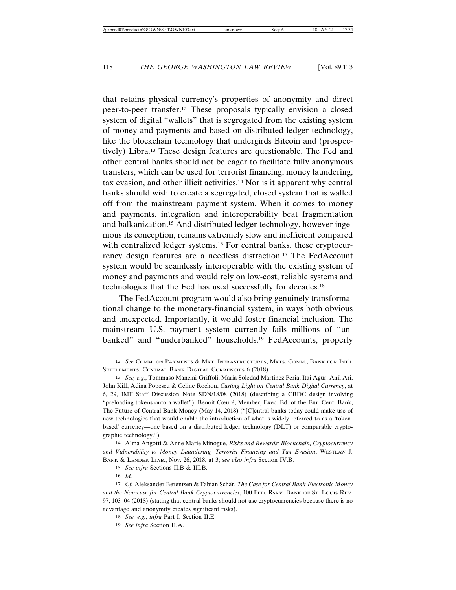that retains physical currency's properties of anonymity and direct peer-to-peer transfer.12 These proposals typically envision a closed system of digital "wallets" that is segregated from the existing system of money and payments and based on distributed ledger technology, like the blockchain technology that undergirds Bitcoin and (prospectively) Libra.13 These design features are questionable. The Fed and other central banks should not be eager to facilitate fully anonymous transfers, which can be used for terrorist financing, money laundering, tax evasion, and other illicit activities.14 Nor is it apparent why central banks should wish to create a segregated, closed system that is walled off from the mainstream payment system. When it comes to money and payments, integration and interoperability beat fragmentation and balkanization.15 And distributed ledger technology, however ingenious its conception, remains extremely slow and inefficient compared with centralized ledger systems.<sup>16</sup> For central banks, these cryptocurrency design features are a needless distraction.17 The FedAccount system would be seamlessly interoperable with the existing system of money and payments and would rely on low-cost, reliable systems and technologies that the Fed has used successfully for decades.18

The FedAccount program would also bring genuinely transformational change to the monetary-financial system, in ways both obvious and unexpected. Importantly, it would foster financial inclusion. The mainstream U.S. payment system currently fails millions of "unbanked" and "underbanked" households.19 FedAccounts, properly

14 Alma Angotti & Anne Marie Minogue, *Risks and Rewards: Blockchain, Cryptocurrency and Vulnerability to Money Laundering, Terrorist Financing and Tax Evasion*, WESTLAW J. BANK & LENDER LIAB., Nov. 26, 2018, at 3; *see also infra* Section IV.B.

<sup>12</sup> *See* COMM. ON PAYMENTS & MKT. INFRASTRUCTURES, MKTS. COMM., BANK FOR INT'L SETTLEMENTS, CENTRAL BANK DIGITAL CURRENCIES 6 (2018).

<sup>13</sup> *See, e.g.*, Tommaso Mancini-Griffoli, Maria Soledad Martinez Peria, Itai Agur, Anil Ari, John Kiff, Adina Popescu & Celine Rochon, *Casting Light on Central Bank Digital Currency*, at 6, 29, IMF Staff Discussion Note SDN/18/08 (2018) (describing a CBDC design involving "preloading tokens onto a wallet"); Benoit Cœuré, Member, Exec. Bd. of the Eur. Cent. Bank, The Future of Central Bank Money (May 14, 2018) ("[C]entral banks today could make use of new technologies that would enable the introduction of what is widely referred to as a 'tokenbased' currency—one based on a distributed ledger technology (DLT) or comparable cryptographic technology.").

<sup>15</sup> *See infra* Sections II.B & III.B.

<sup>16</sup> *Id.*

<sup>17</sup> Cf. Aleksander Berentsen & Fabian Schär, *The Case for Central Bank Electronic Money and the Non-case for Central Bank Cryptocurrencies*, 100 FED. RSRV. BANK OF ST. LOUIS REV. 97, 103–04 (2018) (stating that central banks should not use cryptocurrencies because there is no advantage and anonymity creates significant risks).

<sup>18</sup> *See, e.g.*, *infra* Part I, Section II.E.

<sup>19</sup> *See infra* Section II.A.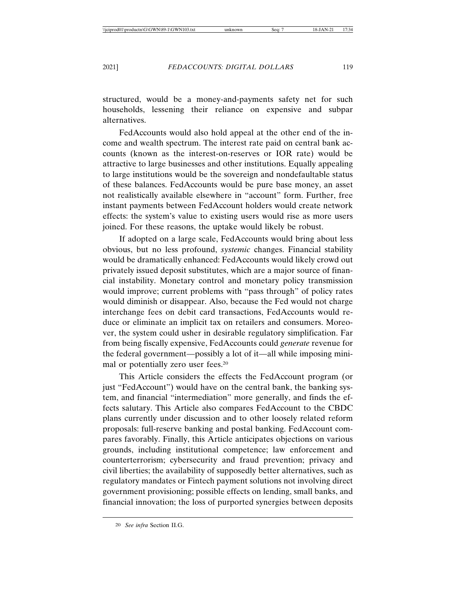structured, would be a money-and-payments safety net for such households, lessening their reliance on expensive and subpar alternatives.

FedAccounts would also hold appeal at the other end of the income and wealth spectrum. The interest rate paid on central bank accounts (known as the interest-on-reserves or IOR rate) would be attractive to large businesses and other institutions. Equally appealing to large institutions would be the sovereign and nondefaultable status of these balances. FedAccounts would be pure base money, an asset not realistically available elsewhere in "account" form. Further, free instant payments between FedAccount holders would create network effects: the system's value to existing users would rise as more users joined. For these reasons, the uptake would likely be robust.

If adopted on a large scale, FedAccounts would bring about less obvious, but no less profound, *systemic* changes. Financial stability would be dramatically enhanced: FedAccounts would likely crowd out privately issued deposit substitutes, which are a major source of financial instability. Monetary control and monetary policy transmission would improve; current problems with "pass through" of policy rates would diminish or disappear. Also, because the Fed would not charge interchange fees on debit card transactions, FedAccounts would reduce or eliminate an implicit tax on retailers and consumers. Moreover, the system could usher in desirable regulatory simplification. Far from being fiscally expensive, FedAccounts could *generate* revenue for the federal government—possibly a lot of it—all while imposing minimal or potentially zero user fees.20

This Article considers the effects the FedAccount program (or just "FedAccount") would have on the central bank, the banking system, and financial "intermediation" more generally, and finds the effects salutary. This Article also compares FedAccount to the CBDC plans currently under discussion and to other loosely related reform proposals: full-reserve banking and postal banking. FedAccount compares favorably. Finally, this Article anticipates objections on various grounds, including institutional competence; law enforcement and counterterrorism; cybersecurity and fraud prevention; privacy and civil liberties; the availability of supposedly better alternatives, such as regulatory mandates or Fintech payment solutions not involving direct government provisioning; possible effects on lending, small banks, and financial innovation; the loss of purported synergies between deposits

<sup>20</sup> *See infra* Section II.G.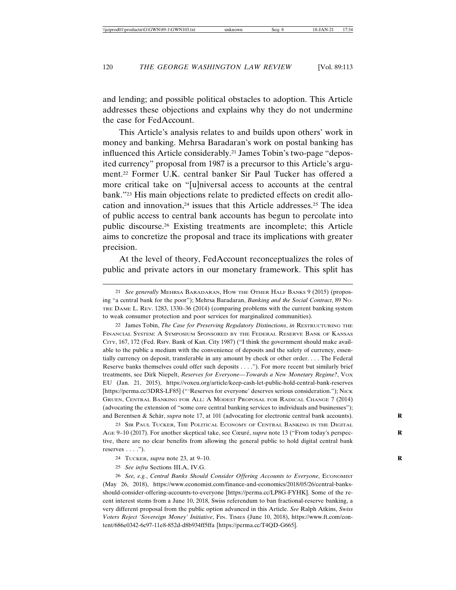and lending; and possible political obstacles to adoption. This Article addresses these objections and explains why they do not undermine the case for FedAccount.

This Article's analysis relates to and builds upon others' work in money and banking. Mehrsa Baradaran's work on postal banking has influenced this Article considerably.21 James Tobin's two-page "deposited currency" proposal from 1987 is a precursor to this Article's argument.22 Former U.K. central banker Sir Paul Tucker has offered a more critical take on "[u]niversal access to accounts at the central bank."23 His main objections relate to predicted effects on credit allocation and innovation, $24$  issues that this Article addresses. $25$  The idea of public access to central bank accounts has begun to percolate into public discourse.26 Existing treatments are incomplete; this Article aims to concretize the proposal and trace its implications with greater precision.

At the level of theory, FedAccount reconceptualizes the roles of public and private actors in our monetary framework. This split has

22 James Tobin, *The Case for Preserving Regulatory Distinctions*, *in* RESTRUCTURING THE FINANCIAL SYSTEM: A SYMPOSIUM SPONSORED BY THE FEDERAL RESERVE BANK OF KANSAS CITY, 167, 172 (Fed. Rsrv. Bank of Kan. City 1987) ("I think the government should make available to the public a medium with the convenience of deposits and the safety of currency, essentially currency on deposit, transferable in any amount by check or other order. . . . The Federal Reserve banks themselves could offer such deposits . . . ."). For more recent but similarly brief treatments, see Dirk Niepelt, *Reserves for Everyone—Towards a New Monetary Regime?*, VOX EU (Jan. 21, 2015), https://voxeu.org/article/keep-cash-let-public-hold-central-bank-reserves [https://perma.cc/3DRS-LF85] ("'Reserves for everyone' deserves serious consideration."); NICK GRUEN, CENTRAL BANKING FOR ALL: A MODEST PROPOSAL FOR RADICAL CHANGE 7 (2014) (advocating the extension of "some core central banking services to individuals and businesses"); and Berentsen & Schär, *supra* note 17, at 101 (advocating for electronic central bank accounts).

23 SIR PAUL TUCKER, THE POLITICAL ECONOMY OF CENTRAL BANKING IN THE DIGITAL AGE 9–10 (2017). For another skeptical take, see Cœuré, *supra* note 13 ("From today's perspective, there are no clear benefits from allowing the general public to hold digital central bank reserves  $\dots$ .").

26 *See, e.g.*, *Central Banks Should Consider Offering Accounts to Everyone*, ECONOMIST (May 26, 2018), https://www.economist.com/finance-and-economics/2018/05/26/central-banksshould-consider-offering-accounts-to-everyone [https://perma.cc/LP8G-FYHK]. Some of the recent interest stems from a June 10, 2018, Swiss referendum to ban fractional-reserve banking, a very different proposal from the public option advanced in this Article. *See* Ralph Atkins, *Swiss Voters Reject 'Sovereign Money' Initiative*, FIN. TIMES (June 10, 2018), https://www.ft.com/content/686e0342-6c97-11e8-852d-d8b934ff5ffa [https://perma.cc/T4QD-G665].

<sup>21</sup> *See generally* MEHRSA BARADARAN, HOW THE OTHER HALF BANKS 9 (2015) (proposing "a central bank for the poor"); Mehrsa Baradaran, *Banking and the Social Contract*, 89 NO-TRE DAME L. REV. 1283, 1330–36 (2014) (comparing problems with the current banking system to weak consumer protection and poor services for marginalized communities).

<sup>24</sup> TUCKER, *supra* note 23, at 9–10. **R**

<sup>25</sup> *See infra* Sections III.A, IV.G.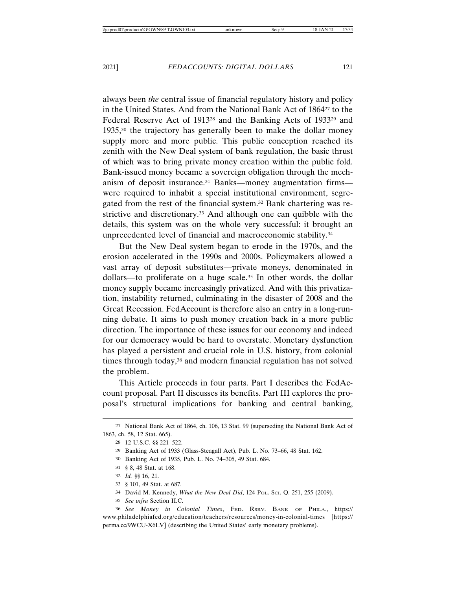always been *the* central issue of financial regulatory history and policy in the United States. And from the National Bank Act of 186427 to the Federal Reserve Act of 1913<sup>28</sup> and the Banking Acts of 1933<sup>29</sup> and 1935,30 the trajectory has generally been to make the dollar money supply more and more public. This public conception reached its zenith with the New Deal system of bank regulation, the basic thrust of which was to bring private money creation within the public fold. Bank-issued money became a sovereign obligation through the mechanism of deposit insurance.<sup>31</sup> Banks—money augmentation firms were required to inhabit a special institutional environment, segregated from the rest of the financial system.32 Bank chartering was restrictive and discretionary.<sup>33</sup> And although one can quibble with the details, this system was on the whole very successful: it brought an unprecedented level of financial and macroeconomic stability.34

But the New Deal system began to erode in the 1970s, and the erosion accelerated in the 1990s and 2000s. Policymakers allowed a vast array of deposit substitutes—private moneys, denominated in dollars—to proliferate on a huge scale.35 In other words, the dollar money supply became increasingly privatized. And with this privatization, instability returned, culminating in the disaster of 2008 and the Great Recession. FedAccount is therefore also an entry in a long-running debate. It aims to push money creation back in a more public direction. The importance of these issues for our economy and indeed for our democracy would be hard to overstate. Monetary dysfunction has played a persistent and crucial role in U.S. history, from colonial times through today,<sup>36</sup> and modern financial regulation has not solved the problem.

This Article proceeds in four parts. Part I describes the FedAccount proposal. Part II discusses its benefits. Part III explores the proposal's structural implications for banking and central banking,

- 30 Banking Act of 1935, Pub. L. No. 74–305, 49 Stat. 684.
- 31 § 8, 48 Stat. at 168.
- 32 *Id.* §§ 16, 21.
- 33 § 101, 49 Stat. at 687.
- 34 David M. Kennedy, *What the New Deal Did*, 124 POL. SCI. Q. 251, 255 (2009).
- 35 *See infra* Section II.C.

36 *See Money in Colonial Times*, FED. RSRV. BANK OF PHILA., https:// www.philadelphiafed.org/education/teachers/resources/money-in-colonial-times [https:// perma.cc/9WCU-X6LV] (describing the United States' early monetary problems).

<sup>27</sup> National Bank Act of 1864, ch. 106, 13 Stat. 99 (superseding the National Bank Act of 1863, ch. 58, 12 Stat. 665).

<sup>28</sup> 12 U.S.C. §§ 221–522.

<sup>29</sup> Banking Act of 1933 (Glass-Steagall Act), Pub. L. No. 73–66, 48 Stat. 162.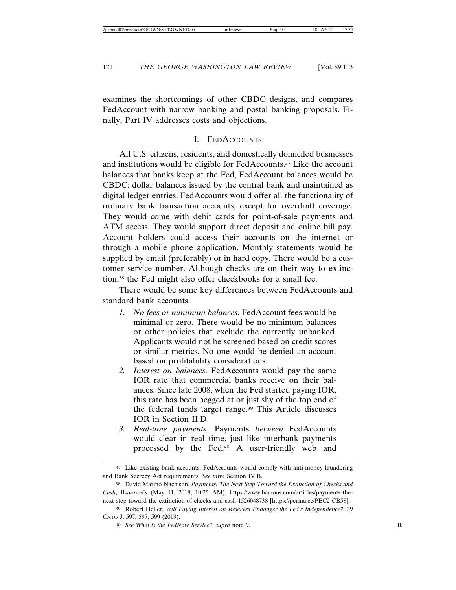examines the shortcomings of other CBDC designs, and compares FedAccount with narrow banking and postal banking proposals. Finally, Part IV addresses costs and objections.

### I. FEDACCOUNTS

All U.S. citizens, residents, and domestically domiciled businesses and institutions would be eligible for FedAccounts.37 Like the account balances that banks keep at the Fed, FedAccount balances would be CBDC: dollar balances issued by the central bank and maintained as digital ledger entries. FedAccounts would offer all the functionality of ordinary bank transaction accounts, except for overdraft coverage. They would come with debit cards for point-of-sale payments and ATM access. They would support direct deposit and online bill pay. Account holders could access their accounts on the internet or through a mobile phone application. Monthly statements would be supplied by email (preferably) or in hard copy. There would be a customer service number. Although checks are on their way to extinction,38 the Fed might also offer checkbooks for a small fee.

There would be some key differences between FedAccounts and standard bank accounts:

- *1. No fees or minimum balances.* FedAccount fees would be minimal or zero. There would be no minimum balances or other policies that exclude the currently unbanked. Applicants would not be screened based on credit scores or similar metrics. No one would be denied an account based on profitability considerations.
- *2. Interest on balances.* FedAccounts would pay the same IOR rate that commercial banks receive on their balances. Since late 2008, when the Fed started paying IOR, this rate has been pegged at or just shy of the top end of the federal funds target range.39 This Article discusses IOR in Section II.D.
- *3. Real-time payments.* Payments *between* FedAccounts would clear in real time, just like interbank payments processed by the Fed.40 A user-friendly web and

<sup>37</sup> Like existing bank accounts, FedAccounts would comply with anti-money laundering and Bank Secrecy Act requirements. *See infra* Section IV.B.

<sup>38</sup> David Marino-Nachison, *Payments: The Next Step Toward the Extinction of Checks and Cash*, BARRON'S (May 11, 2018, 10:25 AM), https://www.barrons.com/articles/payments-thenext-step-toward-the-extinction-of-checks-and-cash-1526048738 [https://perma.cc/PEC2-CB58].

<sup>39</sup> Robert Heller, *Will Paying Interest on Reserves Endanger the Fed's Independence?*, 39 CATO J. 597, 597, 599 (2019).

<sup>40</sup> *See What is the FedNow Service?*, *supra* note 9. **R**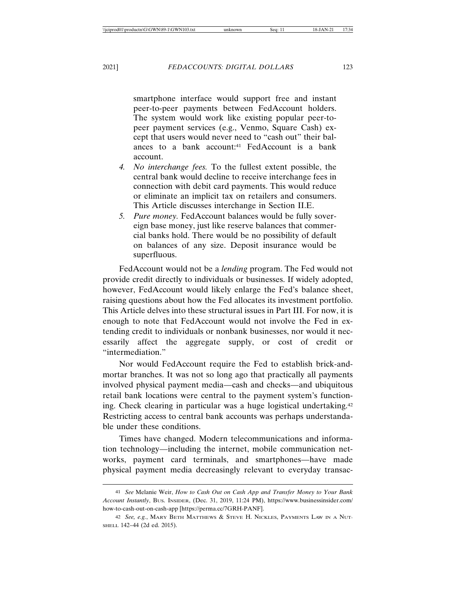smartphone interface would support free and instant peer-to-peer payments between FedAccount holders. The system would work like existing popular peer-topeer payment services (e.g., Venmo, Square Cash) except that users would never need to "cash out" their balances to a bank account:<sup>41</sup> FedAccount is a bank account.

- *4. No interchange fees.* To the fullest extent possible, the central bank would decline to receive interchange fees in connection with debit card payments. This would reduce or eliminate an implicit tax on retailers and consumers. This Article discusses interchange in Section II.E.
- *5. Pure money.* FedAccount balances would be fully sovereign base money, just like reserve balances that commercial banks hold. There would be no possibility of default on balances of any size. Deposit insurance would be superfluous.

FedAccount would not be a *lending* program. The Fed would not provide credit directly to individuals or businesses. If widely adopted, however, FedAccount would likely enlarge the Fed's balance sheet, raising questions about how the Fed allocates its investment portfolio. This Article delves into these structural issues in Part III. For now, it is enough to note that FedAccount would not involve the Fed in extending credit to individuals or nonbank businesses, nor would it necessarily affect the aggregate supply, or cost of credit or "intermediation."

Nor would FedAccount require the Fed to establish brick-andmortar branches. It was not so long ago that practically all payments involved physical payment media—cash and checks—and ubiquitous retail bank locations were central to the payment system's functioning. Check clearing in particular was a huge logistical undertaking.42 Restricting access to central bank accounts was perhaps understandable under these conditions.

Times have changed. Modern telecommunications and information technology—including the internet, mobile communication networks, payment card terminals, and smartphones—have made physical payment media decreasingly relevant to everyday transac-

<sup>41</sup> *See* Melanie Weir, *How to Cash Out on Cash App and Transfer Money to Your Bank Account Instantly*, BUS. INSIDER, (Dec. 31, 2019, 11:24 PM), https://www.businessinsider.com/ how-to-cash-out-on-cash-app [https://perma.cc/7GRH-PANF].

<sup>42</sup> *See, e.g.*, MARY BETH MATTHEWS & STEVE H. NICKLES, PAYMENTS LAW IN A NUT-SHELL 142–44 (2d ed. 2015).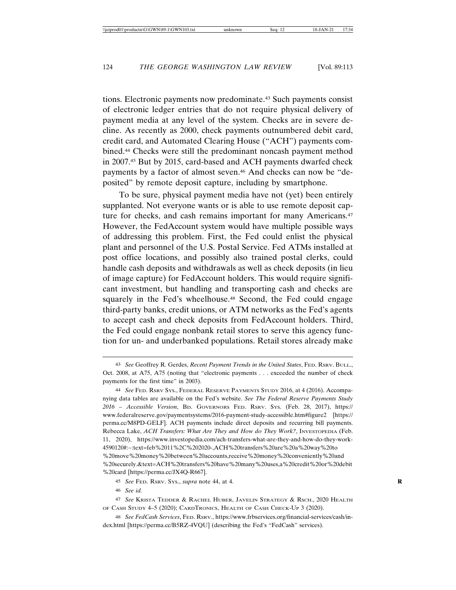tions. Electronic payments now predominate.43 Such payments consist of electronic ledger entries that do not require physical delivery of payment media at any level of the system. Checks are in severe decline. As recently as 2000, check payments outnumbered debit card, credit card, and Automated Clearing House ("ACH") payments combined.44 Checks were still the predominant noncash payment method in 2007.45 But by 2015, card-based and ACH payments dwarfed check payments by a factor of almost seven.46 And checks can now be "deposited" by remote deposit capture, including by smartphone.

To be sure, physical payment media have not (yet) been entirely supplanted. Not everyone wants or is able to use remote deposit capture for checks, and cash remains important for many Americans.<sup>47</sup> However, the FedAccount system would have multiple possible ways of addressing this problem. First, the Fed could enlist the physical plant and personnel of the U.S. Postal Service. Fed ATMs installed at post office locations, and possibly also trained postal clerks, could handle cash deposits and withdrawals as well as check deposits (in lieu of image capture) for FedAccount holders. This would require significant investment, but handling and transporting cash and checks are squarely in the Fed's wheelhouse.<sup>48</sup> Second, the Fed could engage third-party banks, credit unions, or ATM networks as the Fed's agents to accept cash and check deposits from FedAccount holders. Third, the Fed could engage nonbank retail stores to serve this agency function for un- and underbanked populations. Retail stores already make

<sup>43</sup> *See* Geoffrey R. Gerdes, *Recent Payment Trends in the United States*, FED. RSRV. BULL., Oct. 2008, at A75, A75 (noting that "electronic payments . . . exceeded the number of check payments for the first time" in 2003).

<sup>44</sup> *See* FED. RSRV SYS., FEDERAL RESERVE PAYMENTS STUDY 2016, at 4 (2016). Accompanying data tables are available on the Fed's website. *See The Federal Reserve Payments Study 2016 – Accessible Version*, BD. GOVERNORS FED. RSRV. SYS. (Feb. 28, 2017), https:// www.federalreserve.gov/paymentsystems/2016-payment-study-accessible.htm#figure2 [https:// perma.cc/M8PD-GELF]. ACH payments include direct deposits and recurring bill payments. Rebecca Lake, *ACH Transfers: What Are They and How do They Work?*, INVESTOPEDIA (Feb. 11, 2020), https://www.investopedia.com/ach-transfers-what-are-they-and-how-do-they-work-4590120#:~:text=feb%2011%2C%202020-,ACH%20transfers%20are%20a%20way%20to %20move%20money%20between%20accounts,receive%20money%20conveniently%20and %20securely.&text=ACH%20transfers%20have%20many%20uses,a%20credit%20or%20debit %20card [https://perma.cc/JX4Q-R667].

<sup>45</sup> *See* FED. RSRV. SYS., *supra* note 44, at 4. **R**

<sup>46</sup> *See id.*

<sup>47</sup> *See* KRISTA TEDDER & RACHEL HUBER, JAVELIN STRATEGY & RSCH., 2020 HEALTH OF CASH STUDY 4–5 (2020); CARDTRONICS, HEALTH OF CASH CHECK-UP 3 (2020).

<sup>48</sup> *See FedCash Services*, FED. RSRV., https://www.frbservices.org/financial-services/cash/index.html [https://perma.cc/B5RZ-4VQU] (describing the Fed's "FedCash" services).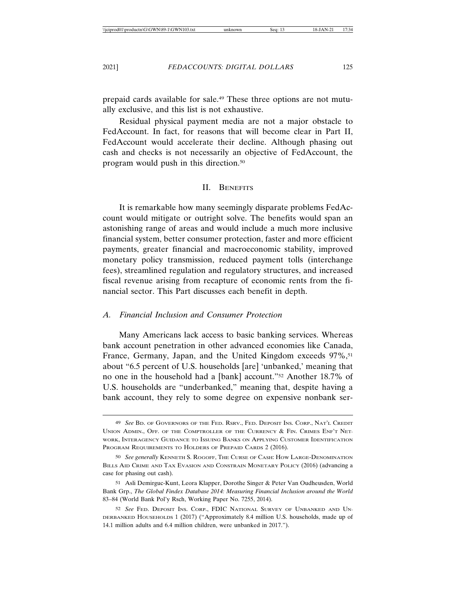prepaid cards available for sale.49 These three options are not mutually exclusive, and this list is not exhaustive.

Residual physical payment media are not a major obstacle to FedAccount. In fact, for reasons that will become clear in Part II, FedAccount would accelerate their decline. Although phasing out cash and checks is not necessarily an objective of FedAccount, the program would push in this direction.50

### II. BENEFITS

It is remarkable how many seemingly disparate problems FedAccount would mitigate or outright solve. The benefits would span an astonishing range of areas and would include a much more inclusive financial system, better consumer protection, faster and more efficient payments, greater financial and macroeconomic stability, improved monetary policy transmission, reduced payment tolls (interchange fees), streamlined regulation and regulatory structures, and increased fiscal revenue arising from recapture of economic rents from the financial sector. This Part discusses each benefit in depth.

### *A. Financial Inclusion and Consumer Protection*

Many Americans lack access to basic banking services. Whereas bank account penetration in other advanced economies like Canada, France, Germany, Japan, and the United Kingdom exceeds 97%,<sup>51</sup> about "6.5 percent of U.S. households [are] 'unbanked,' meaning that no one in the household had a [bank] account."52 Another 18.7% of U.S. households are "underbanked," meaning that, despite having a bank account, they rely to some degree on expensive nonbank ser-

<sup>49</sup> *See* BD. OF GOVERNORS OF THE FED. RSRV., FED. DEPOSIT INS. CORP., NAT'L CREDIT UNION ADMIN., OFF. OF THE COMPTROLLER OF THE CURRENCY & FIN. CRIMES ENF'T NET-WORK, INTERAGENCY GUIDANCE TO ISSUING BANKS ON APPLYING CUSTOMER IDENTIFICATION PROGRAM REQUIREMENTS TO HOLDERS OF PREPAID CARDS 2 (2016).

<sup>50</sup> *See generally* KENNETH S. ROGOFF, THE CURSE OF CASH: HOW LARGE-DENOMINATION BILLS AID CRIME AND TAX EVASION AND CONSTRAIN MONETARY POLICY (2016) (advancing a case for phasing out cash).

<sup>51</sup> Asli Demirguc-Kunt, Leora Klapper, Dorothe Singer & Peter Van Oudheusden, World Bank Grp., *The Global Findex Database 2014: Measuring Financial Inclusion around the World* 83–84 (World Bank Pol'y Rsch, Working Paper No. 7255, 2014).

<sup>52</sup> *See* FED. DEPOSIT INS. CORP., FDIC NATIONAL SURVEY OF UNBANKED AND UN-DERBANKED HOUSEHOLDS 1 (2017) ("Approximately 8.4 million U.S. households, made up of 14.1 million adults and 6.4 million children, were unbanked in 2017.").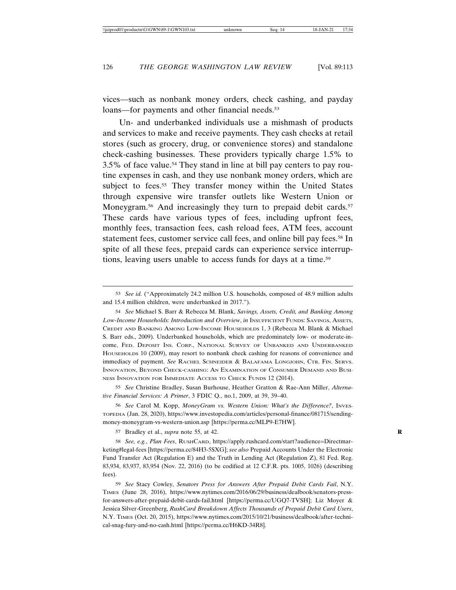vices—such as nonbank money orders, check cashing, and payday loans—for payments and other financial needs.<sup>53</sup>

Un- and underbanked individuals use a mishmash of products and services to make and receive payments. They cash checks at retail stores (such as grocery, drug, or convenience stores) and standalone check-cashing businesses. These providers typically charge 1.5% to 3.5% of face value.54 They stand in line at bill pay centers to pay routine expenses in cash, and they use nonbank money orders, which are subject to fees.<sup>55</sup> They transfer money within the United States through expensive wire transfer outlets like Western Union or Moneygram.<sup>56</sup> And increasingly they turn to prepaid debit cards.<sup>57</sup> These cards have various types of fees, including upfront fees, monthly fees, transaction fees, cash reload fees, ATM fees, account statement fees, customer service call fees, and online bill pay fees.58 In spite of all these fees, prepaid cards can experience service interruptions, leaving users unable to access funds for days at a time.59

55 *See* Christine Bradley, Susan Burhouse, Heather Gratton & Rae-Ann Miller, *Alternative Financial Services: A Primer*, 3 FDIC Q., no.1, 2009, at 39, 39–40.

56 *See* Carol M. Kopp, *MoneyGram vs. Western Union: What's the Difference?*, INVES-TOPEDIA (Jan. 28, 2020), https://www.investopedia.com/articles/personal-finance/081715/sendingmoney-moneygram-vs-western-union.asp [https://perma.cc/MLP9-E7HW].

57 Bradley et al., *supra* note 55, at 42. **R**

58 *See, e.g.*, *Plan Fees*, RUSHCARD, https://apply.rushcard.com/start?audience=Directmarketing#legal-fees [https://perma.cc/84H3-5SXG]; *see also* Prepaid Accounts Under the Electronic Fund Transfer Act (Regulation E) and the Truth in Lending Act (Regulation Z), 81 Fed. Reg. 83,934, 83,937, 83,954 (Nov. 22, 2016) (to be codified at 12 C.F.R. pts. 1005, 1026) (describing fees).

59 *See* Stacy Cowley, *Senators Press for Answers After Prepaid Debit Cards Fail*, N.Y. TIMES (June 28, 2016), https://www.nytimes.com/2016/06/29/business/dealbook/senators-pressfor-answers-after-prepaid-debit-cards-fail.html [https://perma.cc/UGQ7-TVSH]; Liz Moyer & Jessica Silver-Greenberg, *RushCard Breakdown Affects Thousands of Prepaid Debit Card Users*, N.Y. TIMES (Oct. 20, 2015), https://www.nytimes.com/2015/10/21/business/dealbook/after-technical-snag-fury-and-no-cash.html [https://perma.cc/H6KD-34R8].

<sup>53</sup> *See id.* ("Approximately 24.2 million U.S. households, composed of 48.9 million adults and 15.4 million children, were underbanked in 2017.").

<sup>54</sup> *See* Michael S. Barr & Rebecca M. Blank, *Savings, Assets, Credit, and Banking Among Low-Income Households: Introduction and Overview*, *in* INSUFFICIENT FUNDS: SAVINGS, ASSETS, CREDIT AND BANKING AMONG LOW-INCOME HOUSEHOLDS 1, 3 (Rebecca M. Blank & Michael S. Barr eds., 2009). Underbanked households, which are predominately low- or moderate-income, FED. DEPOSIT INS. CORP., NATIONAL SURVEY OF UNBANKED AND UNDERBANKED HOUSEHOLDS 10 (2009), may resort to nonbank check cashing for reasons of convenience and immediacy of payment. *See* RACHEL SCHNEIDER & BALAFAMA LONGJOHN, CTR. FIN. SERVS. INNOVATION, BEYOND CHECK-CASHING: AN EXAMINATION OF CONSUMER DEMAND AND BUSI-NESS INNOVATION FOR IMMEDIATE ACCESS TO CHECK FUNDS 12 (2014).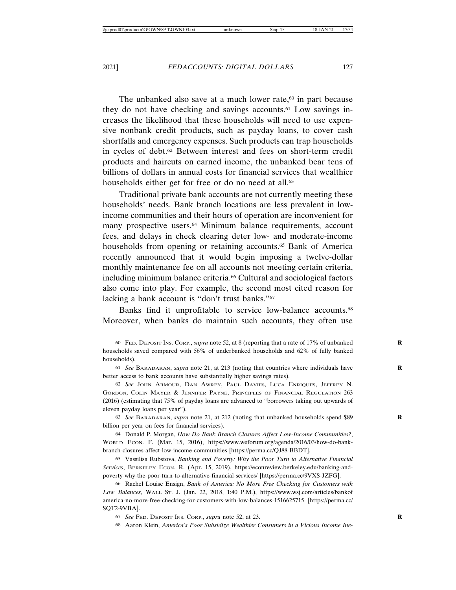The unbanked also save at a much lower rate, $60$  in part because they do not have checking and savings accounts.61 Low savings increases the likelihood that these households will need to use expensive nonbank credit products, such as payday loans, to cover cash shortfalls and emergency expenses. Such products can trap households in cycles of debt.62 Between interest and fees on short-term credit products and haircuts on earned income, the unbanked bear tens of billions of dollars in annual costs for financial services that wealthier households either get for free or do no need at all.<sup>63</sup>

Traditional private bank accounts are not currently meeting these households' needs. Bank branch locations are less prevalent in lowincome communities and their hours of operation are inconvenient for many prospective users.<sup>64</sup> Minimum balance requirements, account fees, and delays in check clearing deter low- and moderate-income households from opening or retaining accounts.<sup>65</sup> Bank of America recently announced that it would begin imposing a twelve-dollar monthly maintenance fee on all accounts not meeting certain criteria, including minimum balance criteria.66 Cultural and sociological factors also come into play. For example, the second most cited reason for lacking a bank account is "don't trust banks."67

Banks find it unprofitable to service low-balance accounts.<sup>68</sup> Moreover, when banks do maintain such accounts, they often use

63 *See* BARADARAN, *supra* note 21, at 212 (noting that unbanked households spend \$89 **R** billion per year on fees for financial services).

64 Donald P. Morgan, *How Do Bank Branch Closures Affect Low-Income Communities?*, WORLD ECON. F. (Mar. 15, 2016), https://www.weforum.org/agenda/2016/03/how-do-bankbranch-closures-affect-low-income-communities [https://perma.cc/QJ88-BBDT].

65 Vassilisa Rubstova, *Banking and Poverty: Why the Poor Turn to Alternative Financial Services*, BERKELEY ECON. R. (Apr. 15, 2019), https://econreview.berkeley.edu/banking-andpoverty-why-the-poor-turn-to-alternative-financial-services/ [https://perma.cc/9VXS-JZFG].

66 Rachel Louise Ensign, *Bank of America: No More Free Checking for Customers with Low Balances*, WALL ST. J. (Jan. 22, 2018, 1:40 P.M.), https://www.wsj.com/articles/bankof america-no-more-free-checking-for-customers-with-low-balances-1516625715 [https://perma.cc/ SQT2-9VBA].

67 *See* FED. DEPOSIT INS. CORP., *supra* note 52, at 23. **R**

68 Aaron Klein, *America's Poor Subsidize Wealthier Consumers in a Vicious Income Ine-*

<sup>60</sup> FED. DEPOSIT INS. CORP., *supra* note 52, at 8 (reporting that a rate of 17% of unbanked **R** households saved compared with 56% of underbanked households and 62% of fully banked households).

<sup>61</sup> *See* BARADARAN, *supra* note 21, at 213 (noting that countries where individuals have **R** better access to bank accounts have substantially higher savings rates).

<sup>62</sup> *See* JOHN ARMOUR, DAN AWREY, PAUL DAVIES, LUCA ENRIQUES, JEFFREY N. GORDON, COLIN MAYER & JENNIFER PAYNE, PRINCIPLES OF FINANCIAL REGULATION 263 (2016) (estimating that 75% of payday loans are advanced to "borrowers taking out upwards of eleven payday loans per year").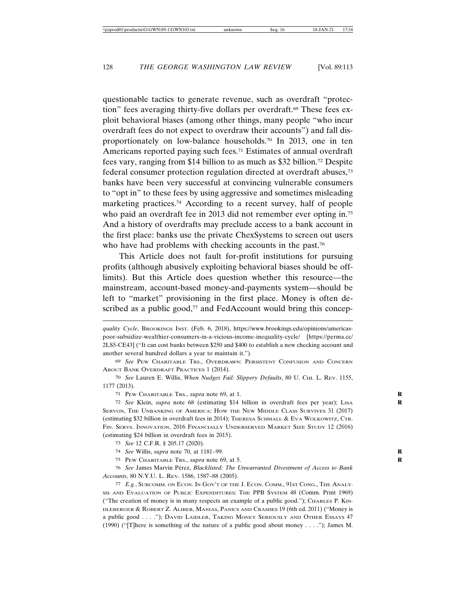questionable tactics to generate revenue, such as overdraft "protection" fees averaging thirty-five dollars per overdraft.69 These fees exploit behavioral biases (among other things, many people "who incur overdraft fees do not expect to overdraw their accounts") and fall disproportionately on low-balance households.70 In 2013, one in ten Americans reported paying such fees.<sup>71</sup> Estimates of annual overdraft fees vary, ranging from \$14 billion to as much as \$32 billion.72 Despite federal consumer protection regulation directed at overdraft abuses,73 banks have been very successful at convincing vulnerable consumers to "opt in" to these fees by using aggressive and sometimes misleading marketing practices.74 According to a recent survey, half of people who paid an overdraft fee in 2013 did not remember ever opting in.<sup>75</sup> And a history of overdrafts may preclude access to a bank account in the first place: banks use the private ChexSystems to screen out users who have had problems with checking accounts in the past.<sup>76</sup>

This Article does not fault for-profit institutions for pursuing profits (although abusively exploiting behavioral biases should be offlimits). But this Article does question whether this resource—the mainstream, account-based money-and-payments system—should be left to "market" provisioning in the first place. Money is often described as a public good,<sup>77</sup> and FedAccount would bring this concep-

70 *See* Lauren E. Willis, *When Nudges Fail: Slippery Defaults*, 80 U. CHI. L. REV. 1155, 1177 (2013).

71 PEW CHARITABLE TRS., *supra* note 69, at 1. **R**

72 *See* Klein, *supra* note 68 (estimating \$14 billion in overdraft fees per year); LISA **R** SERVON, THE UNBANKING OF AMERICA: HOW THE NEW MIDDLE CLASS SURVIVES 31 (2017) (estimating \$32 billion in overdraft fees in 2014); THERESA SCHMALL & EVA WOLKOWITZ, CTR. FIN. SERVS. INNOVATION, 2016 FINANCIALLY UNDERSERVED MARKET SIZE STUDY 12 (2016) (estimating \$24 billion in overdraft fees in 2015).

73 *See* 12 C.F.R. § 205.17 (2020).

74 *See* Willis, *supra* note 70, at 1181–99. **R**

75 PEW CHARITABLE TRS., *supra* note 69, at 5. **R**

76 See James Marvin Pérez, *Blacklisted: The Unwarranted Divestment of Access to Bank Accounts*, 80 N.Y.U. L. REV. 1586, 1587–88 (2005).

77 *E.g.*, SUBCOMM. ON ECON. IN GOV'T OF THE J. ECON. COMM., 91ST CONG., THE ANALY-SIS AND EVALUATION OF PUBLIC EXPENDITURES: THE PPB SYSTEM 48 (Comm. Print 1969) ("The creation of money is in many respects an example of a public good."); CHARLES P. KIN-DLEBERGER & ROBERT Z. ALIBER, MANIAS, PANICS AND CRASHES 19 (6th ed. 2011) ("Money is a public good . . . ."); DAVID LAIDLER, TAKING MONEY SERIOUSLY AND OTHER ESSAYS 47 (1990) ("[T]here is something of the nature of a public good about money . . . ."); James M.

*quality Cycle*, BROOKINGS INST. (Feb. 6, 2018), https://www.brookings.edu/opinions/americaspoor-subsidize-wealthier-consumers-in-a-vicious-income-inequality-cycle/ [https://perma.cc/ 2LS5-CE43] ("It can cost banks between \$250 and \$400 to establish a new checking account and another several hundred dollars a year to maintain it.").

<sup>69</sup> *See* PEW CHARITABLE TRS., OVERDRAWN: PERSISTENT CONFUSION AND CONCERN ABOUT BANK OVERDRAFT PRACTICES 1 (2014).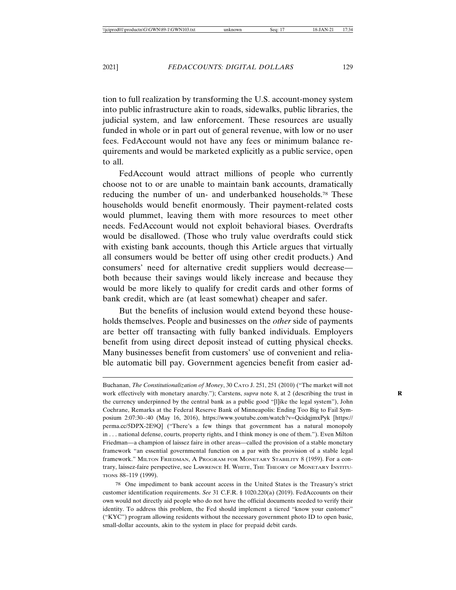tion to full realization by transforming the U.S. account-money system into public infrastructure akin to roads, sidewalks, public libraries, the judicial system, and law enforcement. These resources are usually funded in whole or in part out of general revenue, with low or no user fees. FedAccount would not have any fees or minimum balance requirements and would be marketed explicitly as a public service, open to all.

FedAccount would attract millions of people who currently choose not to or are unable to maintain bank accounts, dramatically reducing the number of un- and underbanked households.78 These households would benefit enormously. Their payment-related costs would plummet, leaving them with more resources to meet other needs. FedAccount would not exploit behavioral biases. Overdrafts would be disallowed. (Those who truly value overdrafts could stick with existing bank accounts, though this Article argues that virtually all consumers would be better off using other credit products.) And consumers' need for alternative credit suppliers would decrease both because their savings would likely increase and because they would be more likely to qualify for credit cards and other forms of bank credit, which are (at least somewhat) cheaper and safer.

But the benefits of inclusion would extend beyond these households themselves. People and businesses on the *other* side of payments are better off transacting with fully banked individuals. Employers benefit from using direct deposit instead of cutting physical checks. Many businesses benefit from customers' use of convenient and reliable automatic bill pay. Government agencies benefit from easier ad-

78 One impediment to bank account access in the United States is the Treasury's strict customer identification requirements. *See* 31 C.F.R. § 1020.220(a) (2019). FedAccounts on their own would not directly aid people who do not have the official documents needed to verify their identity. To address this problem, the Fed should implement a tiered "know your customer" ("KYC") program allowing residents without the necessary government photo ID to open basic, small-dollar accounts, akin to the system in place for prepaid debit cards.

Buchanan, *The Constitutionalization of Money*, 30 CATO J. 251, 251 (2010) ("The market will not work effectively with monetary anarchy."); Carstens, *supra* note 8, at 2 (describing the trust in the currency underpinned by the central bank as a public good "[l]ike the legal system"), John Cochrane, Remarks at the Federal Reserve Bank of Minneapolis: Ending Too Big to Fail Symposium 2:07:30–:40 (May 16, 2016), https://www.youtube.com/watch?v=QcidqjmxPyk [https:// perma.cc/5DPX-2E9Q] ("There's a few things that government has a natural monopoly in . . . national defense, courts, property rights, and I think money is one of them."). Even Milton Friedman—a champion of laissez faire in other areas—called the provision of a stable monetary framework "an essential governmental function on a par with the provision of a stable legal framework." MILTON FRIEDMAN, A PROGRAM FOR MONETARY STABILITY 8 (1959). For a contrary, laissez-faire perspective, see LAWRENCE H. WHITE, THE THEORY OF MONETARY INSTITU-TIONS 88–119 (1999).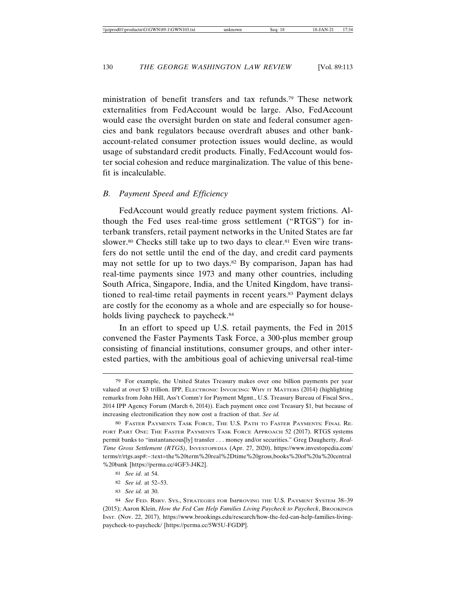ministration of benefit transfers and tax refunds.79 These network externalities from FedAccount would be large. Also, FedAccount would ease the oversight burden on state and federal consumer agencies and bank regulators because overdraft abuses and other bankaccount-related consumer protection issues would decline, as would usage of substandard credit products. Finally, FedAccount would foster social cohesion and reduce marginalization. The value of this benefit is incalculable.

### *B. Payment Speed and Efficiency*

FedAccount would greatly reduce payment system frictions. Although the Fed uses real-time gross settlement ("RTGS") for interbank transfers, retail payment networks in the United States are far slower.<sup>80</sup> Checks still take up to two days to clear.<sup>81</sup> Even wire transfers do not settle until the end of the day, and credit card payments may not settle for up to two days.<sup>82</sup> By comparison, Japan has had real-time payments since 1973 and many other countries, including South Africa, Singapore, India, and the United Kingdom, have transitioned to real-time retail payments in recent years.83 Payment delays are costly for the economy as a whole and are especially so for households living paycheck to paycheck.<sup>84</sup>

In an effort to speed up U.S. retail payments, the Fed in 2015 convened the Faster Payments Task Force, a 300-plus member group consisting of financial institutions, consumer groups, and other interested parties, with the ambitious goal of achieving universal real-time

<sup>79</sup> For example, the United States Treasury makes over one billion payments per year valued at over \$3 trillion. IPP, ELECTRONIC INVOICING: WHY IT MATTERS (2014) (highlighting remarks from John Hill, Ass't Comm'r for Payment Mgmt., U.S. Treasury Bureau of Fiscal Srvs., 2014 IPP Agency Forum (March 6, 2014)). Each payment once cost Treasury \$1, but because of increasing electronification they now cost a fraction of that. *See id.*

<sup>80</sup> FASTER PAYMENTS TASK FORCE, THE U.S. PATH TO FASTER PAYMENTS: FINAL RE-PORT PART ONE: THE FASTER PAYMENTS TASK FORCE APPROACH 52 (2017). RTGS systems permit banks to "instantaneous[ly] transfer . . . money and/or securities." Greg Daugherty, *Real-Time Gross Settlement (RTGS)*, INVESTOPEDIA (Apr. 27, 2020), https://www.investopedia.com/ terms/r/rtgs.asp#:~:text=the%20term%20real%2Dtime%20gross,books%20of%20a%20central %20bank [https://perma.cc/4GF3-J4K2].

<sup>81</sup> *See id*. at 54.

<sup>82</sup> *See id.* at 52–53.

<sup>83</sup> *See id.* at 30.

<sup>84</sup> *See* FED. RSRV. SYS., STRATEGIES FOR IMPROVING THE U.S. PAYMENT SYSTEM 38–39 (2015); Aaron Klein, *How the Fed Can Help Families Living Paycheck to Paycheck*, BROOKINGS INST. (Nov. 22, 2017), https://www.brookings.edu/research/how-the-fed-can-help-families-livingpaycheck-to-paycheck/ [https://perma.cc/5W5U-FGDP].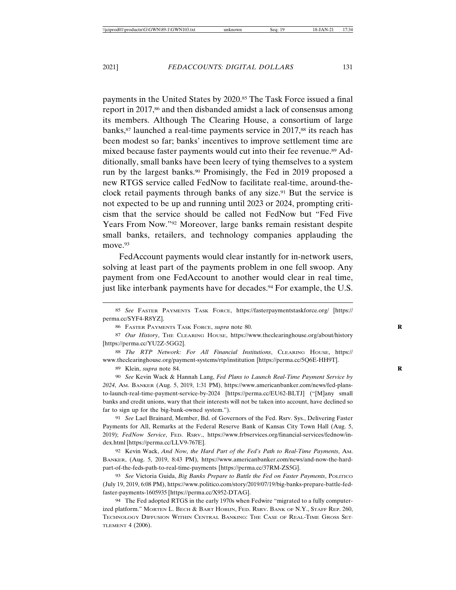payments in the United States by 2020.85 The Task Force issued a final report in 2017,<sup>86</sup> and then disbanded amidst a lack of consensus among its members. Although The Clearing House, a consortium of large banks,<sup>87</sup> launched a real-time payments service in 2017,<sup>88</sup> its reach has been modest so far; banks' incentives to improve settlement time are mixed because faster payments would cut into their fee revenue.89 Additionally, small banks have been leery of tying themselves to a system run by the largest banks.<sup>90</sup> Promisingly, the Fed in 2019 proposed a new RTGS service called FedNow to facilitate real-time, around-theclock retail payments through banks of any size.<sup>91</sup> But the service is not expected to be up and running until 2023 or 2024, prompting criticism that the service should be called not FedNow but "Fed Five Years From Now."92 Moreover, large banks remain resistant despite small banks, retailers, and technology companies applauding the move.<sup>93</sup>

FedAccount payments would clear instantly for in-network users, solving at least part of the payments problem in one fell swoop. Any payment from one FedAccount to another would clear in real time, just like interbank payments have for decades.<sup>94</sup> For example, the U.S.

86 FASTER PAYMENTS TASK FORCE, *supra* note 80. **R**

88 *The RTP Network: For All Financial Institutions*, CLEARING HOUSE, https:// www.theclearinghouse.org/payment-systems/rtp/institution [https://perma.cc/5Q6E-HH9T].

89 Klein, *supra* note 84. **R**

90 *See* Kevin Wack & Hannah Lang, *Fed Plans to Launch Real-Time Payment Service by 2024*, AM. BANKER (Aug. 5, 2019, 1:31 PM), https://www.americanbanker.com/news/fed-plansto-launch-real-time-payment-service-by-2024 [https://perma.cc/EU62-BLTJ] ("[M]any small banks and credit unions, wary that their interests will not be taken into account, have declined so far to sign up for the big-bank-owned system.").

91 *See* Lael Brainard, Member, Bd. of Governors of the Fed. Rsrv. Sys., Delivering Faster Payments for All, Remarks at the Federal Reserve Bank of Kansas City Town Hall (Aug. 5, 2019); *FedNow Service*, FED. RSRV., https://www.frbservices.org/financial-services/fednow/index.html [https://perma.cc/LLV9-767E].

92 Kevin Wack, *And Now, the Hard Part of the Fed's Path to Real-Time Payments*, AM. BANKER, (Aug. 5, 2019, 8:43 PM), https://www.americanbanker.com/news/and-now-the-hardpart-of-the-feds-path-to-real-time-payments [https://perma.cc/37RM-ZS5G].

93 *See* Victoria Guida, *Big Banks Prepare to Battle the Fed on Faster Payments*, POLITICO (July 19, 2019, 6:08 PM), https://www.politico.com/story/2019/07/19/big-banks-prepare-battle-fedfaster-payments-1605935 [https://perma.cc/X952-DTAG].

94 The Fed adopted RTGS in the early 1970s when Fedwire "migrated to a fully computerized platform." MORTEN L. BECH & BART HOBIJN, FED. RSRV. BANK OF N.Y., STAFF REP. 260, TECHNOLOGY DIFFUSION WITHIN CENTRAL BANKING: THE CASE OF REAL-TIME GROSS SET-TLEMENT 4 (2006).

<sup>85</sup> *See* FASTER PAYMENTS TASK FORCE, https://fasterpaymentstaskforce.org/ [https:// perma.cc/SYF4-R8YZ].

<sup>87</sup> *Our History*, THE CLEARING HOUSE, https://www.theclearinghouse.org/about/history [https://perma.cc/YU2Z-5GG2].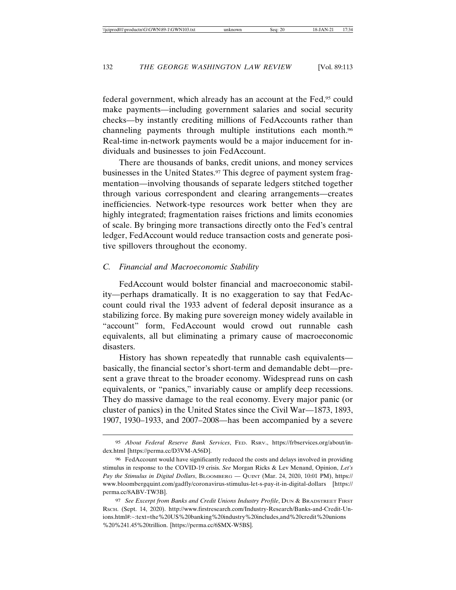federal government, which already has an account at the Fed,95 could make payments—including government salaries and social security checks—by instantly crediting millions of FedAccounts rather than channeling payments through multiple institutions each month.96 Real-time in-network payments would be a major inducement for individuals and businesses to join FedAccount.

There are thousands of banks, credit unions, and money services businesses in the United States.<sup>97</sup> This degree of payment system fragmentation—involving thousands of separate ledgers stitched together through various correspondent and clearing arrangements—creates inefficiencies. Network-type resources work better when they are highly integrated; fragmentation raises frictions and limits economies of scale. By bringing more transactions directly onto the Fed's central ledger, FedAccount would reduce transaction costs and generate positive spillovers throughout the economy.

### *C. Financial and Macroeconomic Stability*

FedAccount would bolster financial and macroeconomic stability—perhaps dramatically. It is no exaggeration to say that FedAccount could rival the 1933 advent of federal deposit insurance as a stabilizing force. By making pure sovereign money widely available in "account" form, FedAccount would crowd out runnable cash equivalents, all but eliminating a primary cause of macroeconomic disasters.

History has shown repeatedly that runnable cash equivalents basically, the financial sector's short-term and demandable debt—present a grave threat to the broader economy. Widespread runs on cash equivalents, or "panics," invariably cause or amplify deep recessions. They do massive damage to the real economy. Every major panic (or cluster of panics) in the United States since the Civil War—1873, 1893, 1907, 1930–1933, and 2007–2008—has been accompanied by a severe

<sup>95</sup> *About Federal Reserve Bank Services*, FED. RSRV., https://frbservices.org/about/index.html [https://perma.cc/D3VM-A56D].

<sup>96</sup> FedAccount would have significantly reduced the costs and delays involved in providing stimulus in response to the COVID-19 crisis. *See* Morgan Ricks & Lev Menand, Opinion, *Let's Pay the Stimulus in Digital Dollars*, BLOOMBERG — QUINT (Mar. 24, 2020, 10:01 PM), https:// www.bloombergquint.com/gadfly/coronavirus-stimulus-let-s-pay-it-in-digital-dollars [https:// perma.cc/8ABV-TW3B].

<sup>97</sup> *See Excerpt from Banks and Credit Unions Industry Profile*, DUN & BRADSTREET FIRST RSCH. (Sept. 14, 2020). http://www.firstresearch.com/Industry-Research/Banks-and-Credit-Unions.html#:~:text=the%20US%20banking%20industry%20includes,and%20credit%20unions %20%241.45%20trillion. [https://perma.cc/6SMX-W5BS].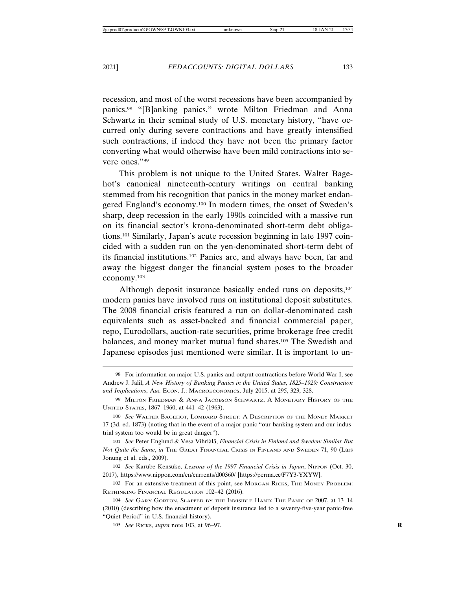recession, and most of the worst recessions have been accompanied by panics.98 "[B]anking panics," wrote Milton Friedman and Anna Schwartz in their seminal study of U.S. monetary history, "have occurred only during severe contractions and have greatly intensified such contractions, if indeed they have not been the primary factor converting what would otherwise have been mild contractions into severe ones."99

This problem is not unique to the United States. Walter Bagehot's canonical nineteenth-century writings on central banking stemmed from his recognition that panics in the money market endangered England's economy.100 In modern times, the onset of Sweden's sharp, deep recession in the early 1990s coincided with a massive run on its financial sector's krona-denominated short-term debt obligations.101 Similarly, Japan's acute recession beginning in late 1997 coincided with a sudden run on the yen-denominated short-term debt of its financial institutions.102 Panics are, and always have been, far and away the biggest danger the financial system poses to the broader economy.103

Although deposit insurance basically ended runs on deposits,<sup>104</sup> modern panics have involved runs on institutional deposit substitutes. The 2008 financial crisis featured a run on dollar-denominated cash equivalents such as asset-backed and financial commercial paper, repo, Eurodollars, auction-rate securities, prime brokerage free credit balances, and money market mutual fund shares.105 The Swedish and Japanese episodes just mentioned were similar. It is important to un-

<sup>98</sup> For information on major U.S. panics and output contractions before World War I, see Andrew J. Jalil, *A New History of Banking Panics in the United States, 1825–1929: Construction and Implications*, AM. ECON. J.: MACROECONOMICS, July 2015, at 295, 323, 328.

<sup>99</sup> MILTON FRIEDMAN & ANNA JACOBSON SCHWARTZ, A MONETARY HISTORY OF THE UNITED STATES, 1867–1960, at 441–42 (1963).

<sup>100</sup> *See* WALTER BAGEHOT, LOMBARD STREET: A DESCRIPTION OF THE MONEY MARKET 17 (3d. ed. 1873) (noting that in the event of a major panic "our banking system and our industrial system too would be in great danger").

<sup>101</sup> See Peter Englund & Vesa Vihriälä, *Financial Crisis in Finland and Sweden: Similar But Not Quite the Same*, *in* THE GREAT FINANCIAL CRISIS IN FINLAND AND SWEDEN 71, 90 (Lars Jonung et al. eds., 2009).

<sup>102</sup> *See* Karube Kensuke, *Lessons of the 1997 Financial Crisis in Japan*, NIPPON (Oct. 30, 2017), https://www.nippon.com/en/currents/d00360/ [https://perma.cc/F7Y3-YXYW].

<sup>103</sup> For an extensive treatment of this point, see MORGAN RICKS, THE MONEY PROBLEM: RETHINKING FINANCIAL REGULATION 102–42 (2016).

<sup>104</sup> *See* GARY GORTON, SLAPPED BY THE INVISIBLE HAND: THE PANIC OF 2007, at 13–14 (2010) (describing how the enactment of deposit insurance led to a seventy-five-year panic-free "Quiet Period" in U.S. financial history).

<sup>105</sup> *See* RICKS, *supra* note 103, at 96–97. **R**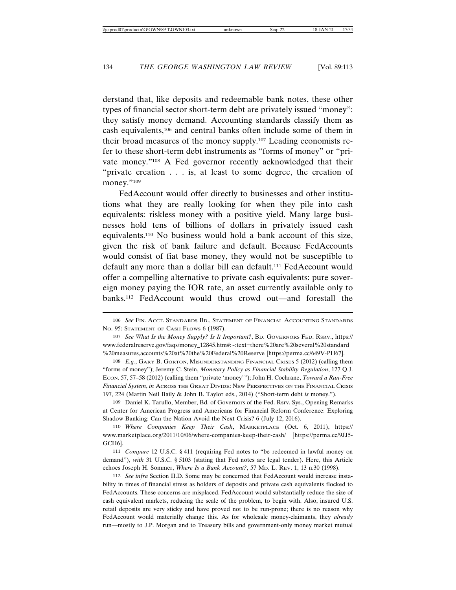derstand that, like deposits and redeemable bank notes, these other types of financial sector short-term debt are privately issued "money": they satisfy money demand. Accounting standards classify them as cash equivalents,106 and central banks often include some of them in their broad measures of the money supply.107 Leading economists refer to these short-term debt instruments as "forms of money" or "private money."108 A Fed governor recently acknowledged that their "private creation . . . is, at least to some degree, the creation of money."109

FedAccount would offer directly to businesses and other institutions what they are really looking for when they pile into cash equivalents: riskless money with a positive yield. Many large businesses hold tens of billions of dollars in privately issued cash equivalents.110 No business would hold a bank account of this size, given the risk of bank failure and default. Because FedAccounts would consist of fiat base money, they would not be susceptible to default any more than a dollar bill can default.111 FedAccount would offer a compelling alternative to private cash equivalents: pure sovereign money paying the IOR rate, an asset currently available only to banks.112 FedAccount would thus crowd out—and forestall the

109 Daniel K. Tarullo, Member, Bd. of Governors of the Fed. Rsrv. Sys., Opening Remarks at Center for American Progress and Americans for Financial Reform Conference: Exploring Shadow Banking: Can the Nation Avoid the Next Crisis? 6 (July 12, 2016).

110 *Where Companies Keep Their Cash*, MARKETPLACE (Oct. 6, 2011), https:// www.marketplace.org/2011/10/06/where-companies-keep-their-cash/ [https://perma.cc/9JJ5- GCH6].

111 *Compare* 12 U.S.C. § 411 (requiring Fed notes to "be redeemed in lawful money on demand"), *with* 31 U.S.C. § 5103 (stating that Fed notes are legal tender). Here, this Article echoes Joseph H. Sommer, *Where Is a Bank Account?*, 57 MD. L. REV. 1, 13 n.30 (1998).

112 *See infra* Section II.D. Some may be concerned that FedAccount would increase instability in times of financial stress as holders of deposits and private cash equivalents flocked to FedAccounts. These concerns are misplaced. FedAccount would substantially reduce the size of cash equivalent markets, reducing the scale of the problem, to begin with. Also, insured U.S. retail deposits are very sticky and have proved not to be run-prone; there is no reason why FedAccount would materially change this. As for wholesale money-claimants, they *already* run—mostly to J.P. Morgan and to Treasury bills and government-only money market mutual

<sup>106</sup> *See* FIN. ACCT. STANDARDS BD., STATEMENT OF FINANCIAL ACCOUNTING STANDARDS NO. 95: STATEMENT OF CASH FLOWS 6 (1987).

<sup>107</sup> *See What Is the Money Supply? Is It Important?*, BD. GOVERNORS FED. RSRV., https:// www.federalreserve.gov/faqs/money\_12845.htm#:~:text=there%20are%20several%20standard %20measures,accounts%20at%20the%20Federal%20Reserve [https://perma.cc/649V-PH67].

<sup>108</sup> *E.g.*, GARY B. GORTON, MISUNDERSTANDING FINANCIAL CRISES 5 (2012) (calling them "forms of money"); Jeremy C. Stein, *Monetary Policy as Financial Stability Regulation*, 127 Q.J. ECON. 57, 57–58 (2012) (calling them "private 'money'"); John H. Cochrane, *Toward a Run-Free Financial System*, *in* ACROSS THE GREAT DIVIDE: NEW PERSPECTIVES ON THE FINANCIAL CRISIS 197, 224 (Martin Neil Baily & John B. Taylor eds., 2014) ("Short-term debt *is* money.").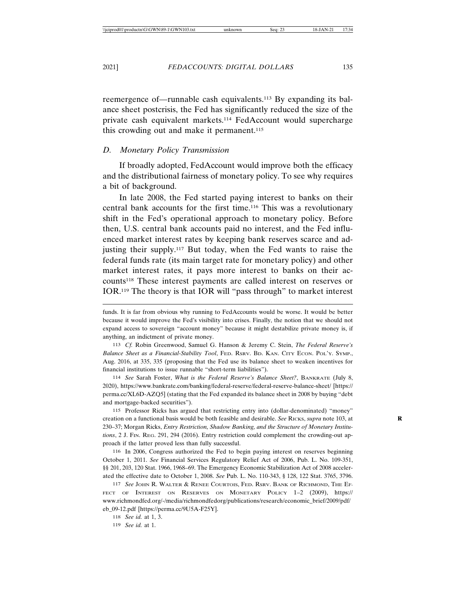reemergence of—runnable cash equivalents.113 By expanding its balance sheet postcrisis, the Fed has significantly reduced the size of the private cash equivalent markets.114 FedAccount would supercharge this crowding out and make it permanent.<sup>115</sup>

### *D. Monetary Policy Transmission*

If broadly adopted, FedAccount would improve both the efficacy and the distributional fairness of monetary policy. To see why requires a bit of background.

In late 2008, the Fed started paying interest to banks on their central bank accounts for the first time.116 This was a revolutionary shift in the Fed's operational approach to monetary policy. Before then, U.S. central bank accounts paid no interest, and the Fed influenced market interest rates by keeping bank reserves scarce and adjusting their supply.117 But today, when the Fed wants to raise the federal funds rate (its main target rate for monetary policy) and other market interest rates, it pays more interest to banks on their accounts118 These interest payments are called interest on reserves or IOR.119 The theory is that IOR will "pass through" to market interest

113 *Cf.* Robin Greenwood, Samuel G. Hanson & Jeremy C. Stein, *The Federal Reserve's Balance Sheet as a Financial-Stability Tool*, FED. RSRV. BD. KAN. CITY ECON. POL'Y. SYMP., Aug. 2016, at 335, 335 (proposing that the Fed use its balance sheet to weaken incentives for financial institutions to issue runnable "short-term liabilities").

114 *See* Sarah Foster, *What is the Federal Reserve's Balance Sheet?*, BANKRATE (July 8, 2020), https://www.bankrate.com/banking/federal-reserve/federal-reserve-balance-sheet/ [https:// perma.cc/XL6D-AZQ5] (stating that the Fed expanded its balance sheet in 2008 by buying "debt and mortgage-backed securities").

115 Professor Ricks has argued that restricting entry into (dollar-denominated) "money" creation on a functional basis would be both feasible and desirable. *See* RICKS, *supra* note 103, at **R** 230–37; Morgan Ricks, *Entry Restriction, Shadow Banking, and the Structure of Monetary Institutions*, 2 J. FIN. REG. 291, 294 (2016). Entry restriction could complement the crowding-out approach if the latter proved less than fully successful.

116 In 2006, Congress authorized the Fed to begin paying interest on reserves beginning October 1, 2011. *See* Financial Services Regulatory Relief Act of 2006, Pub. L. No. 109-351, §§ 201, 203, 120 Stat. 1966, 1968–69. The Emergency Economic Stabilization Act of 2008 accelerated the effective date to October 1, 2008. *See* Pub. L. No. 110-343, § 128, 122 Stat. 3765, 3796.

117 *See* JOHN R. WALTER & RENEE COURTOIS, FED. RSRV. BANK OF RICHMOND, THE EF-FECT OF INTEREST ON RESERVES ON MONETARY POLICY 1–2 (2009), https:// www.richmondfed.org/-/media/richmondfedorg/publications/research/economic\_brief/2009/pdf/ eb\_09-12.pdf [https://perma.cc/9U5A-F25Y].

118 *See id.* at 1, 3.

119 *See id.* at 1.

funds. It is far from obvious why running to FedAccounts would be worse. It would be better because it would improve the Fed's visibility into crises. Finally, the notion that we should not expand access to sovereign "account money" because it might destabilize private money is, if anything, an indictment of private money.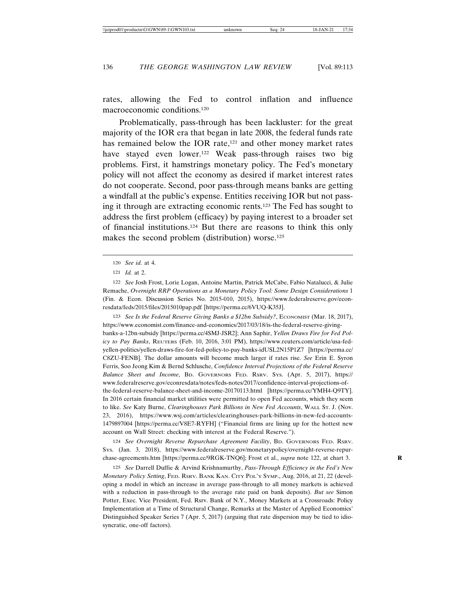rates, allowing the Fed to control inflation and influence macroeconomic conditions.120

Problematically, pass-through has been lackluster: for the great majority of the IOR era that began in late 2008, the federal funds rate has remained below the IOR rate,<sup>121</sup> and other money market rates have stayed even lower.<sup>122</sup> Weak pass-through raises two big problems. First, it hamstrings monetary policy. The Fed's monetary policy will not affect the economy as desired if market interest rates do not cooperate. Second, poor pass-through means banks are getting a windfall at the public's expense. Entities receiving IOR but not passing it through are extracting economic rents.123 The Fed has sought to address the first problem (efficacy) by paying interest to a broader set of financial institutions.124 But there are reasons to think this only makes the second problem (distribution) worse.<sup>125</sup>

123 *See Is the Federal Reserve Giving Banks a \$12bn Subsidy?*, ECONOMIST (Mar. 18, 2017), https://www.economist.com/finance-and-economics/2017/03/18/is-the-federal-reserve-givingbanks-a-12bn-subsidy [https://perma.cc/4SMJ-JSR2]; Ann Saphir, *Yellen Draws Fire for Fed Policy to Pay Banks*, REUTERS (Feb. 10, 2016, 3:01 PM), https://www.reuters.com/article/usa-fedyellen-politics/yellen-draws-fire-for-fed-policy-to-pay-banks-idUSL2N15P1Z7 [https://perma.cc/ C8ZU-FENB]. The dollar amounts will become much larger if rates rise. *See* Erin E. Syron Ferris, Soo Jeong Kim & Bernd Schlusche, *Confidence Interval Projections of the Federal Reserve Balance Sheet and Income*, BD. GOVERNORS FED. RSRV. SYS. (Apr. 5, 2017), https:// www.federalreserve.gov/econresdata/notes/feds-notes/2017/confidence-interval-projections-ofthe-federal-reserve-balance-sheet-and-income-20170113.html [https://perma.cc/YMH4-Q9TY]. In 2016 certain financial market utilities were permitted to open Fed accounts, which they seem to like. *See* Katy Burne, *Clearinghouses Park Billions in New Fed Accounts*, WALL ST. J. (Nov. 23, 2016), https://www.wsj.com/articles/clearinghouses-park-billions-in-new-fed-accounts-1479897004 [https://perma.cc/V8E7-RYFH] ("Financial firms are lining up for the hottest new account on Wall Street: checking with interest at the Federal Reserve.").

124 *See Overnight Reverse Repurchase Agreement Facility*, BD. GOVERNORS FED. RSRV. SYS. (Jan. 3, 2018), https://www.federalreserve.gov/monetarypolicy/overnight-reverse-repurchase-agreements.htm [https://perma.cc/9RGK-TNQ6]; Frost et al., *supra* note 122, at chart 3. **R**

125 *See* Darrell Duffie & Arvind Krishnamurthy, *Pass-Through Efficiency in the Fed's New Monetary Policy Setting*, FED. RSRV. BANK KAN. CITY POL'Y SYMP., Aug. 2016, at 21, 22 (developing a model in which an increase in average pass-through to all money markets is achieved with a reduction in pass-through to the average rate paid on bank deposits). *But see* Simon Potter, Exec. Vice President, Fed. Rsrv. Bank of N.Y., Money Markets at a Crossroads: Policy Implementation at a Time of Structural Change, Remarks at the Master of Applied Economics' Distinguished Speaker Series 7 (Apr. 5, 2017) (arguing that rate dispersion may be tied to idiosyncratic, one-off factors).

<sup>120</sup> *See id.* at 4.

<sup>121</sup> *Id.* at 2.

<sup>122</sup> *See* Josh Frost, Lorie Logan, Antoine Martin, Patrick McCabe, Fabio Natalucci, & Julie Remache, *Overnight RRP Operations as a Monetary Policy Tool: Some Design Considerations* 1 (Fin. & Econ. Discussion Series No. 2015-010, 2015), https://www.federalreserve.gov/econresdata/feds/2015/files/2015010pap.pdf [https://perma.cc/6VUQ-K35J].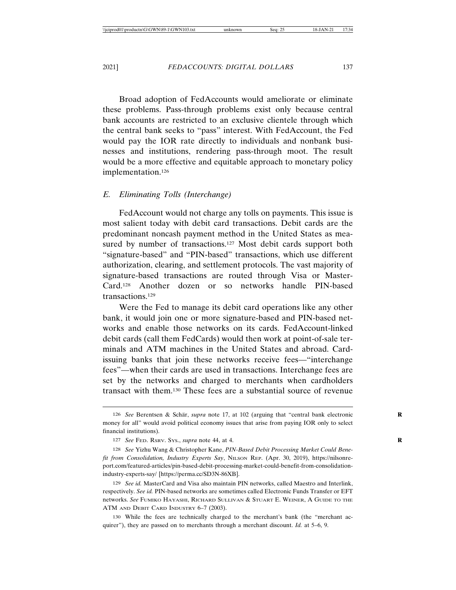Broad adoption of FedAccounts would ameliorate or eliminate these problems. Pass-through problems exist only because central bank accounts are restricted to an exclusive clientele through which the central bank seeks to "pass" interest. With FedAccount, the Fed would pay the IOR rate directly to individuals and nonbank businesses and institutions, rendering pass-through moot. The result would be a more effective and equitable approach to monetary policy implementation.126

### *E. Eliminating Tolls (Interchange)*

FedAccount would not charge any tolls on payments. This issue is most salient today with debit card transactions. Debit cards are the predominant noncash payment method in the United States as measured by number of transactions.<sup>127</sup> Most debit cards support both "signature-based" and "PIN-based" transactions, which use different authorization, clearing, and settlement protocols. The vast majority of signature-based transactions are routed through Visa or Master-Card.128 Another dozen or so networks handle PIN-based transactions.129

Were the Fed to manage its debit card operations like any other bank, it would join one or more signature-based and PIN-based networks and enable those networks on its cards. FedAccount-linked debit cards (call them FedCards) would then work at point-of-sale terminals and ATM machines in the United States and abroad. Cardissuing banks that join these networks receive fees—"interchange fees"—when their cards are used in transactions. Interchange fees are set by the networks and charged to merchants when cardholders transact with them.130 These fees are a substantial source of revenue

<sup>126</sup> *See* Berentsen & Schär, *supra* note 17, at 102 (arguing that "central bank electronic money for all" would avoid political economy issues that arise from paying IOR only to select financial institutions).

<sup>127</sup> *See* FED. RSRV. SYS., *supra* note 44, at 4. **R**

<sup>128</sup> *See* Yizhu Wang & Christopher Kane, *PIN-Based Debit Processing Market Could Benefit from Consolidation, Industry Experts Say*, NILSON REP. (Apr. 30, 2019), https://nilsonreport.com/featured-articles/pin-based-debit-processing-market-could-benefit-from-consolidationindustry-experts-say/ [https://perma.cc/SD3N-86XB].

<sup>129</sup> *See id.* MasterCard and Visa also maintain PIN networks, called Maestro and Interlink, respectively. *See id.* PIN-based networks are sometimes called Electronic Funds Transfer or EFT networks. *See* FUMIKO HAYASHI, RICHARD SULLIVAN & STUART E. WEINER, A GUIDE TO THE ATM AND DEBIT CARD INDUSTRY 6-7 (2003).

<sup>130</sup> While the fees are technically charged to the merchant's bank (the "merchant acquirer"), they are passed on to merchants through a merchant discount. *Id.* at 5–6, 9.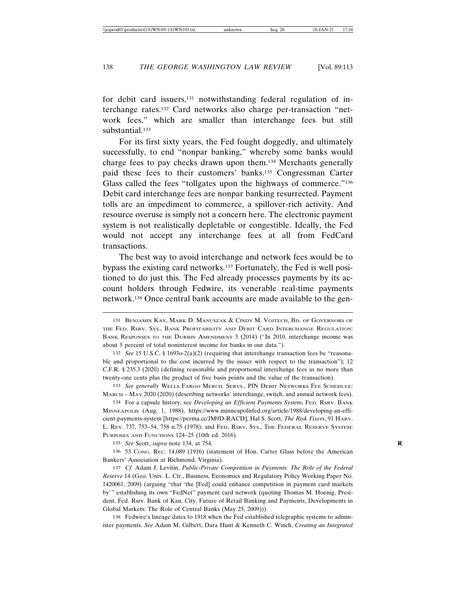for debit card issuers,<sup>131</sup> notwithstanding federal regulation of interchange rates.132 Card networks also charge per-transaction "network fees," which are smaller than interchange fees but still substantial.<sup>133</sup>

For its first sixty years, the Fed fought doggedly, and ultimately successfully, to end "nonpar banking," whereby some banks would charge fees to pay checks drawn upon them.134 Merchants generally paid these fees to their customers' banks.135 Congressman Carter Glass called the fees "tollgates upon the highways of commerce."<sup>136</sup> Debit card interchange fees are nonpar banking resurrected. Payment tolls are an impediment to commerce, a spillover-rich activity. And resource overuse is simply not a concern here. The electronic payment system is not realistically depletable or congestible. Ideally, the Fed would not accept any interchange fees at all from FedCard transactions.

The best way to avoid interchange and network fees would be to bypass the existing card networks.137 Fortunately, the Fed is well positioned to do just this. The Fed already processes payments by its account holders through Fedwire, its venerable real-time payments network.138 Once central bank accounts are made available to the gen-

<sup>131</sup> BENJAMIN KAY, MARK D. MANUSZAK & CINDY M. VOJTECH, BD. OF GOVERNORS OF THE FED. RSRV. SYS., BANK PROFITABILITY AND DEBIT CARD INTERCHANGE REGULATION: BANK RESPONSES TO THE DURBIN AMENDMENT 3 (2014) ("In 2010, interchange income was about 5 percent of total noninterest income for banks in our data.").

<sup>132</sup> *See* 15 U.S.C. § 1693o-2(a)(2) (requiring that interchange transaction fees be "reasonable and proportional to the cost incurred by the issuer with respect to the transaction"); 12 C.F.R. § 235.3 (2020) (defining reasonable and proportional interchange fees as no more than twenty-one cents plus the product of five basis points and the value of the transaction).

<sup>133</sup> *See generally* WELLS FARGO MERCH. SERVS., PIN DEBIT NETWORKS FEE SCHEDULE: MARCH – MAY 2020 (2020) (describing networks' interchange, switch, and annual network fees).

<sup>134</sup> For a capsule history, see *Developing an Efficient Payments System*, FED. RSRV. BANK MINNEAPOLIS (Aug. 1, 1988), https://www.minneapolisfed.org/article/1988/developing-an-efficient-payments-system [https://perma.cc/JM9D-RACD]; Hal S. Scott, *The Risk Fixers*, 91 HARV. L. REV. 737, 753–54, 758 n.75 (1978); and FED. RSRV. SYS., THE FEDERAL RESERVE SYSTEM: PURPOSES AND FUNCTIONS 124–25 (10th ed. 2016).

<sup>135</sup> *See* Scott, *supra* note 134, at 754. **R**

<sup>136</sup> 53 CONG. REC. 14,089 (1916) (statement of Hon. Carter Glass before the American Bankers' Association at Richmond, Virginia).

<sup>137</sup> *Cf.* Adam J. Levitin, *Public-Private Competition in Payments: The Role of the Federal Reserve* 14 (Geo. Univ. L. Ctr., Business, Economics and Regulatory Policy Working Paper No. 1420061, 2009) (arguing "that 'the [Fed] could enhance competition in payment card markets by'" establishing its own "FedNet" payment card network (quoting Thomas M. Hoenig, President, Fed. Rsrv. Bank of Kan. City, Future of Retail Banking and Payments, Developments in Global Markets: The Role of Central Banks (May 25, 2009))).

<sup>138</sup> Fedwire's lineage dates to 1918 when the Fed established telegraphic systems to administer payments. *See* Adam M. Gilbert, Dara Hunt & Kenneth C. Winch, *Creating an Integrated*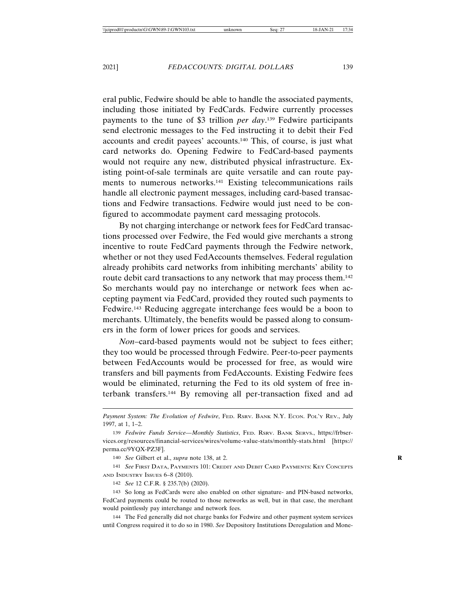eral public, Fedwire should be able to handle the associated payments, including those initiated by FedCards. Fedwire currently processes payments to the tune of \$3 trillion *per day*. 139 Fedwire participants send electronic messages to the Fed instructing it to debit their Fed accounts and credit payees' accounts.140 This, of course, is just what card networks do. Opening Fedwire to FedCard-based payments would not require any new, distributed physical infrastructure. Existing point-of-sale terminals are quite versatile and can route payments to numerous networks.141 Existing telecommunications rails handle all electronic payment messages, including card-based transactions and Fedwire transactions. Fedwire would just need to be configured to accommodate payment card messaging protocols.

By not charging interchange or network fees for FedCard transactions processed over Fedwire, the Fed would give merchants a strong incentive to route FedCard payments through the Fedwire network, whether or not they used FedAccounts themselves. Federal regulation already prohibits card networks from inhibiting merchants' ability to route debit card transactions to any network that may process them.<sup>142</sup> So merchants would pay no interchange or network fees when accepting payment via FedCard, provided they routed such payments to Fedwire.143 Reducing aggregate interchange fees would be a boon to merchants. Ultimately, the benefits would be passed along to consumers in the form of lower prices for goods and services.

*Non*–card-based payments would not be subject to fees either; they too would be processed through Fedwire. Peer-to-peer payments between FedAccounts would be processed for free, as would wire transfers and bill payments from FedAccounts. Existing Fedwire fees would be eliminated, returning the Fed to its old system of free interbank transfers.144 By removing all per-transaction fixed and ad

141 *See* FIRST DATA, PAYMENTS 101: CREDIT AND DEBIT CARD PAYMENTS: KEY CONCEPTS AND INDUSTRY ISSUES 6–8 (2010).

142 *See* 12 C.F.R. § 235.7(b) (2020).

143 So long as FedCards were also enabled on other signature- and PIN-based networks, FedCard payments could be routed to those networks as well, but in that case, the merchant would pointlessly pay interchange and network fees.

144 The Fed generally did not charge banks for Fedwire and other payment system services until Congress required it to do so in 1980. *See* Depository Institutions Deregulation and Mone-

Payment System: The Evolution of Fedwire, FED. RSRV. BANK N.Y. ECON. POL'Y REV., July 1997, at 1, 1–2.

<sup>139</sup> *Fedwire Funds Service—Monthly Statistics*, FED. RSRV. BANK SERVS., https://frbservices.org/resources/financial-services/wires/volume-value-stats/monthly-stats.html [https:// perma.cc/9YQX-PZ3F].

<sup>140</sup> *See* Gilbert et al., *supra* note 138, at 2. **R**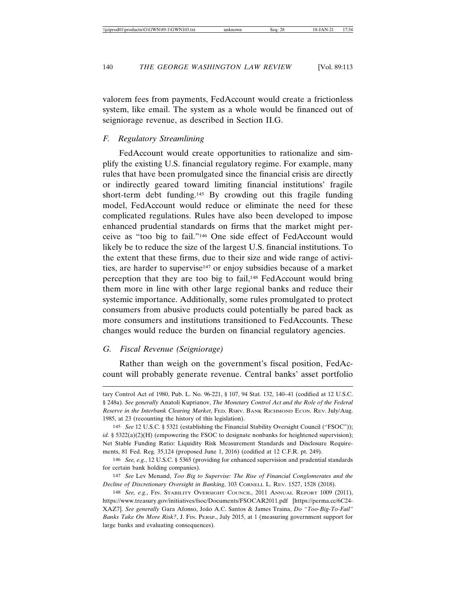valorem fees from payments, FedAccount would create a frictionless system, like email. The system as a whole would be financed out of seigniorage revenue, as described in Section II.G.

### *F. Regulatory Streamlining*

FedAccount would create opportunities to rationalize and simplify the existing U.S. financial regulatory regime. For example, many rules that have been promulgated since the financial crisis are directly or indirectly geared toward limiting financial institutions' fragile short-term debt funding.145 By crowding out this fragile funding model, FedAccount would reduce or eliminate the need for these complicated regulations. Rules have also been developed to impose enhanced prudential standards on firms that the market might perceive as "too big to fail."146 One side effect of FedAccount would likely be to reduce the size of the largest U.S. financial institutions. To the extent that these firms, due to their size and wide range of activities, are harder to supervise<sup>147</sup> or enjoy subsidies because of a market perception that they are too big to fail,148 FedAccount would bring them more in line with other large regional banks and reduce their systemic importance. Additionally, some rules promulgated to protect consumers from abusive products could potentially be pared back as more consumers and institutions transitioned to FedAccounts. These changes would reduce the burden on financial regulatory agencies.

### *G. Fiscal Revenue (Seigniorage)*

Rather than weigh on the government's fiscal position, FedAccount will probably generate revenue. Central banks' asset portfolio

tary Control Act of 1980, Pub. L. No. 96-221, § 107, 94 Stat. 132, 140–41 (codified at 12 U.S.C. § 248a). *See generally* Anatoli Kuprianov, *The Monetary Control Act and the Role of the Federal Reserve in the Interbank Clearing Market*, FED. RSRV. BANK RICHMOND ECON. REV. July/Aug. 1985, at 23 (recounting the history of this legislation).

<sup>145</sup> *See* 12 U.S.C. § 5321 (establishing the Financial Stability Oversight Council ("FSOC")); *id.* § 5322(a)(2)(H) (empowering the FSOC to designate nonbanks for heightened supervision); Net Stable Funding Ratio: Liquidity Risk Measurement Standards and Disclosure Requirements, 81 Fed. Reg. 35,124 (proposed June 1, 2016) (codified at 12 C.F.R. pt. 249).

<sup>146</sup> *See, e.g.*, 12 U.S.C. § 5365 (providing for enhanced supervision and prudential standards for certain bank holding companies).

<sup>147</sup> *See* Lev Menand, *Too Big to Supervise: The Rise of Financial Conglomerates and the Decline of Discretionary Oversight in Banking*, 103 CORNELL L. REV. 1527, 1528 (2018).

<sup>148</sup> *See, e.g.*, FIN. STABILITY OVERSIGHT COUNCIL, 2011 ANNUAL REPORT 1009 (2011), https://www.treasury.gov/initiatives/fsoc/Documents/FSOCAR2011.pdf [https://perma.cc/6C24- XAZ7]. See generally Gara Afonso, João A.C. Santos & James Traina, *Do "Too-Big-To-Fail" Banks Take On More Risk?*, J. FIN. PERSP., July 2015, at 1 (measuring government support for large banks and evaluating consequences).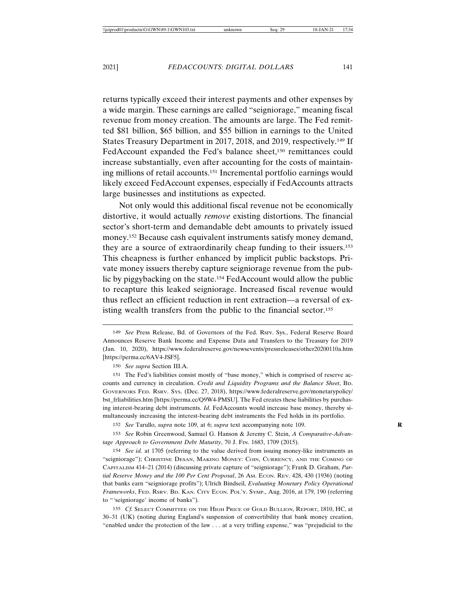returns typically exceed their interest payments and other expenses by a wide margin. These earnings are called "seigniorage," meaning fiscal revenue from money creation. The amounts are large. The Fed remitted \$81 billion, \$65 billion, and \$55 billion in earnings to the United States Treasury Department in 2017, 2018, and 2019, respectively.149 If FedAccount expanded the Fed's balance sheet,<sup>150</sup> remittances could increase substantially, even after accounting for the costs of maintaining millions of retail accounts.151 Incremental portfolio earnings would likely exceed FedAccount expenses, especially if FedAccounts attracts large businesses and institutions as expected.

Not only would this additional fiscal revenue not be economically distortive, it would actually *remove* existing distortions. The financial sector's short-term and demandable debt amounts to privately issued money.152 Because cash equivalent instruments satisfy money demand, they are a source of extraordinarily cheap funding to their issuers.153 This cheapness is further enhanced by implicit public backstops. Private money issuers thereby capture seigniorage revenue from the public by piggybacking on the state.154 FedAccount would allow the public to recapture this leaked seigniorage. Increased fiscal revenue would thus reflect an efficient reduction in rent extraction—a reversal of existing wealth transfers from the public to the financial sector.<sup>155</sup>

151 The Fed's liabilities consist mostly of "base money," which is comprised of reserve accounts and currency in circulation. *Credit and Liquidity Programs and the Balance Sheet*, BD. GOVERNORS FED. RSRV. SYS. (Dec. 27, 2018), https://www.federalreserve.gov/monetarypolicy/ bst\_frliabilities.htm [https://perma.cc/Q9W4-PMSU]. The Fed creates these liabilities by purchasing interest-bearing debt instruments. *Id.* FedAccounts would increase base money, thereby simultaneously increasing the interest-bearing debt instruments the Fed holds in its portfolio.

152 *See* Tarullo, *supra* note 109, at 6; *supra* text accompanying note 109. **R**

153 *See* Robin Greenwood, Samuel G. Hanson & Jeremy C. Stein, *A Comparative-Advantage Approach to Government Debt Maturity*, 70 J. FIN. 1683, 1709 (2015).

154 *See id.* at 1705 (referring to the value derived from issuing money-like instruments as "seigniorage"); CHRISTINE DESAN, MAKING MONEY: COIN, CURRENCY, AND THE COMING OF CAPITALISM 414–21 (2014) (discussing private capture of "seigniorage"); Frank D. Graham, *Partial Reserve Money and the 100 Per Cent Proposal*, 26 AM. ECON. REV. 428, 430 (1936) (noting that banks earn "seigniorage profits"); Ulrich Bindseil, *Evaluating Monetary Policy Operational Frameworks*, FED. RSRV. BD. KAN. CITY ECON. POL'Y. SYMP., Aug. 2016, at 179, 190 (referring to "'seigniorage' income of banks").

155 *Cf.* SELECT COMMITTEE ON THE HIGH PRICE OF GOLD BULLION, REPORT, 1810, HC, at 30–31 (UK) (noting during England's suspension of convertibility that bank money creation, "enabled under the protection of the law . . . at a very trifling expense," was "prejudicial to the

<sup>149</sup> *See* Press Release, Bd. of Governors of the Fed. Rsrv. Sys., Federal Reserve Board Announces Reserve Bank Income and Expense Data and Transfers to the Treasury for 2019 (Jan. 10, 2020), https://www.federalreserve.gov/newsevents/pressreleases/other20200110a.htm [https://perma.cc/6AV4-JSF5].

<sup>150</sup> *See supra* Section III.A.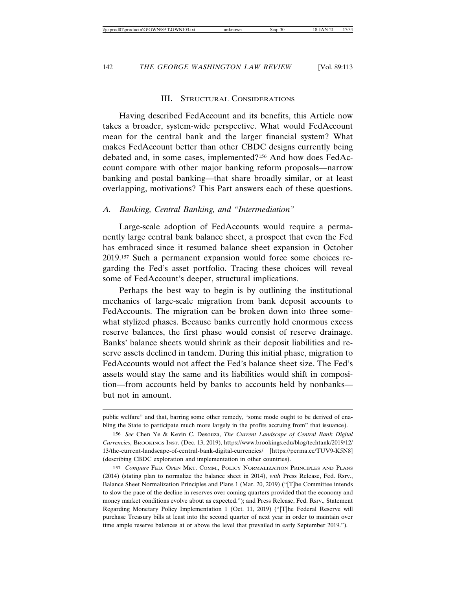### III. STRUCTURAL CONSIDERATIONS

Having described FedAccount and its benefits, this Article now takes a broader, system-wide perspective. What would FedAccount mean for the central bank and the larger financial system? What makes FedAccount better than other CBDC designs currently being debated and, in some cases, implemented?156 And how does FedAccount compare with other major banking reform proposals—narrow banking and postal banking—that share broadly similar, or at least overlapping, motivations? This Part answers each of these questions.

### *A. Banking, Central Banking, and "Intermediation"*

Large-scale adoption of FedAccounts would require a permanently large central bank balance sheet, a prospect that even the Fed has embraced since it resumed balance sheet expansion in October 2019.157 Such a permanent expansion would force some choices regarding the Fed's asset portfolio. Tracing these choices will reveal some of FedAccount's deeper, structural implications.

Perhaps the best way to begin is by outlining the institutional mechanics of large-scale migration from bank deposit accounts to FedAccounts. The migration can be broken down into three somewhat stylized phases. Because banks currently hold enormous excess reserve balances, the first phase would consist of reserve drainage. Banks' balance sheets would shrink as their deposit liabilities and reserve assets declined in tandem. During this initial phase, migration to FedAccounts would not affect the Fed's balance sheet size. The Fed's assets would stay the same and its liabilities would shift in composition—from accounts held by banks to accounts held by nonbanks but not in amount.

public welfare" and that, barring some other remedy, "some mode ought to be derived of enabling the State to participate much more largely in the profits accruing from" that issuance).

<sup>156</sup> *See* Chen Ye & Kevin C. Desouza, *The Current Landscape of Central Bank Digital Currencies*, BROOKINGS INST. (Dec. 13, 2019), https://www.brookings.edu/blog/techtank/2019/12/ 13/the-current-landscape-of-central-bank-digital-currencies/ [https://perma.cc/TUV9-K5N8] (describing CBDC exploration and implementation in other countries).

<sup>157</sup> *Compare* FED. OPEN MKT. COMM., POLICY NORMALIZATION PRINCIPLES AND PLANS (2014) (stating plan to normalize the balance sheet in 2014), *with* Press Release, Fed. Rsrv., Balance Sheet Normalization Principles and Plans 1 (Mar. 20, 2019) ("[T]he Committee intends to slow the pace of the decline in reserves over coming quarters provided that the economy and money market conditions evolve about as expected."); and Press Release, Fed. Rsrv., Statement Regarding Monetary Policy Implementation 1 (Oct. 11, 2019) ("[T]he Federal Reserve will purchase Treasury bills at least into the second quarter of next year in order to maintain over time ample reserve balances at or above the level that prevailed in early September 2019.").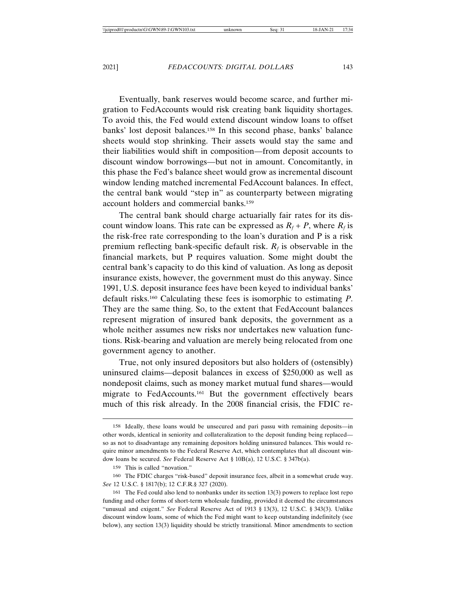Eventually, bank reserves would become scarce, and further migration to FedAccounts would risk creating bank liquidity shortages. To avoid this, the Fed would extend discount window loans to offset banks' lost deposit balances.158 In this second phase, banks' balance sheets would stop shrinking. Their assets would stay the same and their liabilities would shift in composition—from deposit accounts to discount window borrowings—but not in amount. Concomitantly, in this phase the Fed's balance sheet would grow as incremental discount window lending matched incremental FedAccount balances. In effect, the central bank would "step in" as counterparty between migrating account holders and commercial banks.159

The central bank should charge actuarially fair rates for its discount window loans. This rate can be expressed as  $R_f + P$ , where  $R_f$  is the risk-free rate corresponding to the loan's duration and P is a risk premium reflecting bank-specific default risk.  $R_f$  is observable in the financial markets, but P requires valuation. Some might doubt the central bank's capacity to do this kind of valuation. As long as deposit insurance exists, however, the government must do this anyway. Since 1991, U.S. deposit insurance fees have been keyed to individual banks' default risks.160 Calculating these fees is isomorphic to estimating *P*. They are the same thing. So, to the extent that FedAccount balances represent migration of insured bank deposits, the government as a whole neither assumes new risks nor undertakes new valuation functions. Risk-bearing and valuation are merely being relocated from one government agency to another.

True, not only insured depositors but also holders of (ostensibly) uninsured claims—deposit balances in excess of \$250,000 as well as nondeposit claims, such as money market mutual fund shares—would migrate to FedAccounts.161 But the government effectively bears much of this risk already. In the 2008 financial crisis, the FDIC re-

<sup>158</sup> Ideally, these loans would be unsecured and pari passu with remaining deposits—in other words, identical in seniority and collateralization to the deposit funding being replaced so as not to disadvantage any remaining depositors holding uninsured balances. This would require minor amendments to the Federal Reserve Act, which contemplates that all discount window loans be secured. *See* Federal Reserve Act § 10B(a), 12 U.S.C. § 347b(a).

<sup>159</sup> This is called "novation."

<sup>160</sup> The FDIC charges "risk-based" deposit insurance fees, albeit in a somewhat crude way. *See* 12 U.S.C. § 1817(b); 12 C.F.R.§ 327 (2020).

<sup>161</sup> The Fed could also lend to nonbanks under its section 13(3) powers to replace lost repo funding and other forms of short-term wholesale funding, provided it deemed the circumstances "unusual and exigent." *See* Federal Reserve Act of 1913 § 13(3), 12 U.S.C. § 343(3). Unlike discount window loans, some of which the Fed might want to keep outstanding indefinitely (see below), any section 13(3) liquidity should be strictly transitional. Minor amendments to section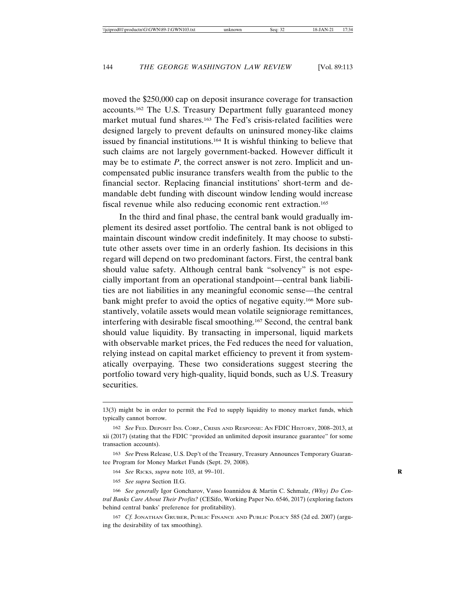moved the \$250,000 cap on deposit insurance coverage for transaction accounts.162 The U.S. Treasury Department fully guaranteed money market mutual fund shares.163 The Fed's crisis-related facilities were designed largely to prevent defaults on uninsured money-like claims issued by financial institutions.164 It is wishful thinking to believe that such claims are not largely government-backed. However difficult it may be to estimate *P*, the correct answer is not zero. Implicit and uncompensated public insurance transfers wealth from the public to the financial sector. Replacing financial institutions' short-term and demandable debt funding with discount window lending would increase fiscal revenue while also reducing economic rent extraction.165

In the third and final phase, the central bank would gradually implement its desired asset portfolio. The central bank is not obliged to maintain discount window credit indefinitely. It may choose to substitute other assets over time in an orderly fashion. Its decisions in this regard will depend on two predominant factors. First, the central bank should value safety. Although central bank "solvency" is not especially important from an operational standpoint—central bank liabilities are not liabilities in any meaningful economic sense—the central bank might prefer to avoid the optics of negative equity.166 More substantively, volatile assets would mean volatile seigniorage remittances, interfering with desirable fiscal smoothing.167 Second, the central bank should value liquidity. By transacting in impersonal, liquid markets with observable market prices, the Fed reduces the need for valuation, relying instead on capital market efficiency to prevent it from systematically overpaying. These two considerations suggest steering the portfolio toward very high-quality, liquid bonds, such as U.S. Treasury securities.

163 *See* Press Release, U.S. Dep't of the Treasury, Treasury Announces Temporary Guarantee Program for Money Market Funds (Sept. 29, 2008).

164 *See* RICKS, *supra* note 103, at 99–101. **R**

165 *See supra* Section II.G.

166 *See generally* Igor Goncharov, Vasso Ioannidou & Martin C. Schmalz, *(Why) Do Central Banks Care About Their Profits?* (CESifo, Working Paper No. 6546, 2017) (exploring factors behind central banks' preference for profitability).

167 *Cf.* JONATHAN GRUBER, PUBLIC FINANCE AND PUBLIC POLICY 585 (2d ed. 2007) (arguing the desirability of tax smoothing).

<sup>13(3)</sup> might be in order to permit the Fed to supply liquidity to money market funds, which typically cannot borrow.

<sup>162</sup> *See* FED. DEPOSIT INS. CORP., CRISIS AND RESPONSE: AN FDIC HISTORY, 2008–2013, at xii (2017) (stating that the FDIC "provided an unlimited deposit insurance guarantee" for some transaction accounts).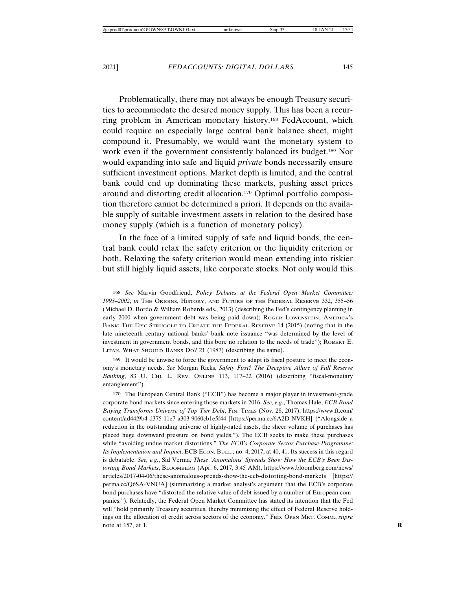Problematically, there may not always be enough Treasury securities to accommodate the desired money supply. This has been a recurring problem in American monetary history.168 FedAccount, which could require an especially large central bank balance sheet, might compound it. Presumably, we would want the monetary system to work even if the government consistently balanced its budget.169 Nor would expanding into safe and liquid *private* bonds necessarily ensure sufficient investment options. Market depth is limited, and the central bank could end up dominating these markets, pushing asset prices around and distorting credit allocation.170 Optimal portfolio composition therefore cannot be determined a priori. It depends on the available supply of suitable investment assets in relation to the desired base money supply (which is a function of monetary policy).

In the face of a limited supply of safe and liquid bonds, the central bank could relax the safety criterion or the liquidity criterion or both. Relaxing the safety criterion would mean extending into riskier but still highly liquid assets, like corporate stocks. Not only would this

169 It would be unwise to force the government to adapt its fiscal posture to meet the economy's monetary needs. *See* Morgan Ricks, *Safety First? The Deceptive Allure of Full Reserve* Banking, 83 U. CHI. L. REV. ONLINE 113, 117-22 (2016) (describing "fiscal-monetary entanglement").

170 The European Central Bank ("ECB") has become a major player in investment-grade corporate bond markets since entering those markets in 2016. *See, e.g.*, Thomas Hale, *ECB Bond Buying Transforms Universe of Top Tier Debt*, FIN. TIMES (Nov. 28, 2017), https://www.ft.com/ content/ad44f9b4-d375-11e7-a303-9060cb1e5f44 [https://perma.cc/6A2D-NVKH] ("Alongside a reduction in the outstanding universe of highly-rated assets, the sheer volume of purchases has placed huge downward pressure on bond yields."). The ECB seeks to make these purchases while "avoiding undue market distortions." *The ECB's Corporate Sector Purchase Programme: Its Implementation and Impact*, ECB ECON. BULL., no. 4, 2017, at 40, 41. Its success in this regard is debatable. *See, e.g.*, Sid Verma, *These 'Anomalous' Spreads Show How the ECB's Been Distorting Bond Markets*, BLOOMBERG (Apr. 6, 2017, 3:45 AM), https://www.bloomberg.com/news/ articles/2017-04-06/these-anomalous-spreads-show-the-ecb-distorting-bond-markets [https:// perma.cc/Q6SA-VNUA] (summarizing a market analyst's argument that the ECB's corporate bond purchases have "distorted the relative value of debt issued by a number of European companies."). Relatedly, the Federal Open Market Committee has stated its intention that the Fed will "hold primarily Treasury securities, thereby minimizing the effect of Federal Reserve holdings on the allocation of credit across sectors of the economy." FED. OPEN MKT. COMM., *supra* note at 157, at 1. **R**

<sup>168</sup> *See* Marvin Goodfriend, *Policy Debates at the Federal Open Market Committee: 1993–2002*, *in* THE ORIGINS, HISTORY, AND FUTURE OF THE FEDERAL RESERVE 332, 355–56 (Michael D. Bordo & William Roberds eds., 2013) (describing the Fed's contingency planning in early 2000 when government debt was being paid down); ROGER LOWENSTEIN, AMERICA's BANK: THE EPIC STRUGGLE TO CREATE THE FEDERAL RESERVE 14 (2015) (noting that in the late nineteenth century national banks' bank note issuance "was determined by the level of investment in government bonds, and this bore no relation to the needs of trade"); ROBERT E. LITAN, WHAT SHOULD BANKS DO? 21 (1987) (describing the same).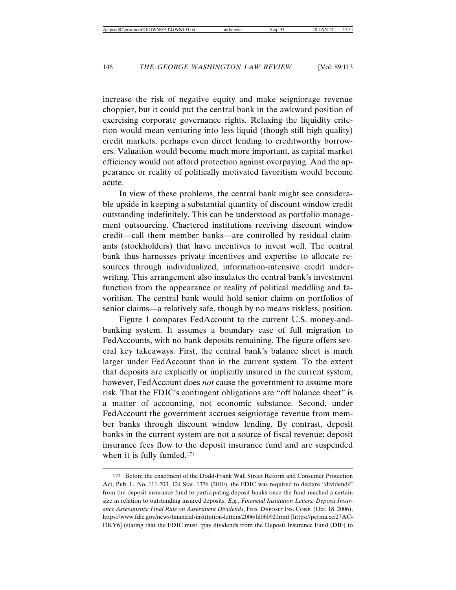increase the risk of negative equity and make seigniorage revenue choppier, but it could put the central bank in the awkward position of exercising corporate governance rights. Relaxing the liquidity criterion would mean venturing into less liquid (though still high quality) credit markets, perhaps even direct lending to creditworthy borrowers. Valuation would become much more important, as capital market efficiency would not afford protection against overpaying. And the appearance or reality of politically motivated favoritism would become acute.

In view of these problems, the central bank might see considerable upside in keeping a substantial quantity of discount window credit outstanding indefinitely. This can be understood as portfolio management outsourcing. Chartered institutions receiving discount window credit—call them member banks—are controlled by residual claimants (stockholders) that have incentives to invest well. The central bank thus harnesses private incentives and expertise to allocate resources through individualized, information-intensive credit underwriting. This arrangement also insulates the central bank's investment function from the appearance or reality of political meddling and favoritism. The central bank would hold senior claims on portfolios of senior claims—a relatively safe, though by no means riskless, position.

Figure 1 compares FedAccount to the current U.S. money-andbanking system. It assumes a boundary case of full migration to FedAccounts, with no bank deposits remaining. The figure offers several key takeaways. First, the central bank's balance sheet is much larger under FedAccount than in the current system. To the extent that deposits are explicitly or implicitly insured in the current system, however, FedAccount does *not* cause the government to assume more risk. That the FDIC's contingent obligations are "off balance sheet" is a matter of accounting, not economic substance. Second, under FedAccount the government accrues seigniorage revenue from member banks through discount window lending. By contrast, deposit banks in the current system are not a source of fiscal revenue; deposit insurance fees flow to the deposit insurance fund and are suspended when it is fully funded.<sup>171</sup>

<sup>171</sup> Before the enactment of the Dodd-Frank Wall Street Reform and Consumer Protection Act, Pub. L. No. 111-203, 124 Stat. 1376 (2010), the FDIC was required to declare "dividends" from the deposit insurance fund to participating deposit banks once the fund reached a certain size in relation to outstanding insured deposits. *E.g.*, *Financial Institution Letters: Deposit Insurance Assessments: Final Rule on Assessment Dividends*, FED. DEPOSIT INS. CORP. (Oct. 18, 2006), https://www.fdic.gov/news/financial-institution-letters/2006/fil06092.html [https://perma.cc/27AC-DKY6] (stating that the FDIC must "pay dividends from the Deposit Insurance Fund (DIF) to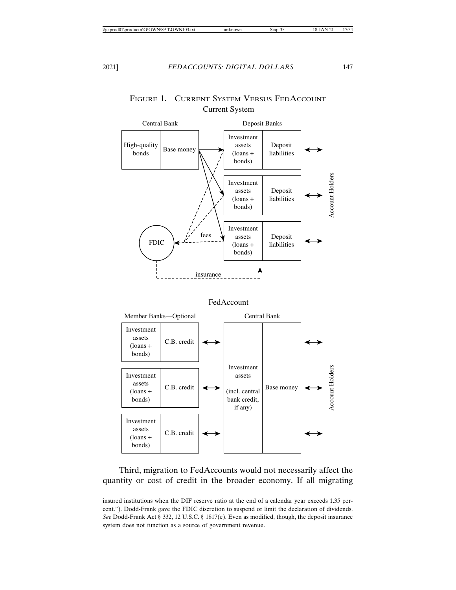### Deposit Banks Central Bank Investment High-quality assets Deposit  $\begin{array}{c|c}\n\text{Base money} \\
\text{bonds}\n\end{array}$ (loans + liabilities bonds) Account Holders Account Holders Account Holders Investment assets Deposit (loans + liabilities bonds) Investment fees Deposit assets FDIC (loans + liabilities bonds) insurance FedAccount Member Banks—Optional Central Bank Investment assets C.B. credit (loans + bonds) Investment Account Holders Investment assets assets C.B. credit Base money (loans + (incl. central bonds) bank credit, if any) Investment assets C.B. credit (loans + bonds)

## FIGURE 1. CURRENT SYSTEM VERSUS FEDACCOUNT Current System

Third, migration to FedAccounts would not necessarily affect the quantity or cost of credit in the broader economy. If all migrating

insured institutions when the DIF reserve ratio at the end of a calendar year exceeds 1.35 percent."). Dodd-Frank gave the FDIC discretion to suspend or limit the declaration of dividends. *See* Dodd-Frank Act § 332, 12 U.S.C. § 1817(e). Even as modified, though, the deposit insurance system does not function as a source of government revenue.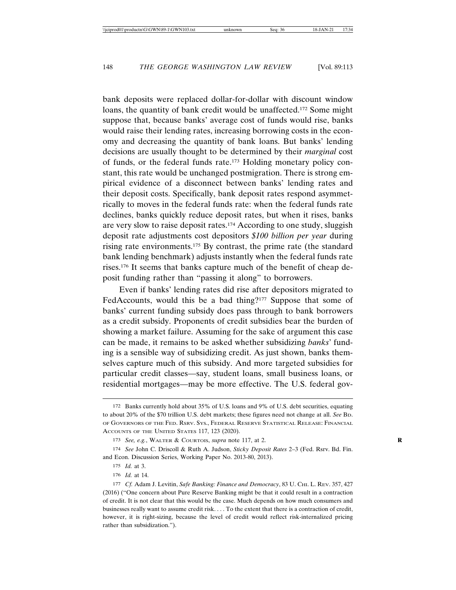bank deposits were replaced dollar-for-dollar with discount window loans, the quantity of bank credit would be unaffected.<sup>172</sup> Some might suppose that, because banks' average cost of funds would rise, banks would raise their lending rates, increasing borrowing costs in the economy and decreasing the quantity of bank loans. But banks' lending decisions are usually thought to be determined by their *marginal* cost of funds, or the federal funds rate.173 Holding monetary policy constant, this rate would be unchanged postmigration. There is strong empirical evidence of a disconnect between banks' lending rates and their deposit costs. Specifically, bank deposit rates respond asymmetrically to moves in the federal funds rate: when the federal funds rate declines, banks quickly reduce deposit rates, but when it rises, banks are very slow to raise deposit rates.174 According to one study, sluggish deposit rate adjustments cost depositors *\$100 billion per year* during rising rate environments.175 By contrast, the prime rate (the standard bank lending benchmark) adjusts instantly when the federal funds rate rises.176 It seems that banks capture much of the benefit of cheap deposit funding rather than "passing it along" to borrowers.

Even if banks' lending rates did rise after depositors migrated to FedAccounts, would this be a bad thing?<sup>177</sup> Suppose that some of banks' current funding subsidy does pass through to bank borrowers as a credit subsidy. Proponents of credit subsidies bear the burden of showing a market failure. Assuming for the sake of argument this case can be made, it remains to be asked whether subsidizing *banks*' funding is a sensible way of subsidizing credit. As just shown, banks themselves capture much of this subsidy. And more targeted subsidies for particular credit classes—say, student loans, small business loans, or residential mortgages—may be more effective. The U.S. federal gov-

<sup>172</sup> Banks currently hold about 35% of U.S. loans and 9% of U.S. debt securities, equating to about 20% of the \$70 trillion U.S. debt markets; these figures need not change at all. *See* BD. OF GOVERNORS OF THE FED. RSRV. SYS., FEDERAL RESERVE STATISTICAL RELEASE: FINANCIAL ACCOUNTS OF THE UNITED STATES 117, 123 (2020).

<sup>173</sup> *See, e.g.*, WALTER & COURTOIS, *supra* note 117, at 2. **R**

<sup>174</sup> *See* John C. Driscoll & Ruth A. Judson, *Sticky Deposit Rates* 2–3 (Fed. Rsrv. Bd. Fin. and Econ. Discussion Series, Working Paper No. 2013-80, 2013).

<sup>175</sup> *Id.* at 3.

<sup>176</sup> *Id.* at 14.

<sup>177</sup> *Cf.* Adam J. Levitin, *Safe Banking: Finance and Democracy*, 83 U. CHI. L. REV. 357, 427 (2016) ("One concern about Pure Reserve Banking might be that it could result in a contraction of credit. It is not clear that this would be the case. Much depends on how much consumers and businesses really want to assume credit risk. . . . To the extent that there is a contraction of credit, however, it is right-sizing, because the level of credit would reflect risk-internalized pricing rather than subsidization.").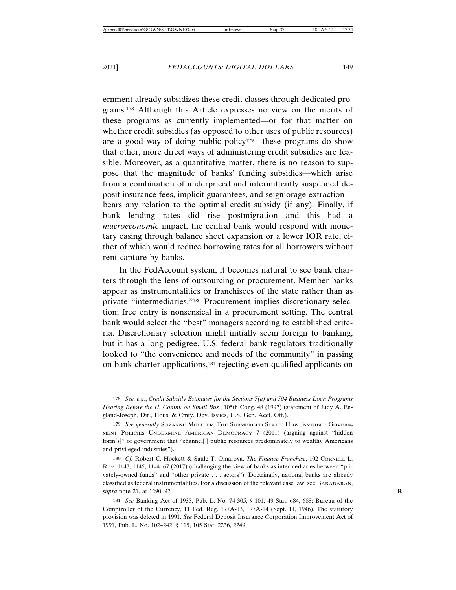ernment already subsidizes these credit classes through dedicated programs.178 Although this Article expresses no view on the merits of these programs as currently implemented—or for that matter on whether credit subsidies (as opposed to other uses of public resources) are a good way of doing public policy<sup>179</sup>—these programs do show that other, more direct ways of administering credit subsidies are feasible. Moreover, as a quantitative matter, there is no reason to suppose that the magnitude of banks' funding subsidies—which arise from a combination of underpriced and intermittently suspended deposit insurance fees, implicit guarantees, and seigniorage extraction bears any relation to the optimal credit subsidy (if any). Finally, if bank lending rates did rise postmigration and this had a *macroeconomic* impact, the central bank would respond with monetary easing through balance sheet expansion or a lower IOR rate, either of which would reduce borrowing rates for all borrowers without rent capture by banks.

In the FedAccount system, it becomes natural to see bank charters through the lens of outsourcing or procurement. Member banks appear as instrumentalities or franchisees of the state rather than as private "intermediaries."180 Procurement implies discretionary selection; free entry is nonsensical in a procurement setting. The central bank would select the "best" managers according to established criteria. Discretionary selection might initially seem foreign to banking, but it has a long pedigree. U.S. federal bank regulators traditionally looked to "the convenience and needs of the community" in passing on bank charter applications,<sup>181</sup> rejecting even qualified applicants on

<sup>178</sup> *See, e.g.*, *Credit Subsidy Estimates for the Sections 7(a) and 504 Business Loan Programs Hearing Before the H. Comm. on Small Bus.*, 105th Cong. 48 (1997) (statement of Judy A. England-Joseph, Dir., Hous. & Cmty. Dev. Issues, U.S. Gen. Acct. Off.).

<sup>179</sup> *See generally* SUZANNE METTLER, THE SUBMERGED STATE: HOW INVISIBLE GOVERN-MENT POLICIES UNDERMINE AMERICAN DEMOCRACY 7 (2011) (arguing against "hidden form[s]" of government that "channel[ ] public resources predominately to wealthy Americans and privileged industries").

<sup>180</sup> *Cf.* Robert C. Hockett & Saule T. Omarova, *The Finance Franchise*, 102 CORNELL L. REV. 1143, 1145, 1144–67 (2017) (challenging the view of banks as intermediaries between "privately-owned funds" and "other private . . . actors"). Doctrinally, national banks are already classified as federal instrumentalities. For a discussion of the relevant case law, see BARADARAN, *supra* note 21, at 1290–92. **R**

<sup>181</sup> *See* Banking Act of 1935, Pub. L. No. 74-305, § 101, 49 Stat. 684, 688; Bureau of the Comptroller of the Currency, 11 Fed. Reg. 177A-13, 177A-14 (Sept. 11, 1946). The statutory provision was deleted in 1991. *See* Federal Deposit Insurance Corporation Improvement Act of 1991, Pub. L. No. 102–242, § 115, 105 Stat. 2236, 2249.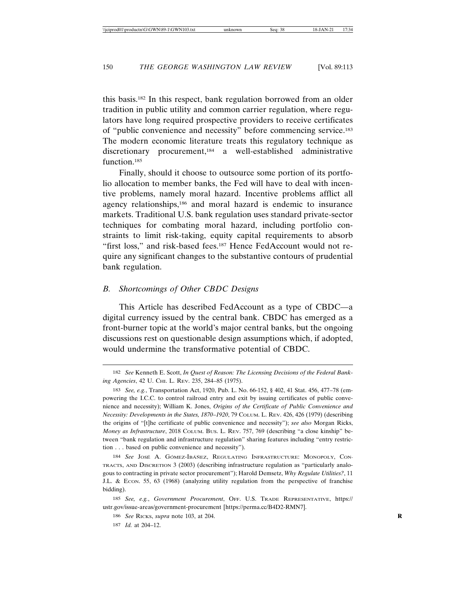this basis.182 In this respect, bank regulation borrowed from an older tradition in public utility and common carrier regulation, where regulators have long required prospective providers to receive certificates of "public convenience and necessity" before commencing service.183 The modern economic literature treats this regulatory technique as discretionary procurement,184 a well-established administrative function.185

Finally, should it choose to outsource some portion of its portfolio allocation to member banks, the Fed will have to deal with incentive problems, namely moral hazard. Incentive problems afflict all agency relationships,<sup>186</sup> and moral hazard is endemic to insurance markets. Traditional U.S. bank regulation uses standard private-sector techniques for combating moral hazard, including portfolio constraints to limit risk-taking, equity capital requirements to absorb "first loss," and risk-based fees.<sup>187</sup> Hence FedAccount would not require any significant changes to the substantive contours of prudential bank regulation.

### *B. Shortcomings of Other CBDC Designs*

This Article has described FedAccount as a type of CBDC—a digital currency issued by the central bank. CBDC has emerged as a front-burner topic at the world's major central banks, but the ongoing discussions rest on questionable design assumptions which, if adopted, would undermine the transformative potential of CBDC.

<sup>182</sup> *See* Kenneth E. Scott, *In Quest of Reason: The Licensing Decisions of the Federal Banking Agencies*, 42 U. CHI. L. REV. 235, 284–85 (1975).

<sup>183</sup> *See, e.g.*, Transportation Act, 1920, Pub. L. No. 66-152, § 402, 41 Stat. 456, 477–78 (empowering the I.C.C. to control railroad entry and exit by issuing certificates of public convenience and necessity); William K. Jones, *Origins of the Certificate of Public Convenience and Necessity: Developments in the States, 1870–1920*, 79 COLUM. L. REV. 426, 426 (1979) (describing the origins of "[t]he certificate of public convenience and necessity"); *see also* Morgan Ricks, *Money as Infrastructure*, 2018 COLUM. BUS. L. REV. 757, 769 (describing "a close kinship" between "bank regulation and infrastructure regulation" sharing features including "entry restriction . . . based on public convenience and necessity").

<sup>184</sup> See JOSE A. GOMEZ-IBANEZ, REGULATING INFRASTRUCTURE: MONOPOLY, CON-TRACTS, AND DISCRETION 3 (2003) (describing infrastructure regulation as "particularly analogous to contracting in private sector procurement"); Harold Demsetz, *Why Regulate Utilities?*, 11 J.L. & Econ. 55, 63 (1968) (analyzing utility regulation from the perspective of franchise bidding).

<sup>185</sup> *See, e.g.*, *Government Procurement*, OFF. U.S. TRADE REPRESENTATIVE, https:// ustr.gov/issue-areas/government-procurement [https://perma.cc/B4D2-RMN7].

<sup>186</sup> *See* RICKS, *supra* note 103, at 204. **R**

<sup>187</sup> *Id.* at 204–12.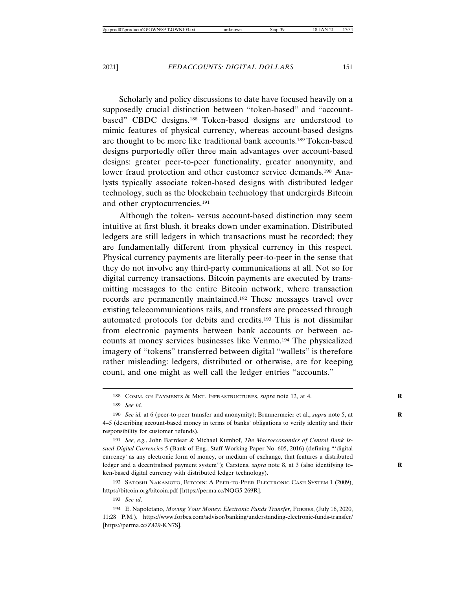Scholarly and policy discussions to date have focused heavily on a supposedly crucial distinction between "token-based" and "accountbased" CBDC designs.188 Token-based designs are understood to mimic features of physical currency, whereas account-based designs are thought to be more like traditional bank accounts.189 Token-based designs purportedly offer three main advantages over account-based designs: greater peer-to-peer functionality, greater anonymity, and lower fraud protection and other customer service demands.190 Analysts typically associate token-based designs with distributed ledger technology, such as the blockchain technology that undergirds Bitcoin and other cryptocurrencies.191

Although the token- versus account-based distinction may seem intuitive at first blush, it breaks down under examination. Distributed ledgers are still ledgers in which transactions must be recorded; they are fundamentally different from physical currency in this respect. Physical currency payments are literally peer-to-peer in the sense that they do not involve any third-party communications at all. Not so for digital currency transactions. Bitcoin payments are executed by transmitting messages to the entire Bitcoin network, where transaction records are permanently maintained.192 These messages travel over existing telecommunications rails, and transfers are processed through automated protocols for debits and credits.193 This is not dissimilar from electronic payments between bank accounts or between accounts at money services businesses like Venmo.194 The physicalized imagery of "tokens" transferred between digital "wallets" is therefore rather misleading: ledgers, distributed or otherwise, are for keeping count, and one might as well call the ledger entries "accounts."

191 *See, e.g.*, John Barrdear & Michael Kumhof, *The Macroeconomics of Central Bank Issued Digital Currencies* 5 (Bank of Eng., Staff Working Paper No. 605, 2016) (defining "'digital currency' as any electronic form of money, or medium of exchange, that features a distributed ledger and a decentralised payment system"); Carstens, *supra* note 8, at 3 (also identifying token-based digital currency with distributed ledger technology).

192 SATOSHI NAKAMOTO, BITCOIN: A PEER-TO-PEER ELECTRONIC CASH SYSTEM 1 (2009), https://bitcoin.org/bitcoin.pdf [https://perma.cc/NQG5-269R].

193 *See id*.

<sup>188</sup> COMM. ON PAYMENTS & MKT. INFRASTRUCTURES, *supra* note 12, at 4. **R**

<sup>189</sup> *See id.*

<sup>190</sup> *See id.* at 6 (peer-to-peer transfer and anonymity); Brunnermeier et al., *supra* note 5, at **R** 4–5 (describing account-based money in terms of banks' obligations to verify identity and their responsibility for customer refunds).

<sup>194</sup> E. Napoletano, *Moving Your Money: Electronic Funds Transfer*, FORBES, (July 16, 2020, 11:28 P.M.), https://www.forbes.com/advisor/banking/understanding-electronic-funds-transfer/ [https://perma.cc/Z429-KN7S].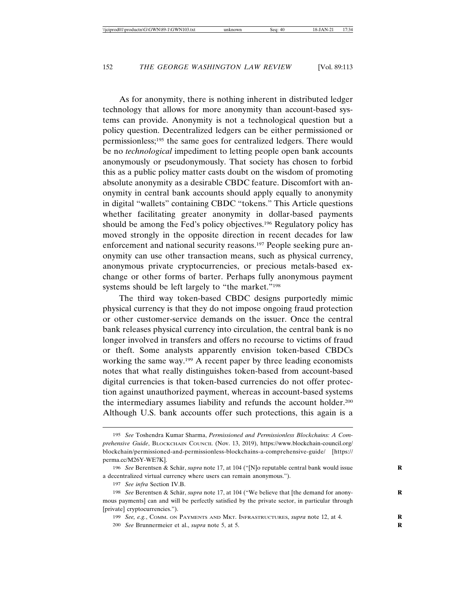As for anonymity, there is nothing inherent in distributed ledger technology that allows for more anonymity than account-based systems can provide. Anonymity is not a technological question but a policy question. Decentralized ledgers can be either permissioned or permissionless;195 the same goes for centralized ledgers. There would be no *technological* impediment to letting people open bank accounts anonymously or pseudonymously. That society has chosen to forbid this as a public policy matter casts doubt on the wisdom of promoting absolute anonymity as a desirable CBDC feature. Discomfort with anonymity in central bank accounts should apply equally to anonymity in digital "wallets" containing CBDC "tokens." This Article questions whether facilitating greater anonymity in dollar-based payments should be among the Fed's policy objectives.196 Regulatory policy has moved strongly in the opposite direction in recent decades for law enforcement and national security reasons.197 People seeking pure anonymity can use other transaction means, such as physical currency, anonymous private cryptocurrencies, or precious metals-based exchange or other forms of barter. Perhaps fully anonymous payment systems should be left largely to "the market."<sup>198</sup>

The third way token-based CBDC designs purportedly mimic physical currency is that they do not impose ongoing fraud protection or other customer-service demands on the issuer. Once the central bank releases physical currency into circulation, the central bank is no longer involved in transfers and offers no recourse to victims of fraud or theft. Some analysts apparently envision token-based CBDCs working the same way.199 A recent paper by three leading economists notes that what really distinguishes token-based from account-based digital currencies is that token-based currencies do not offer protection against unauthorized payment, whereas in account-based systems the intermediary assumes liability and refunds the account holder.200 Although U.S. bank accounts offer such protections, this again is a

<sup>195</sup> *See* Toshendra Kumar Sharma, *Permissioned and Permissionless Blockchains: A Comprehensive Guide*, BLOCKCHAIN COUNCIL (Nov. 13, 2019), https://www.blockchain-council.org/ blockchain/permissioned-and-permissionless-blockchains-a-comprehensive-guide/ [https:// perma.cc/M26Y-WE7K].

<sup>196</sup> *See* Berentsen & Schär, *supra* note 17, at 104 ("[N]o reputable central bank would issue a decentralized virtual currency where users can remain anonymous.").

<sup>197</sup> *See infra* Section IV.B.

<sup>198</sup> *See* Berentsen & Schär, *supra* note 17, at 104 ("We believe that [the demand for anonymous payments] can and will be perfectly satisfied by the private sector, in particular through [private] cryptocurrencies.").

<sup>199</sup> *See, e.g.*, COMM. ON PAYMENTS AND MKT. INFRASTRUCTURES, *supra* note 12, at 4. **R**

<sup>200</sup> *See* Brunnermeier et al., *supra* note 5, at 5. **R**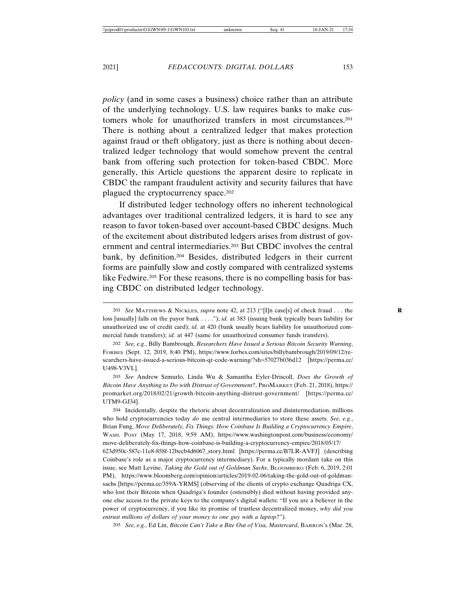*policy* (and in some cases a business) choice rather than an attribute of the underlying technology. U.S. law requires banks to make customers whole for unauthorized transfers in most circumstances.201 There is nothing about a centralized ledger that makes protection against fraud or theft obligatory, just as there is nothing about decentralized ledger technology that would somehow prevent the central bank from offering such protection for token-based CBDC. More generally, this Article questions the apparent desire to replicate in CBDC the rampant fraudulent activity and security failures that have plagued the cryptocurrency space.<sup>202</sup>

If distributed ledger technology offers no inherent technological advantages over traditional centralized ledgers, it is hard to see any reason to favor token-based over account-based CBDC designs. Much of the excitement about distributed ledgers arises from distrust of government and central intermediaries.203 But CBDC involves the central bank, by definition.204 Besides, distributed ledgers in their current forms are painfully slow and costly compared with centralized systems like Fedwire.<sup>205</sup> For these reasons, there is no compelling basis for basing CBDC on distributed ledger technology.

203 *See* Andrew Szmurlo, Linda Wu & Samantha Eyler-Driscoll, *Does the Growth of Bitcoin Have Anything to Do with Distrust of Government?*, PROMARKET (Feb. 21, 2018), https:// promarket.org/2018/02/21/growth-bitcoin-anything-distrust-government/ [https://perma.cc/ UTM9-GJ34].

204 Incidentally, despite the rhetoric about decentralization and disintermediation, millions who hold cryptocurrencies today *do* use central intermediaries to store these assets. *See, e.g.*, Brian Fung, *Move Deliberately, Fix Things: How Coinbase Is Building a Cryptocurrency Empire*, WASH. POST (May 17, 2018, 9:59 AM), https://www.washingtonpost.com/business/economy/ move-deliberately-fix-things-how-coinbase-is-building-a-cryptocurrency-empire/2018/05/17/ 623d950c-587c-11e8-858f-12becb4d6067\_story.html [https://perma.cc/B7LR-AVFJ] (describing Coinbase's role as a major cryptocurrency intermediary). For a typically mordant take on this issue, see Matt Levine, *Taking the Gold out of Goldman Sachs*, BLOOMBERG (Feb. 6, 2019, 2:01 PM), https://www.bloomberg.com/opinion/articles/2019-02-06/taking-the-gold-out-of-goldmansachs [https://perma.cc/359A-YRMS] (observing of the clients of crypto exchange Quadriga CX, who lost their Bitcoin when Quadriga's founder (ostensibly) died without having provided anyone else access to the private keys to the company's digital wallets: "If you are a believer in the power of cryptocurrency, if you like its promise of trustless decentralized money, *why did you*

*entrust millions of dollars of your money to one guy with a laptop?*").

205 *See, e.g.*, Ed Lin, *Bitcoin Can't Take a Bite Out of Visa, Mastercard*, BARRON'S (Mar. 28,

<sup>201</sup> *See* MATTHEWS & NICKLES, *supra* note 42, at 213 ("[I]n case[s] of check fraud . . . the **R** loss [usually] falls on the payor bank . . . ."); *id.* at 383 (issuing bank typically bears liability for unauthorized use of credit card); *id.* at 420 (bank usually bears liability for unauthorized commercial funds transfers); *id.* at 447 (same for unauthorized consumer funds transfers).

<sup>202</sup> *See, e.g.*, Billy Bambrough, *Researchers Have Issued a Serious Bitcoin Security Warning*, FORBES (Sept. 12, 2019, 8:40 PM), https://www.forbes.com/sites/billybambrough/2019/09/12/researchers-have-issued-a-serious-bitcoin-qr-code-warning/?sh=57027b036d12 [https://perma.cc/ U498-V3VL].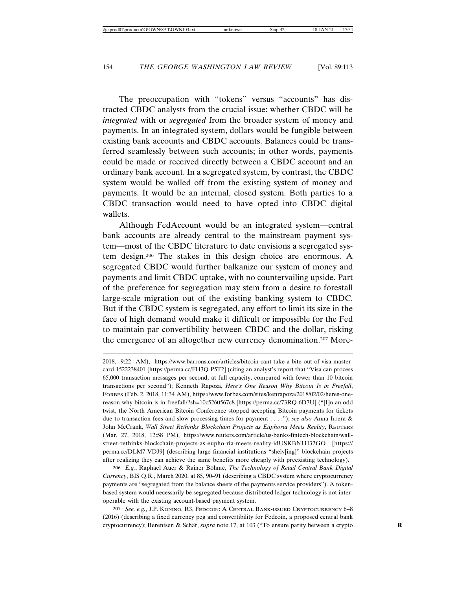The preoccupation with "tokens" versus "accounts" has distracted CBDC analysts from the crucial issue: whether CBDC will be *integrated* with or *segregated* from the broader system of money and payments. In an integrated system, dollars would be fungible between existing bank accounts and CBDC accounts. Balances could be transferred seamlessly between such accounts; in other words, payments could be made or received directly between a CBDC account and an ordinary bank account. In a segregated system, by contrast, the CBDC system would be walled off from the existing system of money and payments. It would be an internal, closed system. Both parties to a CBDC transaction would need to have opted into CBDC digital wallets.

Although FedAccount would be an integrated system—central bank accounts are already central to the mainstream payment system—most of the CBDC literature to date envisions a segregated system design.206 The stakes in this design choice are enormous. A segregated CBDC would further balkanize our system of money and payments and limit CBDC uptake, with no countervailing upside. Part of the preference for segregation may stem from a desire to forestall large-scale migration out of the existing banking system to CBDC. But if the CBDC system is segregated, any effort to limit its size in the face of high demand would make it difficult or impossible for the Fed to maintain par convertibility between CBDC and the dollar, risking the emergence of an altogether new currency denomination.207 More-

206 E.g., Raphael Auer & Rainer Böhme, *The Technology of Retail Central Bank Digital Currency*, BIS Q.R., March 2020, at 85, 90–91 (describing a CBDC system where cryptocurrency payments are "segregated from the balance sheets of the payments service providers"). A tokenbased system would necessarily be segregated because distributed ledger technology is not interoperable with the existing account-based payment system.

207 *See, e.g.*, J.P. KONING, R3, FEDCOIN: A CENTRAL BANK-ISSUED CRYPTOCURRENCY 6–8 (2016) (describing a fixed currency peg and convertibility for Fedcoin, a proposed central bank cryptocurrency); Berentsen & Schär, *supra* note 17, at 103 ("To ensure parity between a crypto

<sup>2018, 9:22</sup> AM), https://www.barrons.com/articles/bitcoin-cant-take-a-bite-out-of-visa-mastercard-1522238401 [https://perma.cc/FH3Q-P5T2] (citing an analyst's report that "Visa can process 65,000 transaction messages per second, at full capacity, compared with fewer than 10 bitcoin transactions per second"); Kenneth Rapoza, *Here's One Reason Why Bitcoin Is in Freefall*, FORBES (Feb. 2, 2018, 11:34 AM), https://www.forbes.com/sites/kenrapoza/2018/02/02/heres-onereason-why-bitcoin-is-in-freefall/?sh=10c5260567c8 [https://perma.cc/73RQ-6D7U] ("[I]n an odd twist, the North American Bitcoin Conference stopped accepting Bitcoin payments for tickets due to transaction fees and slow processing times for payment . . . ."); *see also* Anna Irrera & John McCrank, *Wall Street Rethinks Blockchain Projects as Euphoria Meets Reality*, REUTERS (Mar. 27, 2018, 12:58 PM), https://www.reuters.com/article/us-banks-fintech-blockchain/wallstreet-rethinks-blockchain-projects-as-eupho-ria-meets-reality-idUSKBN1H32GO [https:// perma.cc/DLM7-VDJ9] (describing large financial institutions "shelv[ing]" blockchain projects after realizing they can achieve the same benefits more cheaply with preexisting technology).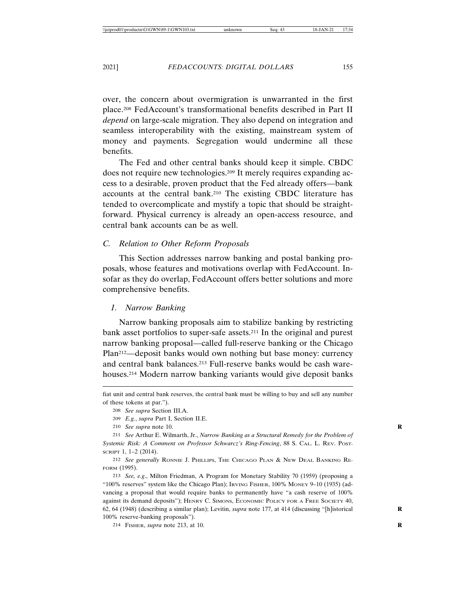over, the concern about overmigration is unwarranted in the first place.208 FedAccount's transformational benefits described in Part II *depend* on large-scale migration. They also depend on integration and seamless interoperability with the existing, mainstream system of money and payments. Segregation would undermine all these benefits.

The Fed and other central banks should keep it simple. CBDC does not require new technologies.209 It merely requires expanding access to a desirable, proven product that the Fed already offers—bank accounts at the central bank.210 The existing CBDC literature has tended to overcomplicate and mystify a topic that should be straightforward. Physical currency is already an open-access resource, and central bank accounts can be as well.

### *C. Relation to Other Reform Proposals*

This Section addresses narrow banking and postal banking proposals, whose features and motivations overlap with FedAccount. Insofar as they do overlap, FedAccount offers better solutions and more comprehensive benefits.

### *1. Narrow Banking*

Narrow banking proposals aim to stabilize banking by restricting bank asset portfolios to super-safe assets.211 In the original and purest narrow banking proposal—called full-reserve banking or the Chicago Plan212—deposit banks would own nothing but base money: currency and central bank balances.213 Full-reserve banks would be cash warehouses.214 Modern narrow banking variants would give deposit banks

- 209 *E.g.*, *supra* Part I, Section II.E.
- 210 *See supra* note 10. **R**

213 *See, e.g*., Milton Friedman, A Program for Monetary Stability 70 (1959) (proposing a "100% reserves" system like the Chicago Plan); IRVING FISHER, 100% MONEY 9–10 (1935) (advancing a proposal that would require banks to permanently have "a cash reserve of 100% against its demand deposits"); HENRY C. SIMONS, ECONOMIC POLICY FOR A FREE SOCIETY 40, 62, 64 (1948) (describing a similar plan); Levitin, *supra* note 177, at 414 (discussing "[h]istorical **R** 100% reserve-banking proposals").

214 FISHER, *supra* note 213, at 10. **R**

fiat unit and central bank reserves, the central bank must be willing to buy and sell any number of these tokens at par.").

<sup>208</sup> *See supra* Section III.A.

<sup>211</sup> *See* Arthur E. Wilmarth, Jr., *Narrow Banking as a Structural Remedy for the Problem of Systemic Risk: A Comment on Professor Schwarcz's Ring-Fencing*, 88 S. CAL. L. REV. POST-SCRIPT 1, 1–2 (2014).

<sup>212</sup> *See generally* RONNIE J. PHILLIPS, THE CHICAGO PLAN & NEW DEAL BANKING RE-FORM (1995).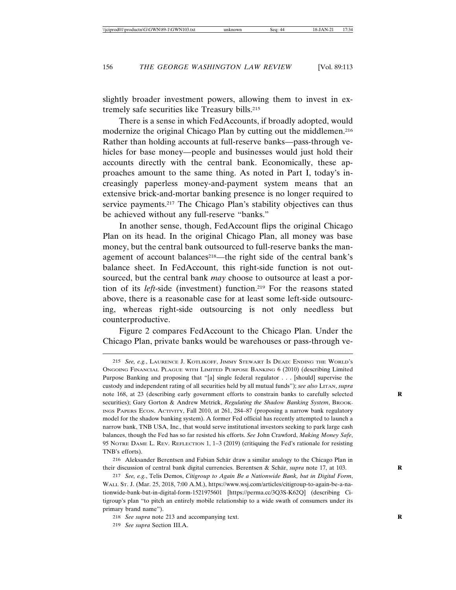slightly broader investment powers, allowing them to invest in extremely safe securities like Treasury bills.215

There is a sense in which FedAccounts, if broadly adopted, would modernize the original Chicago Plan by cutting out the middlemen.<sup>216</sup> Rather than holding accounts at full-reserve banks—pass-through vehicles for base money—people and businesses would just hold their accounts directly with the central bank. Economically, these approaches amount to the same thing. As noted in Part I, today's increasingly paperless money-and-payment system means that an extensive brick-and-mortar banking presence is no longer required to service payments.<sup>217</sup> The Chicago Plan's stability objectives can thus be achieved without any full-reserve "banks."

In another sense, though, FedAccount flips the original Chicago Plan on its head. In the original Chicago Plan, all money was base money, but the central bank outsourced to full-reserve banks the management of account balances<sup>218</sup>—the right side of the central bank's balance sheet. In FedAccount, this right-side function is not outsourced, but the central bank *may* choose to outsource at least a portion of its *left*-side (investment) function.219 For the reasons stated above, there is a reasonable case for at least some left-side outsourcing, whereas right-side outsourcing is not only needless but counterproductive.

Figure 2 compares FedAccount to the Chicago Plan. Under the Chicago Plan, private banks would be warehouses or pass-through ve-

<sup>215</sup> *See, e.g.*, LAURENCE J. KOTLIKOFF, JIMMY STEWART IS DEAD: ENDING THE WORLD'S ONGOING FINANCIAL PLAGUE WITH LIMITED PURPOSE BANKING 6 (2010) (describing Limited Purpose Banking and proposing that "[a] single federal regulator . . . [should] supervise the custody and independent rating of all securities held by all mutual funds"); *see also* LITAN, *supra* note 168, at 23 (describing early government efforts to constrain banks to carefully selected securities); Gary Gorton & Andrew Metrick, *Regulating the Shadow Banking System*, BROOK-INGS PAPERS ECON. ACTIVITY, Fall 2010, at 261, 284–87 (proposing a narrow bank regulatory model for the shadow banking system). A former Fed official has recently attempted to launch a narrow bank, TNB USA, Inc., that would serve institutional investors seeking to park large cash balances, though the Fed has so far resisted his efforts. *See* John Crawford, *Making Money Safe*, 95 NOTRE DAME L. REV. REFLECTION 1, 1–3 (2019) (critiquing the Fed's rationale for resisting TNB's efforts).

<sup>216</sup> Aleksander Berentsen and Fabian Schär draw a similar analogy to the Chicago Plan in their discussion of central bank digital currencies. Berentsen & Schär, *supra* note 17, at 103.

<sup>217</sup> *See, e.g.*, Telis Demos, *Citigroup to Again Be a Nationwide Bank, but in Digital Form*, WALL ST. J. (Mar. 25, 2018, 7:00 A.M.), https://www.wsj.com/articles/citigroup-to-again-be-a-nationwide-bank-but-in-digital-form-1521975601 [https://perma.cc/3Q3S-K62Q] (describing Citigroup's plan "to pitch an entirely mobile relationship to a wide swath of consumers under its primary brand name").

<sup>218</sup> *See supra* note 213 and accompanying text. **R**

<sup>219</sup> *See supra* Section III.A.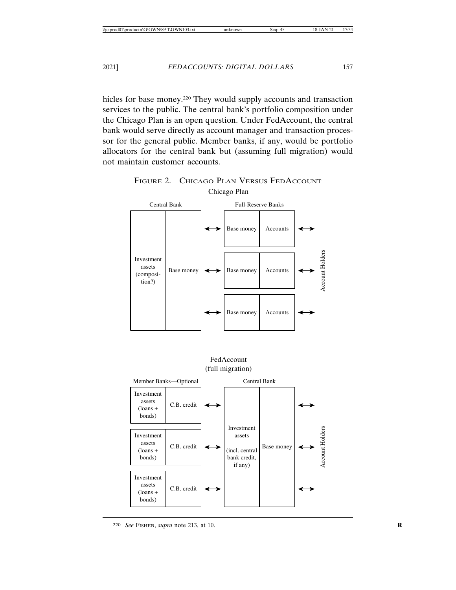hicles for base money.<sup>220</sup> They would supply accounts and transaction services to the public. The central bank's portfolio composition under the Chicago Plan is an open question. Under FedAccount, the central bank would serve directly as account manager and transaction processor for the general public. Member banks, if any, would be portfolio allocators for the central bank but (assuming full migration) would not maintain customer accounts.



FIGURE 2. CHICAGO PLAN VERSUS FEDACCOUNT Chicago Plan

### FedAccount (full migration)

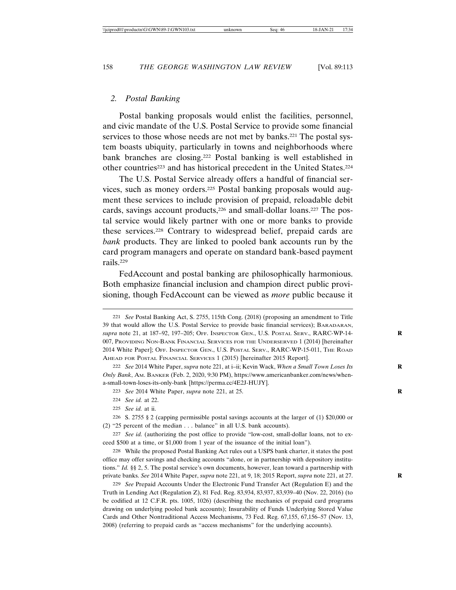### *2. Postal Banking*

Postal banking proposals would enlist the facilities, personnel, and civic mandate of the U.S. Postal Service to provide some financial services to those whose needs are not met by banks.<sup>221</sup> The postal system boasts ubiquity, particularly in towns and neighborhoods where bank branches are closing.222 Postal banking is well established in other countries<sup>223</sup> and has historical precedent in the United States.<sup>224</sup>

The U.S. Postal Service already offers a handful of financial services, such as money orders.225 Postal banking proposals would augment these services to include provision of prepaid, reloadable debit cards, savings account products,<sup>226</sup> and small-dollar loans.<sup>227</sup> The postal service would likely partner with one or more banks to provide these services.228 Contrary to widespread belief, prepaid cards are *bank* products. They are linked to pooled bank accounts run by the card program managers and operate on standard bank-based payment rails.229

FedAccount and postal banking are philosophically harmonious. Both emphasize financial inclusion and champion direct public provisioning, though FedAccount can be viewed as *more* public because it

225 *See id.* at ii.

<sup>221</sup> *See* Postal Banking Act, S. 2755, 115th Cong. (2018) (proposing an amendment to Title 39 that would allow the U.S. Postal Service to provide basic financial services); BARADARAN, *supra* note 21, at 187–92, 197–205; OFF. INSPECTOR GEN., U.S. POSTAL SERV., RARC-WP-14- **R** 007, PROVIDING NON-BANK FINANCIAL SERVICES FOR THE UNDERSERVED 1 (2014) [hereinafter 2014 White Paper]; OFF. INSPECTOR GEN., U.S. POSTAL SERV., RARC-WP-15-011, THE ROAD AHEAD FOR POSTAL FINANCIAL SERVICES 1 (2015) [hereinafter 2015 Report].

<sup>222</sup> *See* 2014 White Paper, *supra* note 221, at i–ii; Kevin Wack, *When a Small Town Loses Its* **R** *Only Bank*, AM. BANKER (Feb. 2, 2020, 9:30 PM), https://www.americanbanker.com/news/whena-small-town-loses-its-only-bank [https://perma.cc/4E2J-HUJY].

<sup>223</sup> *See* 2014 White Paper, *supra* note 221, at 25. **R**

<sup>224</sup> *See id.* at 22.

<sup>226</sup> S. 2755 § 2 (capping permissible postal savings accounts at the larger of (1) \$20,000 or (2) "25 percent of the median . . . balance" in all U.S. bank accounts).

<sup>227</sup> *See id.* (authorizing the post office to provide "low-cost, small-dollar loans, not to exceed \$500 at a time, or \$1,000 from 1 year of the issuance of the initial loan").

<sup>228</sup> While the proposed Postal Banking Act rules out a USPS bank charter, it states the post office may offer savings and checking accounts "alone, or in partnership with depository institutions." *Id.* §§ 2, 5. The postal service's own documents, however, lean toward a partnership with private banks. *See* 2014 White Paper, *supra* note 221, at 9, 18; 2015 Report, *supra* note 221, at 27. **R**

<sup>229</sup> *See* Prepaid Accounts Under the Electronic Fund Transfer Act (Regulation E) and the Truth in Lending Act (Regulation Z), 81 Fed. Reg. 83,934, 83,937, 83,939–40 (Nov. 22, 2016) (to be codified at 12 C.F.R. pts. 1005, 1026) (describing the mechanics of prepaid card programs drawing on underlying pooled bank accounts); Insurability of Funds Underlying Stored Value Cards and Other Nontraditional Access Mechanisms, 73 Fed. Reg. 67,155, 67,156–57 (Nov. 13, 2008) (referring to prepaid cards as "access mechanisms" for the underlying accounts).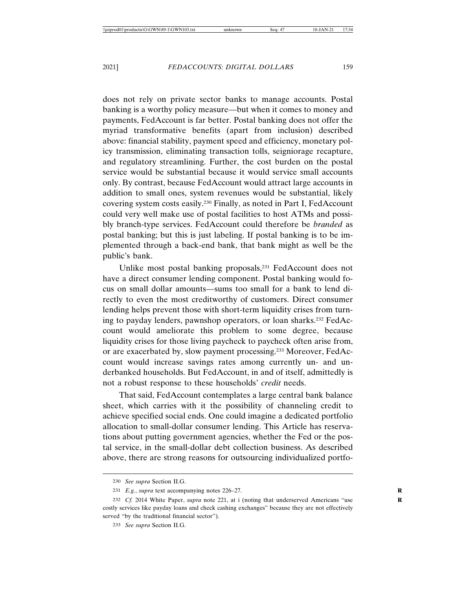does not rely on private sector banks to manage accounts. Postal banking is a worthy policy measure—but when it comes to money and payments, FedAccount is far better. Postal banking does not offer the myriad transformative benefits (apart from inclusion) described above: financial stability, payment speed and efficiency, monetary policy transmission, eliminating transaction tolls, seigniorage recapture, and regulatory streamlining. Further, the cost burden on the postal service would be substantial because it would service small accounts only. By contrast, because FedAccount would attract large accounts in addition to small ones, system revenues would be substantial, likely covering system costs easily.230 Finally, as noted in Part I, FedAccount could very well make use of postal facilities to host ATMs and possibly branch-type services. FedAccount could therefore be *branded* as postal banking; but this is just labeling. If postal banking is to be implemented through a back-end bank, that bank might as well be the public's bank.

Unlike most postal banking proposals,<sup>231</sup> FedAccount does not have a direct consumer lending component. Postal banking would focus on small dollar amounts—sums too small for a bank to lend directly to even the most creditworthy of customers. Direct consumer lending helps prevent those with short-term liquidity crises from turning to payday lenders, pawnshop operators, or loan sharks.232 FedAccount would ameliorate this problem to some degree, because liquidity crises for those living paycheck to paycheck often arise from, or are exacerbated by, slow payment processing.233 Moreover, FedAccount would increase savings rates among currently un- and underbanked households. But FedAccount, in and of itself, admittedly is not a robust response to these households' *credit* needs.

That said, FedAccount contemplates a large central bank balance sheet, which carries with it the possibility of channeling credit to achieve specified social ends. One could imagine a dedicated portfolio allocation to small-dollar consumer lending. This Article has reservations about putting government agencies, whether the Fed or the postal service, in the small-dollar debt collection business. As described above, there are strong reasons for outsourcing individualized portfo-

<sup>230</sup> *See supra* Section II.G.

<sup>231</sup> *E.g.*, *supra* text accompanying notes 226–27. **R**

<sup>232</sup> *Cf.* 2014 White Paper, *supra* note 221, at i (noting that underserved Americans "use **R** costly services like payday loans and check cashing exchanges" because they are not effectively served "by the traditional financial sector").

<sup>233</sup> *See supra* Section II.G.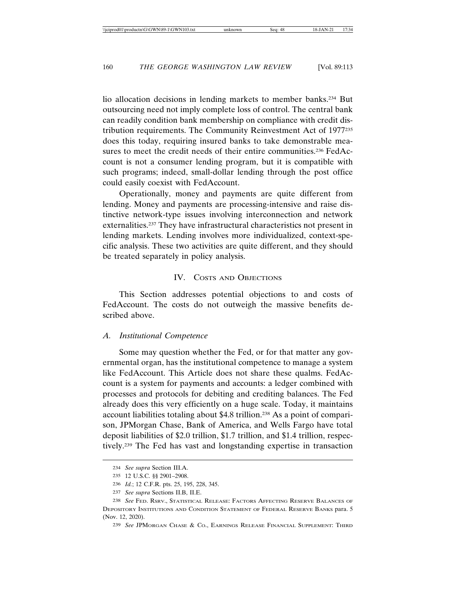lio allocation decisions in lending markets to member banks.<sup>234</sup> But outsourcing need not imply complete loss of control. The central bank can readily condition bank membership on compliance with credit distribution requirements. The Community Reinvestment Act of 1977235 does this today, requiring insured banks to take demonstrable measures to meet the credit needs of their entire communities.<sup>236</sup> FedAccount is not a consumer lending program, but it is compatible with such programs; indeed, small-dollar lending through the post office could easily coexist with FedAccount.

Operationally, money and payments are quite different from lending. Money and payments are processing-intensive and raise distinctive network-type issues involving interconnection and network externalities.237 They have infrastructural characteristics not present in lending markets. Lending involves more individualized, context-specific analysis. These two activities are quite different, and they should be treated separately in policy analysis.

### IV. COSTS AND OBJECTIONS

This Section addresses potential objections to and costs of FedAccount. The costs do not outweigh the massive benefits described above.

### *A. Institutional Competence*

Some may question whether the Fed, or for that matter any governmental organ, has the institutional competence to manage a system like FedAccount. This Article does not share these qualms. FedAccount is a system for payments and accounts: a ledger combined with processes and protocols for debiting and crediting balances. The Fed already does this very efficiently on a huge scale. Today, it maintains account liabilities totaling about \$4.8 trillion.238 As a point of comparison, JPMorgan Chase, Bank of America, and Wells Fargo have total deposit liabilities of \$2.0 trillion, \$1.7 trillion, and \$1.4 trillion, respectively.239 The Fed has vast and longstanding expertise in transaction

<sup>234</sup> *See supra* Section III.A.

<sup>235</sup> 12 U.S.C. §§ 2901–2908.

<sup>236</sup> *Id.*; 12 C.F.R. pts. 25, 195, 228, 345.

<sup>237</sup> *See supra* Sections II.B, II.E.

<sup>238</sup> *See* FED. RSRV., STATISTICAL RELEASE: FACTORS AFFECTING RESERVE BALANCES OF DEPOSITORY INSTITUTIONS AND CONDITION STATEMENT OF FEDERAL RESERVE BANKS para. 5 (Nov. 12, 2020).

<sup>239</sup> *See* JPMORGAN CHASE & CO., EARNINGS RELEASE FINANCIAL SUPPLEMENT: THIRD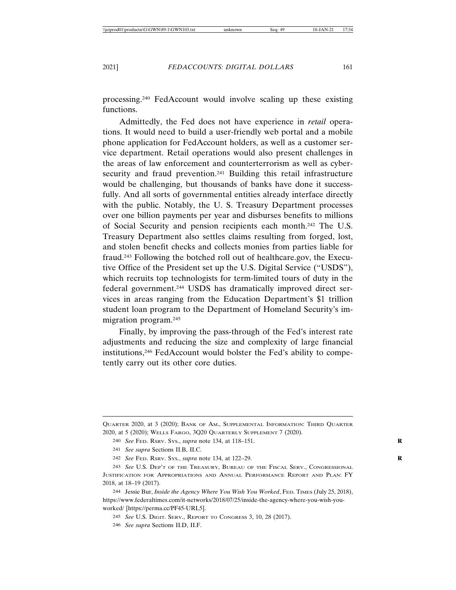processing.240 FedAccount would involve scaling up these existing functions.

Admittedly, the Fed does not have experience in *retail* operations. It would need to build a user-friendly web portal and a mobile phone application for FedAccount holders, as well as a customer service department. Retail operations would also present challenges in the areas of law enforcement and counterterrorism as well as cybersecurity and fraud prevention.<sup>241</sup> Building this retail infrastructure would be challenging, but thousands of banks have done it successfully. And all sorts of governmental entities already interface directly with the public. Notably, the U. S. Treasury Department processes over one billion payments per year and disburses benefits to millions of Social Security and pension recipients each month.242 The U.S. Treasury Department also settles claims resulting from forged, lost, and stolen benefit checks and collects monies from parties liable for fraud.243 Following the botched roll out of healthcare.gov, the Executive Office of the President set up the U.S. Digital Service ("USDS"), which recruits top technologists for term-limited tours of duty in the federal government.244 USDS has dramatically improved direct services in areas ranging from the Education Department's \$1 trillion student loan program to the Department of Homeland Security's immigration program.245

Finally, by improving the pass-through of the Fed's interest rate adjustments and reducing the size and complexity of large financial institutions,246 FedAccount would bolster the Fed's ability to competently carry out its other core duties.

244 Jessie Bur, *Inside the Agency Where You Wish You Worked*, FED. TIMES (July 25, 2018), https://www.federaltimes.com/it-networks/2018/07/25/inside-the-agency-where-you-wish-youworked/ [https://perma.cc/PF45-URL5].

245 *See* U.S. DIGIT. SERV., REPORT TO CONGRESS 3, 10, 28 (2017).

246 *See supra* Sections II.D, II.F.

QUARTER 2020, at 3 (2020); BANK OF AM., SUPPLEMENTAL INFORMATION: THIRD QUARTER 2020, at 5 (2020); WELLS FARGO, 3Q20 QUARTERLY SUPPLEMENT 7 (2020).

<sup>240</sup> *See* FED. RSRV. SYS., *supra* note 134, at 118–151. **R**

<sup>241</sup> *See supra* Sections II.B, II.C.

<sup>242</sup> *See* FED. RSRV. SYS., *supra* note 134, at 122–29. **R**

<sup>243</sup> *See* U.S. DEP'T OF THE TREASURY, BUREAU OF THE FISCAL SERV., CONGRESSIONAL JUSTIFICATION FOR APPROPRIATIONS AND ANNUAL PERFORMANCE REPORT AND PLAN: FY 2018, at 18–19 (2017).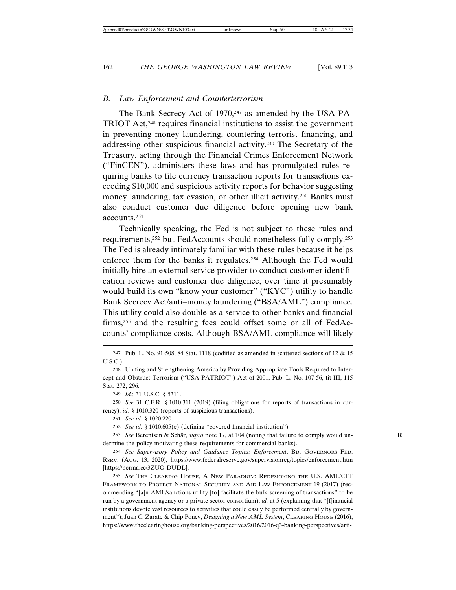### *B. Law Enforcement and Counterterrorism*

The Bank Secrecy Act of 1970,<sup>247</sup> as amended by the USA PA-TRIOT Act,248 requires financial institutions to assist the government in preventing money laundering, countering terrorist financing, and addressing other suspicious financial activity.249 The Secretary of the Treasury, acting through the Financial Crimes Enforcement Network ("FinCEN"), administers these laws and has promulgated rules requiring banks to file currency transaction reports for transactions exceeding \$10,000 and suspicious activity reports for behavior suggesting money laundering, tax evasion, or other illicit activity.250 Banks must also conduct customer due diligence before opening new bank accounts.251

Technically speaking, the Fed is not subject to these rules and requirements,252 but FedAccounts should nonetheless fully comply.253 The Fed is already intimately familiar with these rules because it helps enforce them for the banks it regulates.254 Although the Fed would initially hire an external service provider to conduct customer identification reviews and customer due diligence, over time it presumably would build its own "know your customer" ("KYC") utility to handle Bank Secrecy Act/anti–money laundering ("BSA/AML") compliance. This utility could also double as a service to other banks and financial firms,255 and the resulting fees could offset some or all of FedAccounts' compliance costs. Although BSA/AML compliance will likely

247 Pub. L. No. 91-508, 84 Stat. 1118 (codified as amended in scattered sections of 12 & 15 U.S.C.).

248 Uniting and Strengthening America by Providing Appropriate Tools Required to Intercept and Obstruct Terrorism ("USA PATRIOT") Act of 2001, Pub. L. No. 107-56, tit III, 115 Stat. 272, 296.

249 *Id.*; 31 U.S.C. § 5311.

250 *See* 31 C.F.R. § 1010.311 (2019) (filing obligations for reports of transactions in currency); *id.* § 1010.320 (reports of suspicious transactions).

251 *See id.* § 1020.220.

252 *See id.* § 1010.605(e) (defining "covered financial institution").

253 *See* Berentsen & Schär, *supra* note 17, at 104 (noting that failure to comply would undermine the policy motivating these requirements for commercial banks).

254 *See Supervisory Policy and Guidance Topics: Enforcement*, BD. GOVERNORS FED. RSRV. (AUG. 13, 2020), https://www.federalreserve.gov/supervisionreg/topics/enforcement.htm [https://perma.cc/3ZUQ-DUDL].

255 *See* THE CLEARING HOUSE, A NEW PARADIGM: REDESIGNING THE U.S. AML/CFT FRAMEWORK TO PROTECT NATIONAL SECURITY AND AID LAW ENFORCEMENT 19 (2017) (recommending "[a]n AML/sanctions utility [to] facilitate the bulk screening of transactions" to be run by a government agency or a private sector consortium); *id.* at 5 (explaining that "[f]inancial institutions devote vast resources to activities that could easily be performed centrally by government"); Juan C. Zarate & Chip Poncy, *Designing a New AML System*, CLEARING HOUSE (2016), https://www.theclearinghouse.org/banking-perspectives/2016/2016-q3-banking-perspectives/arti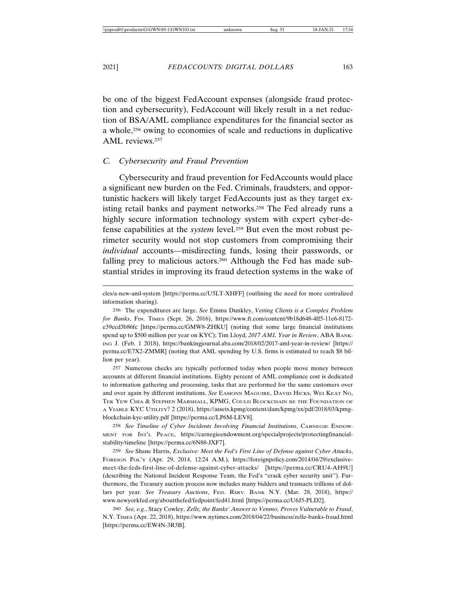be one of the biggest FedAccount expenses (alongside fraud protection and cybersecurity), FedAccount will likely result in a net reduction of BSA/AML compliance expenditures for the financial sector as a whole,<sup>256</sup> owing to economies of scale and reductions in duplicative AML reviews.257

### *C. Cybersecurity and Fraud Prevention*

Cybersecurity and fraud prevention for FedAccounts would place a significant new burden on the Fed. Criminals, fraudsters, and opportunistic hackers will likely target FedAccounts just as they target existing retail banks and payment networks.<sup>258</sup> The Fed already runs a highly secure information technology system with expert cyber-defense capabilities at the *system* level.259 But even the most robust perimeter security would not stop customers from compromising their *individual* accounts—misdirecting funds, losing their passwords, or falling prey to malicious actors.<sup>260</sup> Although the Fed has made substantial strides in improving its fraud detection systems in the wake of

257 Numerous checks are typically performed today when people move money between accounts at different financial institutions. Eighty percent of AML compliance cost is dedicated to information gathering and processing, tasks that are performed for the same customers over and over again by different institutions. *See* EAMONN MAGUIRE, DAVID HICKS, WEI KEAT NG, TEK YEW CHIA & STEPHEN MARSHALL, KPMG, COULD BLOCKCHAIN BE THE FOUNDATION OF A VIABLE KYC UTILITY? 2 (2018), https://assets.kpmg/content/dam/kpmg/xx/pdf/2018/03/kpmgblockchain-kyc-utility.pdf [https://perma.cc/LP6M-LEV8].

258 *See Timeline of Cyber Incidents Involving Financial Institutions*, CARNEGIE ENDOW-MENT FOR INT'L PEACE, https://carnegieendowment.org/specialprojects/protectingfinancialstability/timeline [https://perma.cc/6N88-JXF7].

259 *See* Shane Harris, *Exclusive: Meet the Fed's First Line of Defense against Cyber Attacks*, FOREIGN POL'Y (Apr. 29, 2014, 12:24 A.M.), https://foreignpolicy.com/2014/04/29/exclusivemeet-the-feds-first-line-of-defense-against-cyber-attacks/ [https://perma.cc/CRU4-AH9U] (describing the National Incident Response Team, the Fed's "crack cyber security unit"). Furthermore, the Treasury auction process now includes many bidders and transacts trillions of dollars per year. *See Treasury Auctions*, FED. RSRV. BANK N.Y. (Mar. 28, 2018), https:// www.newyorkfed.org/aboutthefed/fedpoint/fed41.html [https://perma.cc/U6J5-PLD2].

260 *See, e.g.*, Stacy Cowley, *Zelle, the Banks' Answer to Venmo, Proves Vulnerable to Fraud*, N.Y. TIMES (Apr. 22, 2018), https://www.nytimes.com/2018/04/22/business/zelle-banks-fraud.html [https://perma.cc/EW4N-3R3B].

cles/a-new-aml-system [https://perma.cc/U5LT-XHFF] (outlining the need for more centralized information sharing).

<sup>256</sup> The expenditures are large. *See* Emma Dunkley, *Vetting Clients is a Complex Problem for Banks*, FIN. TIMES (Sept. 26, 2016), https://www.ft.com/content/9b18d648-4ff5-11e6-8172 e39ecd3b86fc [https://perma.cc/GMW8-ZHKU] (noting that some large financial institutions spend up to \$500 million per year on KYC); Tim Lloyd, *2017 AML Year in Review*, ABA BANK-ING J. (Feb. 1 2018), https://bankingjournal.aba.com/2018/02/2017-aml-year-in-review/ [https:// perma.cc/E7X2-ZMMR] (noting that AML spending by U.S. firms is estimated to reach \$8 billion per year).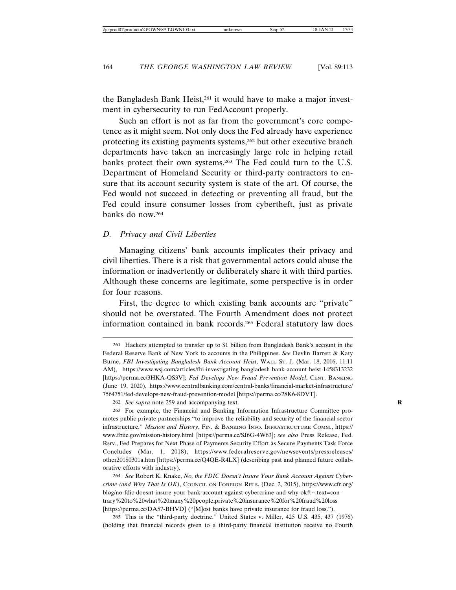the Bangladesh Bank Heist,<sup>261</sup> it would have to make a major investment in cybersecurity to run FedAccount properly.

Such an effort is not as far from the government's core competence as it might seem. Not only does the Fed already have experience protecting its existing payments systems,262 but other executive branch departments have taken an increasingly large role in helping retail banks protect their own systems.263 The Fed could turn to the U.S. Department of Homeland Security or third-party contractors to ensure that its account security system is state of the art. Of course, the Fed would not succeed in detecting or preventing all fraud, but the Fed could insure consumer losses from cybertheft, just as private banks do now.264

### *D. Privacy and Civil Liberties*

Managing citizens' bank accounts implicates their privacy and civil liberties. There is a risk that governmental actors could abuse the information or inadvertently or deliberately share it with third parties. Although these concerns are legitimate, some perspective is in order for four reasons.

First, the degree to which existing bank accounts are "private" should not be overstated. The Fourth Amendment does not protect information contained in bank records.265 Federal statutory law does

263 For example, the Financial and Banking Information Infrastructure Committee promotes public-private partnerships "to improve the reliability and security of the financial sector infrastructure." *Mission and History*, FIN. & BANKING INFO. INFRASTRUCTURE COMM., https:// www.fbiic.gov/mission-history.html [https://perma.cc/SJ6G-4W63]; *see also* Press Release, Fed. Rsrv., Fed Prepares for Next Phase of Payments Security Effort as Secure Payments Task Force Concludes (Mar. 1, 2018), https://www.federalreserve.gov/newsevents/pressreleases/ other20180301a.htm [https://perma.cc/Q4QE-R4LX] (describing past and planned future collaborative efforts with industry).

264 *See* Robert K. Knake, *No, the FDIC Doesn't Insure Your Bank Account Against Cybercrime (and Why That Is OK)*, COUNCIL ON FOREIGN RELS. (Dec. 2, 2015), https://www.cfr.org/ blog/no-fdic-doesnt-insure-your-bank-account-against-cybercrime-and-why-ok#:~:text=contrary%20to%20what%20many%20people,private%20insurance%20for%20fraud%20loss [https://perma.cc/DA57-BHVD] ("[M]ost banks have private insurance for fraud loss.").

265 This is the "third-party doctrine." United States v. Miller, 425 U.S. 435, 437 (1976) (holding that financial records given to a third-party financial institution receive no Fourth

<sup>261</sup> Hackers attempted to transfer up to \$1 billion from Bangladesh Bank's account in the Federal Reserve Bank of New York to accounts in the Philippines. *See* Devlin Barrett & Katy Burne, *FBI Investigating Bangladesh Bank-Account Heist*, WALL ST. J. (Mar. 18, 2016, 11:11 AM), https://www.wsj.com/articles/fbi-investigating-bangladesh-bank-account-heist-1458313232 [https://perma.cc/3HKA-QS3V]; *Fed Develops New Fraud Prevention Model*, CENT. BANKING (June 19, 2020), https://www.centralbanking.com/central-banks/financial-market-infrastructure/ 7564751/fed-develops-new-fraud-prevention-model [https://perma.cc/28K6-8DVT].

<sup>262</sup> *See supra* note 259 and accompanying text. **R**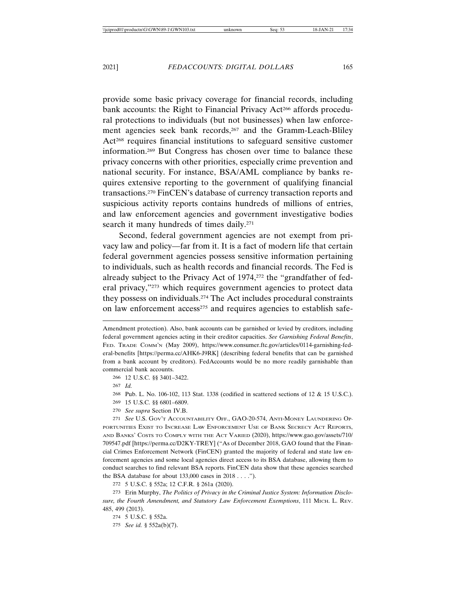provide some basic privacy coverage for financial records, including bank accounts: the Right to Financial Privacy Act<sup>266</sup> affords procedural protections to individuals (but not businesses) when law enforcement agencies seek bank records,<sup>267</sup> and the Gramm-Leach-Bliley Act<sup>268</sup> requires financial institutions to safeguard sensitive customer information.269 But Congress has chosen over time to balance these privacy concerns with other priorities, especially crime prevention and national security. For instance, BSA/AML compliance by banks requires extensive reporting to the government of qualifying financial transactions.270 FinCEN's database of currency transaction reports and suspicious activity reports contains hundreds of millions of entries, and law enforcement agencies and government investigative bodies search it many hundreds of times daily.<sup>271</sup>

Second, federal government agencies are not exempt from privacy law and policy—far from it. It is a fact of modern life that certain federal government agencies possess sensitive information pertaining to individuals, such as health records and financial records. The Fed is already subject to the Privacy Act of 1974,272 the "grandfather of federal privacy,"273 which requires government agencies to protect data they possess on individuals.274 The Act includes procedural constraints on law enforcement access<sup>275</sup> and requires agencies to establish safe-

266 12 U.S.C. §§ 3401–3422.

267 *Id.*

268 Pub. L. No. 106-102, 113 Stat. 1338 (codified in scattered sections of 12 & 15 U.S.C.).

269 15 U.S.C. §§ 6801–6809.

270 *See supra* Section IV.B.

271 *See* U.S. GOV'T ACCOUNTABILITY OFF., GAO-20-574, ANTI-MONEY LAUNDERING OP-PORTUNITIES EXIST TO INCREASE LAW ENFORCEMENT USE OF BANK SECRECY ACT REPORTS, AND BANKS' COSTS TO COMPLY WITH THE ACT VARIED (2020), https://www.gao.gov/assets/710/ 709547.pdf [https://perma.cc/D2KY-TREY] ("As of December 2018, GAO found that the Financial Crimes Enforcement Network (FinCEN) granted the majority of federal and state law enforcement agencies and some local agencies direct access to its BSA database, allowing them to conduct searches to find relevant BSA reports. FinCEN data show that these agencies searched the BSA database for about  $133,000$  cases in  $2018...$ ").

272 5 U.S.C. § 552a; 12 C.F.R. § 261a (2020).

273 Erin Murphy, *The Politics of Privacy in the Criminal Justice System: Information Disclosure, the Fourth Amendment, and Statutory Law Enforcement Exemptions*, 111 MICH. L. REV. 485, 499 (2013).

275 *See id.* § 552a(b)(7).

Amendment protection). Also, bank accounts can be garnished or levied by creditors, including federal government agencies acting in their creditor capacities. *See Garnishing Federal Benefits*, FED. TRADE COMM'N (May 2009), https://www.consumer.ftc.gov/articles/0114-garnishing-federal-benefits [https://perma.cc/AHK6-J9RK] (describing federal benefits that can be garnished from a bank account by creditors). FedAccounts would be no more readily garnishable than commercial bank accounts.

<sup>274</sup> 5 U.S.C. § 552a.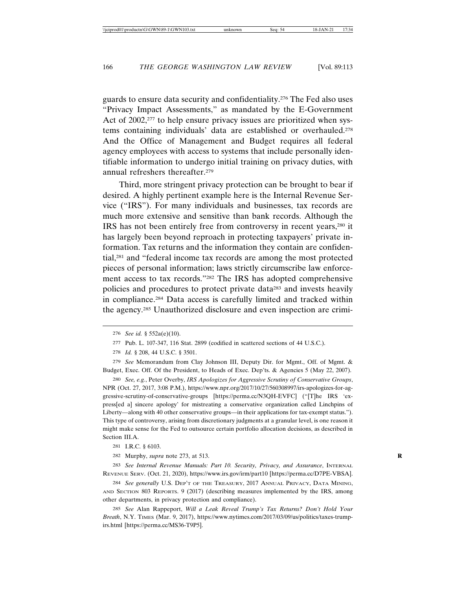guards to ensure data security and confidentiality.276 The Fed also uses "Privacy Impact Assessments," as mandated by the E-Government Act of 2002,<sup>277</sup> to help ensure privacy issues are prioritized when systems containing individuals' data are established or overhauled.278 And the Office of Management and Budget requires all federal agency employees with access to systems that include personally identifiable information to undergo initial training on privacy duties, with annual refreshers thereafter.279

Third, more stringent privacy protection can be brought to bear if desired. A highly pertinent example here is the Internal Revenue Service ("IRS"). For many individuals and businesses, tax records are much more extensive and sensitive than bank records. Although the IRS has not been entirely free from controversy in recent years,280 it has largely been beyond reproach in protecting taxpayers' private information. Tax returns and the information they contain are confidential,281 and "federal income tax records are among the most protected pieces of personal information; laws strictly circumscribe law enforcement access to tax records."282 The IRS has adopted comprehensive policies and procedures to protect private data283 and invests heavily in compliance.284 Data access is carefully limited and tracked within the agency.285 Unauthorized disclosure and even inspection are crimi-

280 *See, e.g.*, Peter Overby, *IRS Apologizes for Aggressive Scrutiny of Conservative Groups*, NPR (Oct. 27, 2017, 3:08 P.M.), https://www.npr.org/2017/10/27/560308997/irs-apologizes-for-aggressive-scrutiny-of-conservative-groups [https://perma.cc/N3QH-EVFC] ("[T]he IRS 'express[ed a] sincere apology' for mistreating a conservative organization called Linchpins of Liberty—along with 40 other conservative groups—in their applications for tax-exempt status."). This type of controversy, arising from discretionary judgments at a granular level, is one reason it might make sense for the Fed to outsource certain portfolio allocation decisions, as described in Section III.A.

283 *See Internal Revenue Manuals: Part 10. Security, Privacy, and Assurance*, INTERNAL REVENUE SERV. (Oct. 21, 2020), https://www.irs.gov/irm/part10 [https://perma.cc/D7PE-VBSA].

284 *See generally* U.S. DEP'T OF THE TREASURY, 2017 ANNUAL PRIVACY, DATA MINING, AND SECTION 803 REPORTS. 9 (2017) (describing measures implemented by the IRS, among other departments, in privacy protection and compliance).

285 *See* Alan Rappeport, *Will a Leak Reveal Trump's Tax Returns? Don't Hold Your Breath*, N.Y. TIMES (Mar. 9, 2017), https://www.nytimes.com/2017/03/09/us/politics/taxes-trumpirs.html [https://perma.cc/MS36-T9P5].

<sup>276</sup> *See id.* § 552a(e)(10).

<sup>277</sup> Pub. L. 107-347, 116 Stat. 2899 (codified in scattered sections of 44 U.S.C.).

<sup>278</sup> *Id.* § 208, 44 U.S.C. § 3501.

<sup>279</sup> *See* Memorandum from Clay Johnson III, Deputy Dir. for Mgmt., Off. of Mgmt. & Budget, Exec. Off. Of the President, to Heads of Exec. Dep'ts. & Agencies 5 (May 22, 2007).

<sup>281</sup> I.R.C. § 6103.

<sup>282</sup> Murphy, *supra* note 273, at 513. **R**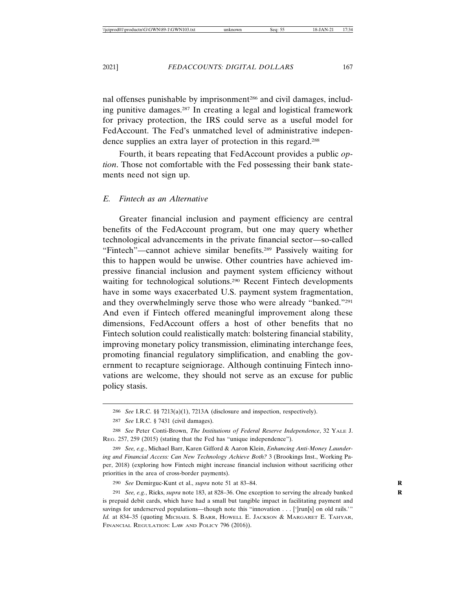nal offenses punishable by imprisonment<sup>286</sup> and civil damages, including punitive damages.287 In creating a legal and logistical framework for privacy protection, the IRS could serve as a useful model for FedAccount. The Fed's unmatched level of administrative independence supplies an extra layer of protection in this regard.288

Fourth, it bears repeating that FedAccount provides a public *option*. Those not comfortable with the Fed possessing their bank statements need not sign up.

### *E. Fintech as an Alternative*

Greater financial inclusion and payment efficiency are central benefits of the FedAccount program, but one may query whether technological advancements in the private financial sector—so-called "Fintech"—cannot achieve similar benefits.289 Passively waiting for this to happen would be unwise. Other countries have achieved impressive financial inclusion and payment system efficiency without waiting for technological solutions.<sup>290</sup> Recent Fintech developments have in some ways exacerbated U.S. payment system fragmentation, and they overwhelmingly serve those who were already "banked."291 And even if Fintech offered meaningful improvement along these dimensions, FedAccount offers a host of other benefits that no Fintech solution could realistically match: bolstering financial stability, improving monetary policy transmission, eliminating interchange fees, promoting financial regulatory simplification, and enabling the government to recapture seigniorage. Although continuing Fintech innovations are welcome, they should not serve as an excuse for public policy stasis.

290 *See* Demirguc-Kunt et al., *supra* note 51 at 83–84. **R**

291 *See, e.g.*, Ricks, *supra* note 183, at 828–36. One exception to serving the already banked **R** is prepaid debit cards, which have had a small but tangible impact in facilitating payment and savings for underserved populations—though note this "innovation . . . [']run[s] on old rails.'" Id. at 834–35 (quoting MICHAEL S. BARR, HOWELL E. JACKSON & MARGARET E. TAHYAR, FINANCIAL REGULATION: LAW AND POLICY 796 (2016)).

<sup>286</sup> *See* I.R.C. §§ 7213(a)(1), 7213A (disclosure and inspection, respectively).

<sup>287</sup> *See* I.R.C. § 7431 (civil damages).

<sup>288</sup> *See* Peter Conti-Brown, *The Institutions of Federal Reserve Independence*, 32 YALE J. REG. 257, 259 (2015) (stating that the Fed has "unique independence").

<sup>289</sup> *See, e.g.*, Michael Barr, Karen Gifford & Aaron Klein, *Enhancing Anti-Money Laundering and Financial Access: Can New Technology Achieve Both?* 3 (Brookings Inst., Working Paper, 2018) (exploring how Fintech might increase financial inclusion without sacrificing other priorities in the area of cross-border payments).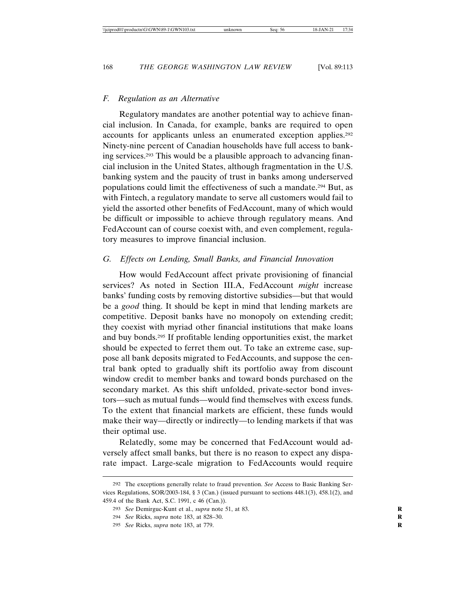### *F. Regulation as an Alternative*

Regulatory mandates are another potential way to achieve financial inclusion. In Canada, for example, banks are required to open accounts for applicants unless an enumerated exception applies.292 Ninety-nine percent of Canadian households have full access to banking services.293 This would be a plausible approach to advancing financial inclusion in the United States, although fragmentation in the U.S. banking system and the paucity of trust in banks among underserved populations could limit the effectiveness of such a mandate.294 But, as with Fintech, a regulatory mandate to serve all customers would fail to yield the assorted other benefits of FedAccount, many of which would be difficult or impossible to achieve through regulatory means. And FedAccount can of course coexist with, and even complement, regulatory measures to improve financial inclusion.

### *G. Effects on Lending, Small Banks, and Financial Innovation*

How would FedAccount affect private provisioning of financial services? As noted in Section III.A, FedAccount *might* increase banks' funding costs by removing distortive subsidies—but that would be a *good* thing. It should be kept in mind that lending markets are competitive. Deposit banks have no monopoly on extending credit; they coexist with myriad other financial institutions that make loans and buy bonds.295 If profitable lending opportunities exist, the market should be expected to ferret them out. To take an extreme case, suppose all bank deposits migrated to FedAccounts, and suppose the central bank opted to gradually shift its portfolio away from discount window credit to member banks and toward bonds purchased on the secondary market. As this shift unfolded, private-sector bond investors—such as mutual funds—would find themselves with excess funds. To the extent that financial markets are efficient, these funds would make their way—directly or indirectly—to lending markets if that was their optimal use.

Relatedly, some may be concerned that FedAccount would adversely affect small banks, but there is no reason to expect any disparate impact. Large-scale migration to FedAccounts would require

<sup>292</sup> The exceptions generally relate to fraud prevention. *See* Access to Basic Banking Services Regulations, SOR/2003-184, § 3 (Can.) (issued pursuant to sections 448.1(3), 458.1(2), and 459.4 of the Bank Act, S.C. 1991, c 46 (Can.)).

<sup>293</sup> *See* Demirguc-Kunt et al., *supra* note 51, at 83. **R**

<sup>294</sup> *See* Ricks, *supra* note 183, at 828–30. **R**

<sup>295</sup> *See* Ricks, *supra* note 183, at 779. **R**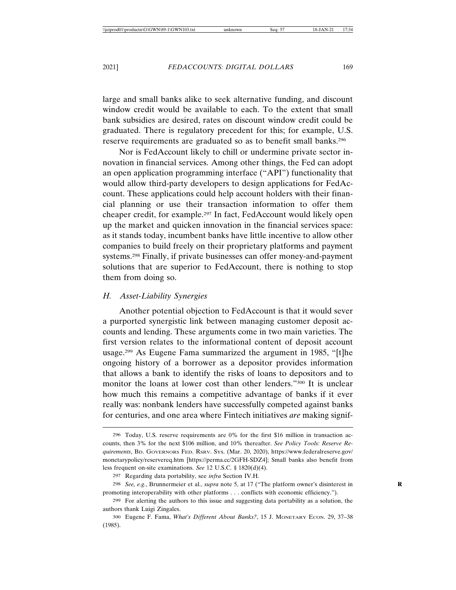large and small banks alike to seek alternative funding, and discount window credit would be available to each. To the extent that small bank subsidies are desired, rates on discount window credit could be graduated. There is regulatory precedent for this; for example, U.S. reserve requirements are graduated so as to benefit small banks.296

Nor is FedAccount likely to chill or undermine private sector innovation in financial services. Among other things, the Fed can adopt an open application programming interface ("API") functionality that would allow third-party developers to design applications for FedAccount. These applications could help account holders with their financial planning or use their transaction information to offer them cheaper credit, for example.297 In fact, FedAccount would likely open up the market and quicken innovation in the financial services space: as it stands today, incumbent banks have little incentive to allow other companies to build freely on their proprietary platforms and payment systems.298 Finally, if private businesses can offer money-and-payment solutions that are superior to FedAccount, there is nothing to stop them from doing so.

### *H. Asset-Liability Synergies*

Another potential objection to FedAccount is that it would sever a purported synergistic link between managing customer deposit accounts and lending. These arguments come in two main varieties. The first version relates to the informational content of deposit account usage.299 As Eugene Fama summarized the argument in 1985, "[t]he ongoing history of a borrower as a depositor provides information that allows a bank to identify the risks of loans to depositors and to monitor the loans at lower cost than other lenders."300 It is unclear how much this remains a competitive advantage of banks if it ever really was: nonbank lenders have successfully competed against banks for centuries, and one area where Fintech initiatives *are* making signif-

<sup>296</sup> Today, U.S. reserve requirements are 0% for the first \$16 million in transaction accounts, then 3% for the next \$106 million, and 10% thereafter. *See Policy Tools: Reserve Requirements*, BD. GOVERNORS FED. RSRV. SYS. (Mar. 20, 2020), https://www.federalreserve.gov/ monetarypolicy/reservereq.htm [https://perma.cc/2GFH-SDZ4]; Small banks also benefit from less frequent on-site examinations. *See* 12 U.S.C. § 1820(d)(4).

<sup>297</sup> Regarding data portability, see *infra* Section IV.H.

<sup>298</sup> *See, e.g.*, Brunnermeier et al., *supra* note 5, at 17 ("The platform owner's disinterest in **R** promoting interoperability with other platforms . . . conflicts with economic efficiency.").

<sup>299</sup> For alerting the authors to this issue and suggesting data portability as a solution, the authors thank Luigi Zingales.

<sup>300</sup> Eugene F. Fama, *What's Different About Banks?*, 15 J. MONETARY ECON. 29, 37–38 (1985).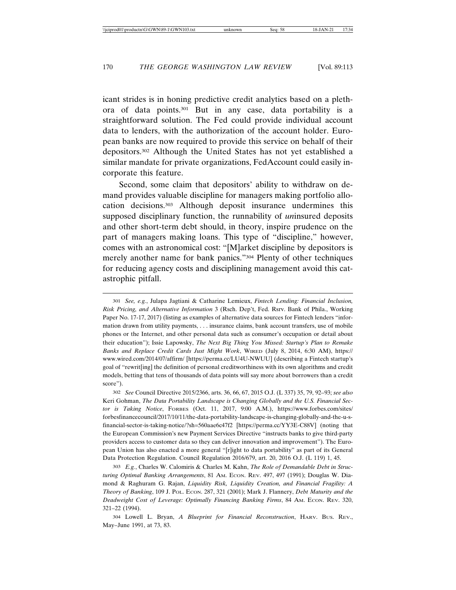icant strides is in honing predictive credit analytics based on a plethora of data points.301 But in any case, data portability is a straightforward solution. The Fed could provide individual account data to lenders, with the authorization of the account holder. European banks are now required to provide this service on behalf of their depositors.302 Although the United States has not yet established a similar mandate for private organizations, FedAccount could easily incorporate this feature.

Second, some claim that depositors' ability to withdraw on demand provides valuable discipline for managers making portfolio allocation decisions.303 Although deposit insurance undermines this supposed disciplinary function, the runnability of *un*insured deposits and other short-term debt should, in theory, inspire prudence on the part of managers making loans. This type of "discipline," however, comes with an astronomical cost: "[M]arket discipline by depositors is merely another name for bank panics."304 Plenty of other techniques for reducing agency costs and disciplining management avoid this catastrophic pitfall.

<sup>301</sup> *See, e.g.*, Julapa Jagtiani & Catharine Lemieux, *Fintech Lending: Financial Inclusion, Risk Pricing, and Alternative Information* 3 (Rsch. Dep't, Fed. Rsrv. Bank of Phila., Working Paper No. 17-17, 2017) (listing as examples of alternative data sources for Fintech lenders "information drawn from utility payments, . . . insurance claims, bank account transfers, use of mobile phones or the Internet, and other personal data such as consumer's occupation or detail about their education"); Issie Lapowsky, *The Next Big Thing You Missed: Startup's Plan to Remake Banks and Replace Credit Cards Just Might Work*, WIRED (July 8, 2014, 6:30 AM), https:// www.wired.com/2014/07/affirm/ [https://perma.cc/LU4U-NWUU] (describing a Fintech startup's goal of "rewrit[ing] the definition of personal creditworthiness with its own algorithms and credit models, betting that tens of thousands of data points will say more about borrowers than a credit score").

<sup>302</sup> *See* Council Directive 2015/2366, arts. 36, 66, 67, 2015 O.J. (L 337) 35, 79, 92–93; *see also* Keri Gohman, *The Data Portability Landscape is Changing Globally and the U.S. Financial Sector is Taking Notice*, FORBES (Oct. 11, 2017, 9:00 A.M.), https://www.forbes.com/sites/ forbesfinancecouncil/2017/10/11/the-data-portability-landscape-is-changing-globally-and-the-u-sfinancial-sector-is-taking-notice/?sh=560aae6c47f2 [https://perma.cc/YY3E-C88V] (noting that the European Commission's new Payment Services Directive "instructs banks to give third-party providers access to customer data so they can deliver innovation and improvement"). The European Union has also enacted a more general "[r]ight to data portability" as part of its General Data Protection Regulation. Council Regulation 2016/679, art. 20, 2016 O.J. (L 119) 1, 45.

<sup>303</sup> *E.g.*, Charles W. Calomiris & Charles M. Kahn, *The Role of Demandable Debt in Structuring Optimal Banking Arrangements*, 81 AM. ECON. REV. 497, 497 (1991); Douglas W. Diamond & Raghuram G. Rajan, *Liquidity Risk, Liquidity Creation, and Financial Fragility: A Theory of Banking*, 109 J. POL. ECON. 287, 321 (2001); Mark J. Flannery, *Debt Maturity and the Deadweight Cost of Leverage: Optimally Financing Banking Firms*, 84 AM. ECON. REV. 320, 321–22 (1994).

<sup>304</sup> Lowell L. Bryan, *A Blueprint for Financial Reconstruction*, HARV. BUS. REV., May–June 1991, at 73, 83.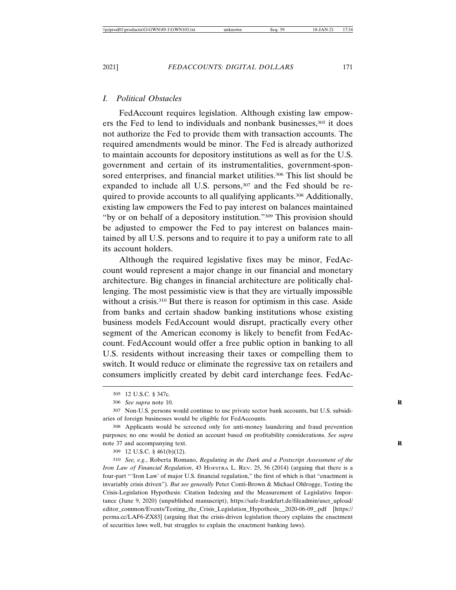### *I. Political Obstacles*

FedAccount requires legislation. Although existing law empowers the Fed to lend to individuals and nonbank businesses,305 it does not authorize the Fed to provide them with transaction accounts. The required amendments would be minor. The Fed is already authorized to maintain accounts for depository institutions as well as for the U.S. government and certain of its instrumentalities, government-sponsored enterprises, and financial market utilities.<sup>306</sup> This list should be expanded to include all U.S. persons,<sup>307</sup> and the Fed should be required to provide accounts to all qualifying applicants.308 Additionally, existing law empowers the Fed to pay interest on balances maintained "by or on behalf of a depository institution."309 This provision should be adjusted to empower the Fed to pay interest on balances maintained by all U.S. persons and to require it to pay a uniform rate to all its account holders.

Although the required legislative fixes may be minor, FedAccount would represent a major change in our financial and monetary architecture. Big changes in financial architecture are politically challenging. The most pessimistic view is that they are virtually impossible without a crisis.<sup>310</sup> But there is reason for optimism in this case. Aside from banks and certain shadow banking institutions whose existing business models FedAccount would disrupt, practically every other segment of the American economy is likely to benefit from FedAccount. FedAccount would offer a free public option in banking to all U.S. residents without increasing their taxes or compelling them to switch. It would reduce or eliminate the regressive tax on retailers and consumers implicitly created by debit card interchange fees. FedAc-

309 12 U.S.C. § 461(b)(12).

310 *See, e.g.*, Roberta Romano, *Regulating in the Dark and a Postscript Assessment of the Iron Law of Financial Regulation*, 43 HOFSTRA L. REV. 25, 56 (2014) (arguing that there is a four-part "'Iron Law' of major U.S. financial regulation," the first of which is that "enactment is invariably crisis driven"). *But see generally* Peter Conti-Brown & Michael Ohlrogge, Testing the Crisis-Legislation Hypothesis: Citation Indexing and the Measurement of Legislative Importance (June 9, 2020) (unpublished manuscript), https://safe-frankfurt.de/fileadmin/user\_upload/ editor\_common/Events/Testing\_the\_Crisis\_Legislation\_Hypothesis\_\_2020-06-09\_.pdf [https:// perma.cc/LAF6-ZX83] (arguing that the crisis-driven legislation theory explains the enactment of securities laws well, but struggles to explain the enactment banking laws).

<sup>305</sup> 12 U.S.C. § 347c.

<sup>306</sup> *See supra* note 10. **R**

<sup>307</sup> Non-U.S. persons would continue to use private sector bank accounts, but U.S. subsidiaries of foreign businesses would be eligible for FedAccounts.

<sup>308</sup> Applicants would be screened only for anti-money laundering and fraud prevention purposes; no one would be denied an account based on profitability considerations. *See supra* note 37 and accompanying text. **R**